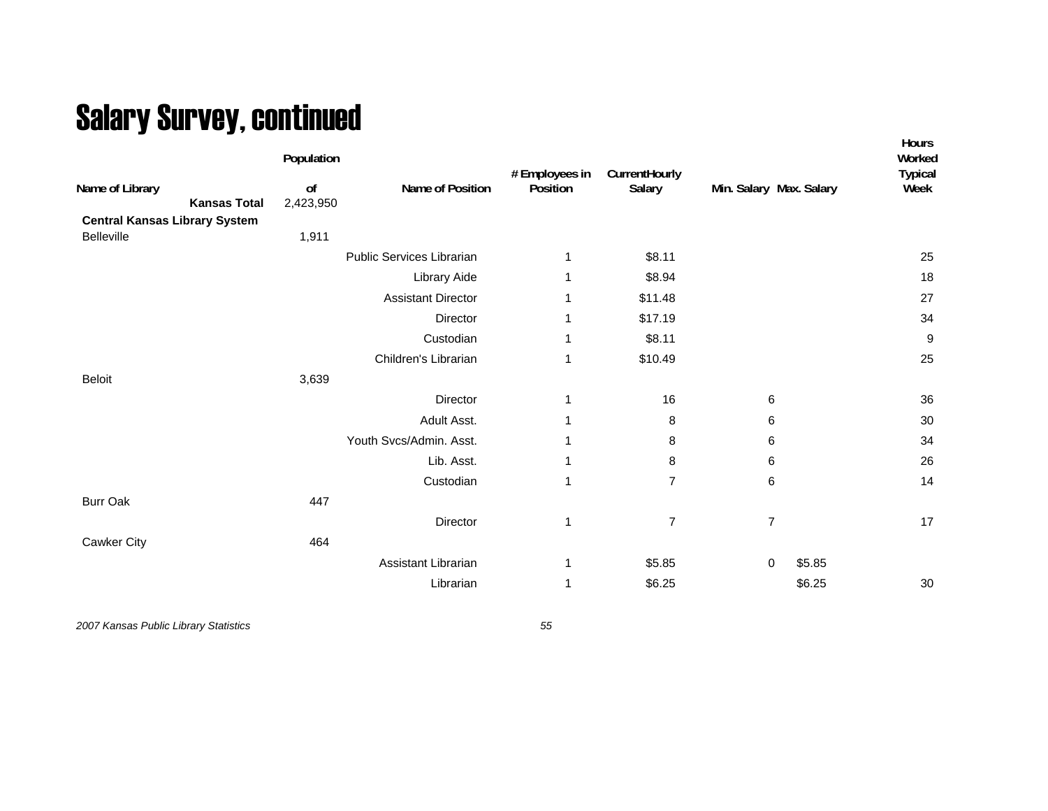## Salary Survey, continued

|                                                           | Population      |                           | # Employees in | CurrentHourly  |                         |        | Hours<br>Worked<br><b>Typical</b> |
|-----------------------------------------------------------|-----------------|---------------------------|----------------|----------------|-------------------------|--------|-----------------------------------|
| Name of Library<br><b>Kansas Total</b>                    | of<br>2,423,950 | Name of Position          | Position       | Salary         | Min. Salary Max. Salary |        | Week                              |
| <b>Central Kansas Library System</b><br><b>Belleville</b> | 1,911           |                           |                |                |                         |        |                                   |
|                                                           |                 | Public Services Librarian | 1              | \$8.11         |                         |        | 25                                |
|                                                           |                 | Library Aide              | 1              | \$8.94         |                         |        | 18                                |
|                                                           |                 | <b>Assistant Director</b> | 1              | \$11.48        |                         |        | 27                                |
|                                                           |                 | Director                  | 1              | \$17.19        |                         |        | 34                                |
|                                                           |                 | Custodian                 | 1              | \$8.11         |                         |        | $\boldsymbol{9}$                  |
|                                                           |                 | Children's Librarian      | 1              | \$10.49        |                         |        | 25                                |
| <b>Beloit</b>                                             | 3,639           |                           |                |                |                         |        |                                   |
|                                                           |                 | Director                  | 1              | 16             | 6                       |        | 36                                |
|                                                           |                 | Adult Asst.               | 1              | 8              | 6                       |        | 30                                |
|                                                           |                 | Youth Svcs/Admin. Asst.   | 1              | 8              | 6                       |        | 34                                |
|                                                           |                 | Lib. Asst.                | 1              | 8              | 6                       |        | 26                                |
|                                                           |                 | Custodian                 | 1              | $\overline{7}$ | 6                       |        | 14                                |
| <b>Burr Oak</b>                                           | 447             |                           |                |                |                         |        |                                   |
|                                                           |                 | Director                  | 1              | $\overline{7}$ | $\overline{7}$          |        | 17                                |
| Cawker City                                               | 464             |                           |                |                |                         |        |                                   |
|                                                           |                 | Assistant Librarian       | 1              | \$5.85         | 0                       | \$5.85 |                                   |
|                                                           |                 | Librarian                 | 1              | \$6.25         |                         | \$6.25 | 30                                |
|                                                           |                 |                           |                |                |                         |        |                                   |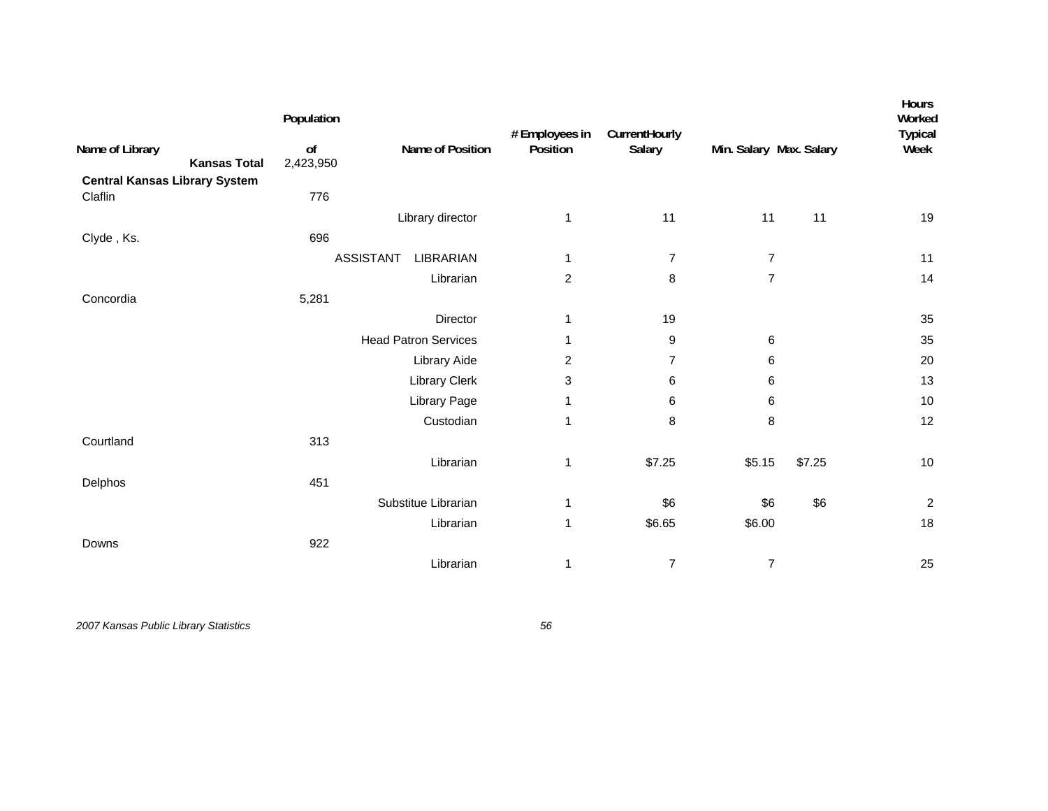| Name of Library<br><b>Kansas Total</b>          | Population<br>o <sub>f</sub><br>2,423,950 | Name of Position            | # Employees in<br>Position | CurrentHourly<br>Salary | Min. Salary Max. Salary |        | Hours<br>Worked<br><b>Typical</b><br>Week |
|-------------------------------------------------|-------------------------------------------|-----------------------------|----------------------------|-------------------------|-------------------------|--------|-------------------------------------------|
| <b>Central Kansas Library System</b><br>Claflin | 776                                       |                             |                            |                         |                         |        |                                           |
|                                                 |                                           | Library director            | 1                          | 11                      | 11                      | 11     | 19                                        |
| Clyde, Ks.                                      | 696                                       |                             |                            |                         |                         |        |                                           |
|                                                 | <b>ASSISTANT</b>                          | LIBRARIAN                   | 1                          | $\overline{7}$          | $\overline{7}$          |        | 11                                        |
|                                                 |                                           | Librarian                   | $\overline{c}$             | 8                       | $\overline{7}$          |        | 14                                        |
| Concordia                                       | 5,281                                     |                             |                            |                         |                         |        |                                           |
|                                                 |                                           | Director                    | 1                          | 19                      |                         |        | 35                                        |
|                                                 |                                           | <b>Head Patron Services</b> | 1                          | 9                       | 6                       |        | 35                                        |
|                                                 |                                           | Library Aide                | $\overline{c}$             | $\overline{7}$          | 6                       |        | 20                                        |
|                                                 |                                           | Library Clerk               | 3                          | 6                       | 6                       |        | 13                                        |
|                                                 |                                           | Library Page                | 1                          | 6                       | 6                       |        | $10$                                      |
|                                                 |                                           | Custodian                   | $\mathbf{1}$               | 8                       | 8                       |        | 12                                        |
| Courtland                                       | 313                                       |                             |                            |                         |                         |        |                                           |
|                                                 |                                           | Librarian                   | 1                          | \$7.25                  | \$5.15                  | \$7.25 | $10$                                      |
| Delphos                                         | 451                                       |                             |                            |                         |                         |        |                                           |
|                                                 |                                           | Substitue Librarian         | 1                          | \$6                     | \$6                     | \$6    | $\boldsymbol{2}$                          |
|                                                 |                                           | Librarian                   | 1                          | \$6.65                  | \$6.00                  |        | 18                                        |
| Downs                                           | 922                                       |                             |                            |                         |                         |        |                                           |
|                                                 |                                           | Librarian                   | $\mathbf 1$                | $\overline{7}$          | $\overline{7}$          |        | 25                                        |
|                                                 |                                           |                             |                            |                         |                         |        |                                           |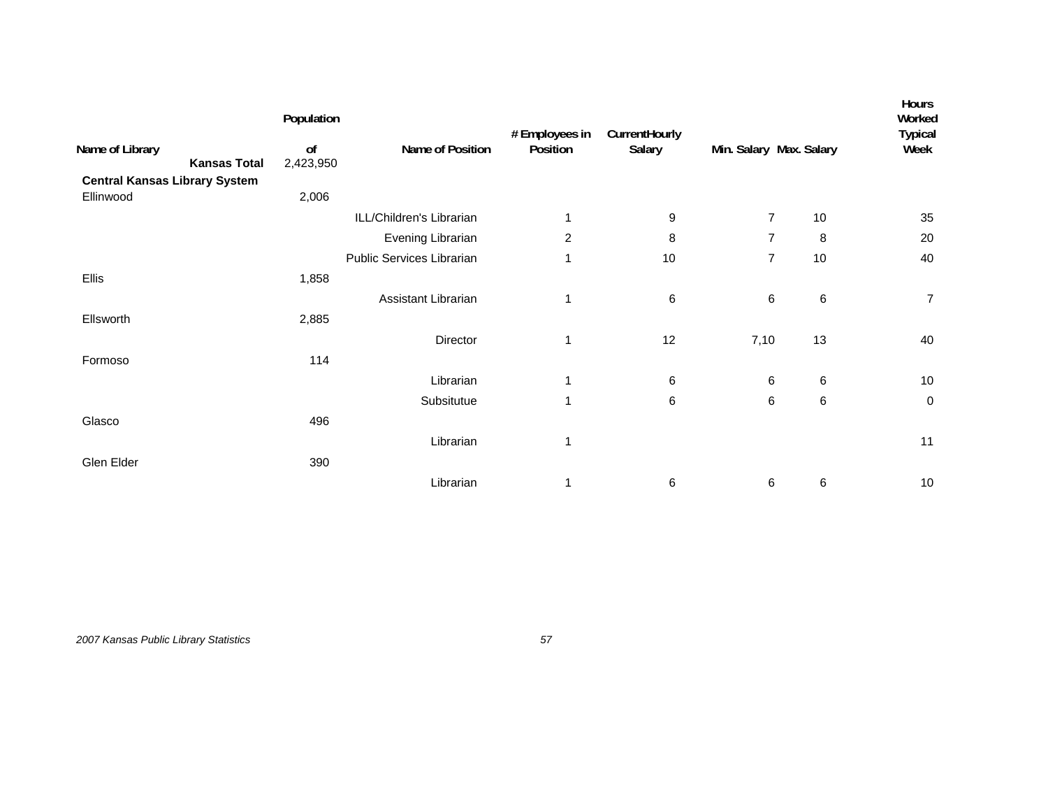|                                        | Population      |                           | # Employees in | CurrentHourly |                         |         | Hours<br>Worked<br><b>Typical</b> |
|----------------------------------------|-----------------|---------------------------|----------------|---------------|-------------------------|---------|-----------------------------------|
| Name of Library<br><b>Kansas Total</b> | of<br>2,423,950 | Name of Position          | Position       | Salary        | Min. Salary Max. Salary |         | Week                              |
| <b>Central Kansas Library System</b>   |                 |                           |                |               |                         |         |                                   |
| Ellinwood                              | 2,006           |                           |                |               |                         |         |                                   |
|                                        |                 | ILL/Children's Librarian  | 1              | 9             | $\overline{7}$          | 10      | 35                                |
|                                        |                 | Evening Librarian         | $\overline{c}$ | 8             | $\overline{7}$          | 8       | 20                                |
|                                        |                 | Public Services Librarian | 1              | 10            | $\overline{7}$          | 10      | 40                                |
| Ellis                                  | 1,858           |                           |                |               |                         |         |                                   |
|                                        |                 | Assistant Librarian       | 1              | 6             | $\,6$                   | $\,6\,$ | $\overline{7}$                    |
| Ellsworth                              | 2,885           |                           |                |               |                         |         |                                   |
|                                        |                 | Director                  | 1              | 12            | 7,10                    | 13      | 40                                |
| Formoso                                | 114             |                           |                |               |                         |         |                                   |
|                                        |                 | Librarian                 | $\mathbf{1}$   | 6             | 6                       | 6       | 10                                |
|                                        |                 | Subsitutue                | $\mathbf{1}$   | 6             | 6                       | 6       | 0                                 |
| Glasco                                 | 496             |                           |                |               |                         |         |                                   |
|                                        |                 | Librarian                 | 1              |               |                         |         | 11                                |
| Glen Elder                             | 390             |                           |                |               |                         |         |                                   |
|                                        |                 | Librarian                 | 1              | 6             | 6                       | 6       | $10$                              |
|                                        |                 |                           |                |               |                         |         |                                   |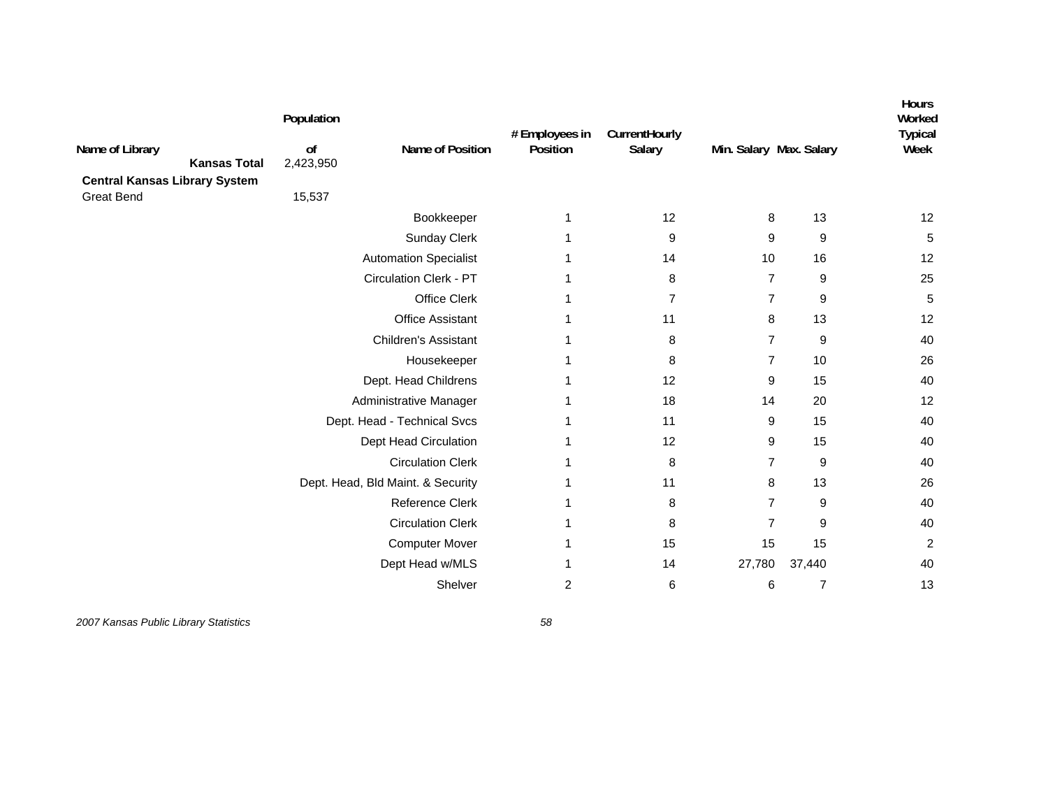| Name of Library<br><b>Kansas Total</b><br><b>Central Kansas Library System</b> | Population<br>of<br>2,423,950 | Name of Position                  | # Employees in<br>Position | CurrentHourly<br>Salary | Min. Salary Max. Salary |                | Hours<br>Worked<br><b>Typical</b><br>Week |
|--------------------------------------------------------------------------------|-------------------------------|-----------------------------------|----------------------------|-------------------------|-------------------------|----------------|-------------------------------------------|
| <b>Great Bend</b>                                                              | 15,537                        |                                   |                            |                         |                         |                |                                           |
|                                                                                |                               | Bookkeeper                        | 1                          | 12                      | 8                       | 13             | 12                                        |
|                                                                                |                               | <b>Sunday Clerk</b>               |                            | 9                       | 9                       | 9              | 5                                         |
|                                                                                |                               | <b>Automation Specialist</b>      |                            | 14                      | 10                      | 16             | 12                                        |
|                                                                                |                               | <b>Circulation Clerk - PT</b>     |                            | 8                       | $\overline{7}$          | 9              | 25                                        |
|                                                                                |                               | Office Clerk                      |                            | $\overline{7}$          | $\overline{7}$          | 9              | $\overline{5}$                            |
|                                                                                |                               | <b>Office Assistant</b>           |                            | 11                      | 8                       | 13             | 12                                        |
|                                                                                |                               | <b>Children's Assistant</b>       |                            | 8                       | $\overline{7}$          | 9              | 40                                        |
|                                                                                |                               | Housekeeper                       | 1                          | 8                       | 7                       | 10             | 26                                        |
|                                                                                |                               | Dept. Head Childrens              |                            | 12                      | 9                       | 15             | 40                                        |
|                                                                                |                               | Administrative Manager            |                            | 18                      | 14                      | 20             | 12                                        |
|                                                                                |                               | Dept. Head - Technical Svcs       |                            | 11                      | 9                       | 15             | 40                                        |
|                                                                                |                               | Dept Head Circulation             |                            | 12                      | 9                       | 15             | 40                                        |
|                                                                                |                               | <b>Circulation Clerk</b>          |                            | 8                       | $\overline{7}$          | 9              | 40                                        |
|                                                                                |                               | Dept. Head, Bld Maint. & Security |                            | 11                      | 8                       | 13             | 26                                        |
|                                                                                |                               | <b>Reference Clerk</b>            |                            | 8                       | $\overline{7}$          | 9              | 40                                        |
|                                                                                |                               | <b>Circulation Clerk</b>          |                            | 8                       | $\overline{7}$          | 9              | 40                                        |
|                                                                                |                               | Computer Mover                    |                            | 15                      | 15                      | 15             | $\boldsymbol{2}$                          |
|                                                                                |                               | Dept Head w/MLS                   |                            | 14                      | 27,780                  | 37,440         | 40                                        |
|                                                                                |                               | Shelver                           | 2                          | 6                       | 6                       | $\overline{7}$ | 13                                        |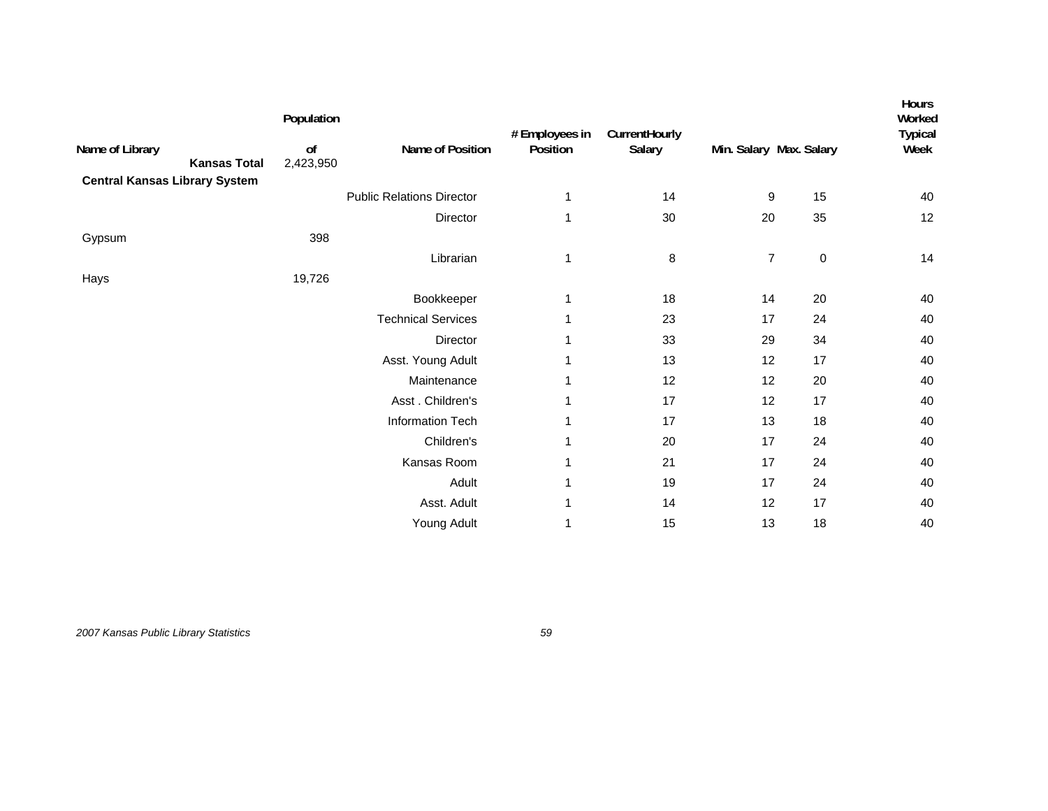| Name of Library                      | Population<br>of | Name of Position                 | # Employees in<br>Position | CurrentHourly<br>Salary | Min. Salary Max. Salary |           | Hours<br>Worked<br><b>Typical</b><br>Week |
|--------------------------------------|------------------|----------------------------------|----------------------------|-------------------------|-------------------------|-----------|-------------------------------------------|
| <b>Kansas Total</b>                  | 2,423,950        |                                  |                            |                         |                         |           |                                           |
| <b>Central Kansas Library System</b> |                  | <b>Public Relations Director</b> | 1                          | 14                      | 9                       | 15        | 40                                        |
|                                      |                  |                                  |                            |                         |                         |           |                                           |
|                                      |                  | Director                         | 1                          | 30                      | 20                      | 35        | 12                                        |
| Gypsum                               | 398              |                                  |                            |                         |                         |           |                                           |
|                                      |                  | Librarian                        | 1                          | 8                       | $\overline{7}$          | $\pmb{0}$ | 14                                        |
| Hays                                 | 19,726           |                                  |                            |                         |                         |           |                                           |
|                                      |                  | Bookkeeper                       | 1                          | 18                      | 14                      | 20        | 40                                        |
|                                      |                  | <b>Technical Services</b>        | 1                          | 23                      | 17                      | 24        | 40                                        |
|                                      |                  | Director                         | 1                          | 33                      | 29                      | 34        | 40                                        |
|                                      |                  | Asst. Young Adult                | 1                          | 13                      | 12                      | 17        | 40                                        |
|                                      |                  | Maintenance                      | 1                          | 12                      | 12                      | 20        | 40                                        |
|                                      |                  | Asst. Children's                 | 1                          | 17                      | 12                      | 17        | 40                                        |
|                                      |                  | Information Tech                 | 1                          | 17                      | 13                      | 18        | 40                                        |
|                                      |                  | Children's                       | 1                          | 20                      | 17                      | 24        | 40                                        |
|                                      |                  | Kansas Room                      | 1                          | 21                      | 17                      | 24        | 40                                        |
|                                      |                  | Adult                            | 1                          | 19                      | 17                      | 24        | 40                                        |
|                                      |                  | Asst. Adult                      | 1                          | 14                      | 12                      | 17        | 40                                        |
|                                      |                  | Young Adult                      | 1                          | 15                      | 13                      | 18        | 40                                        |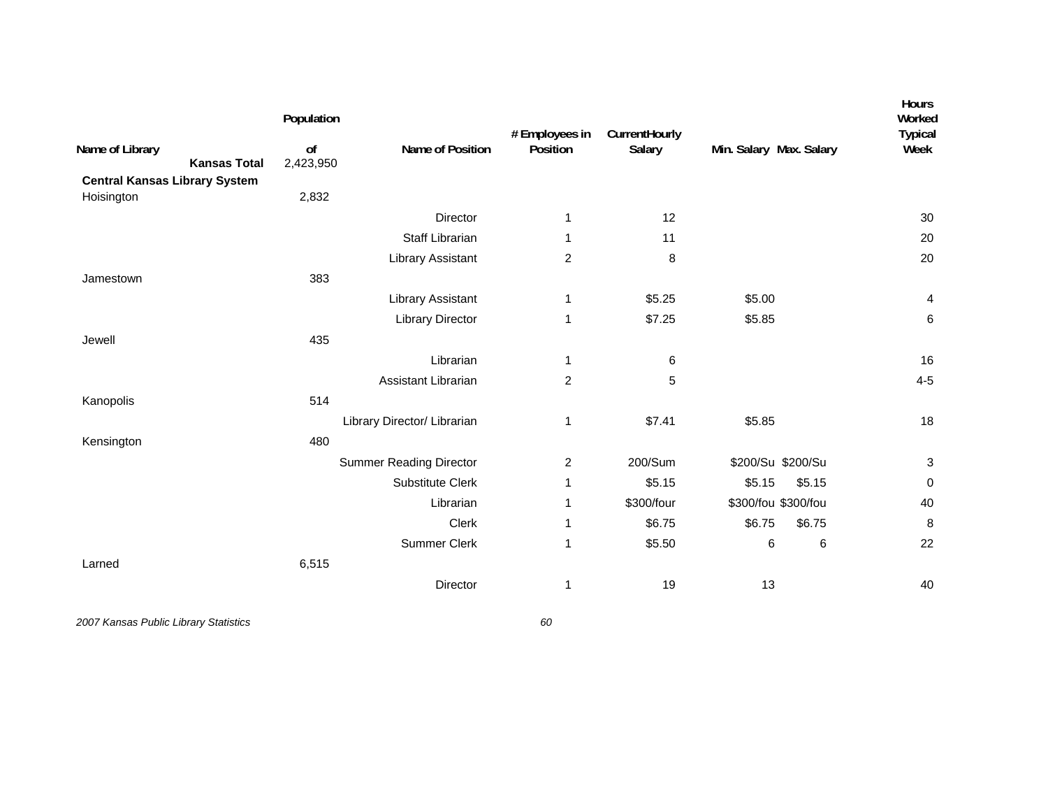| Name of Library<br><b>Kansas Total</b>             | Population<br>of<br>2,423,950 | Name of Position               | # Employees in<br>Position | CurrentHourly<br>Salary | Min. Salary Max. Salary | Hours<br>Worked<br><b>Typical</b><br>Week |
|----------------------------------------------------|-------------------------------|--------------------------------|----------------------------|-------------------------|-------------------------|-------------------------------------------|
| <b>Central Kansas Library System</b><br>Hoisington | 2,832                         |                                |                            |                         |                         |                                           |
|                                                    |                               | Director                       | 1                          | 12                      |                         | 30                                        |
|                                                    |                               | <b>Staff Librarian</b>         | 1                          | 11                      |                         | 20                                        |
|                                                    |                               | Library Assistant              | $\overline{c}$             | 8                       |                         | 20                                        |
| Jamestown                                          | 383                           |                                |                            |                         |                         |                                           |
|                                                    |                               | Library Assistant              | 1                          | \$5.25                  | \$5.00                  | 4                                         |
|                                                    |                               | <b>Library Director</b>        | 1                          | \$7.25                  | \$5.85                  | 6                                         |
| Jewell                                             | 435                           |                                |                            |                         |                         |                                           |
|                                                    |                               | Librarian                      | 1                          | 6                       |                         | 16                                        |
|                                                    |                               | Assistant Librarian            | $\overline{c}$             | 5                       |                         | $4 - 5$                                   |
| Kanopolis                                          | 514                           |                                |                            |                         |                         |                                           |
|                                                    |                               | Library Director/ Librarian    | 1                          | \$7.41                  | \$5.85                  | 18                                        |
| Kensington                                         | 480                           |                                |                            |                         |                         |                                           |
|                                                    |                               | <b>Summer Reading Director</b> | $\overline{c}$             | 200/Sum                 | \$200/Su \$200/Su       | $\ensuremath{\mathsf{3}}$                 |
|                                                    |                               | Substitute Clerk               | 1                          | \$5.15                  | \$5.15<br>\$5.15        | 0                                         |
|                                                    |                               | Librarian                      | 1                          | \$300/four              | \$300/fou \$300/fou     | 40                                        |
|                                                    |                               | <b>Clerk</b>                   | 1                          | \$6.75                  | \$6.75<br>\$6.75        | 8                                         |
|                                                    |                               | Summer Clerk                   | 1                          | \$5.50                  | 6<br>6                  | 22                                        |
| Larned                                             | 6,515                         |                                |                            |                         |                         |                                           |
|                                                    |                               | Director                       | 1                          | 19                      | 13                      | 40                                        |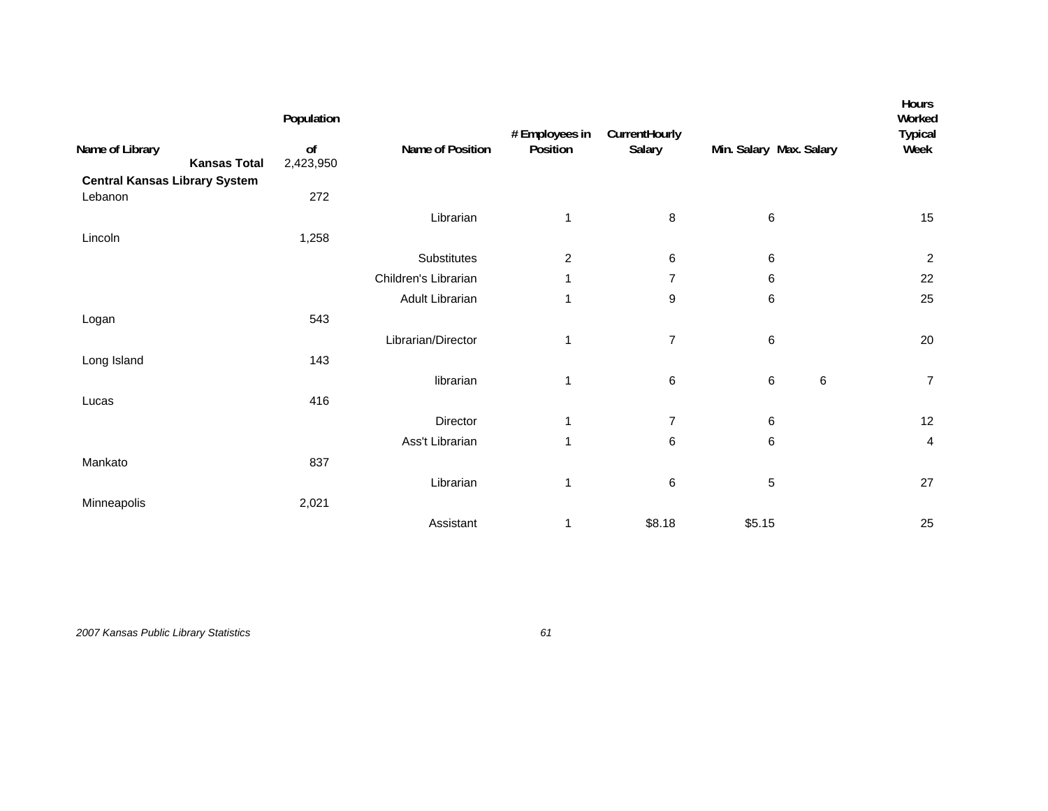|                                                 | Population |                      | # Employees in | CurrentHourly  |                         | Hours<br>Worked<br><b>Typical</b> |
|-------------------------------------------------|------------|----------------------|----------------|----------------|-------------------------|-----------------------------------|
| Name of Library<br><b>Kansas Total</b>          | of         | Name of Position     | Position       | Salary         | Min. Salary Max. Salary | Week                              |
|                                                 | 2,423,950  |                      |                |                |                         |                                   |
| <b>Central Kansas Library System</b><br>Lebanon | 272        |                      |                |                |                         |                                   |
|                                                 |            | Librarian            | 1              | 8              | $\,6\,$                 | 15                                |
| Lincoln                                         | 1,258      |                      |                |                |                         |                                   |
|                                                 |            | Substitutes          | $\overline{c}$ | 6              | 6                       | $\sqrt{2}$                        |
|                                                 |            | Children's Librarian | 1              | $\overline{7}$ | 6                       | 22                                |
|                                                 |            | Adult Librarian      | 1              | 9              | 6                       | 25                                |
| Logan                                           | 543        |                      |                |                |                         |                                   |
|                                                 |            | Librarian/Director   | $\mathbf{1}$   | $\overline{7}$ | 6                       | 20                                |
| Long Island                                     | 143        |                      |                |                |                         |                                   |
|                                                 |            | librarian            | 1              | 6              | 6<br>6                  | $\overline{7}$                    |
| Lucas                                           | 416        |                      |                |                |                         |                                   |
|                                                 |            | Director             | 1              | $\overline{7}$ | 6                       | 12                                |
|                                                 |            | Ass't Librarian      | 1              | 6              | 6                       | 4                                 |
| Mankato                                         | 837        |                      |                |                |                         |                                   |
|                                                 |            | Librarian            | 1              | 6              | 5                       | 27                                |
| Minneapolis                                     | 2,021      |                      |                |                |                         |                                   |
|                                                 |            | Assistant            | 1              | \$8.18         | \$5.15                  | 25                                |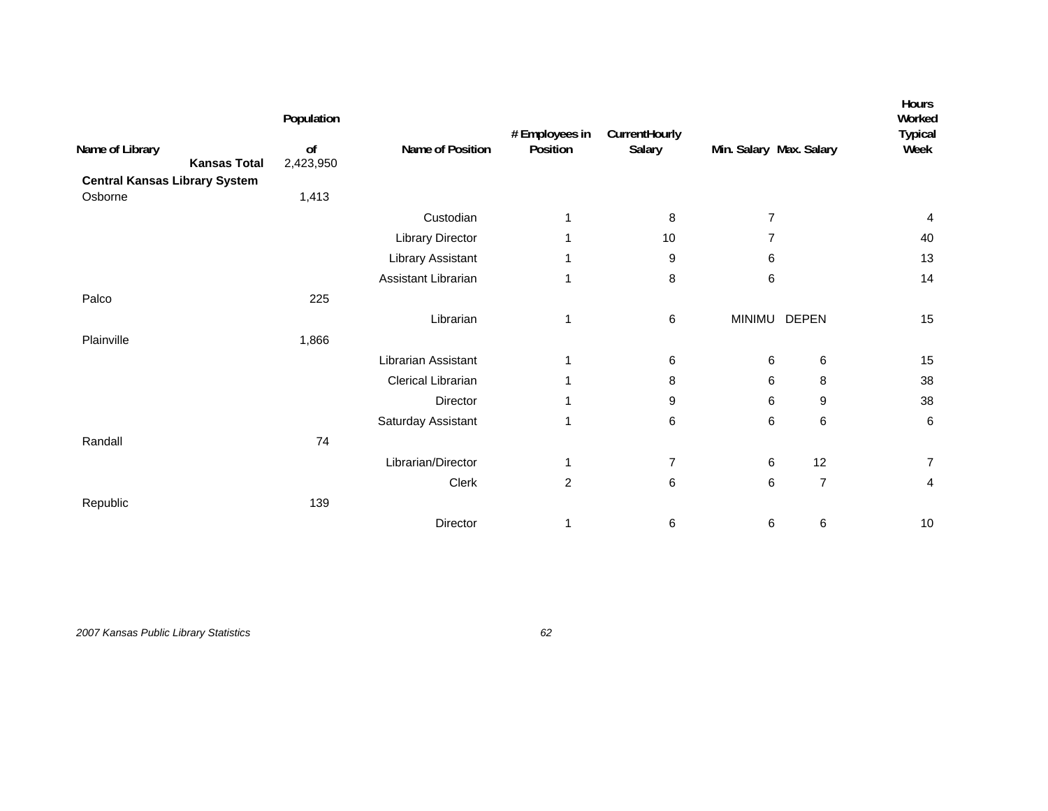|                                        | Population                  |                         | # Employees in | CurrentHourly  |                         |                | Hours<br>Worked<br><b>Typical</b> |
|----------------------------------------|-----------------------------|-------------------------|----------------|----------------|-------------------------|----------------|-----------------------------------|
| Name of Library<br><b>Kansas Total</b> | o <sub>f</sub><br>2,423,950 | Name of Position        | Position       | Salary         | Min. Salary Max. Salary |                | Week                              |
| <b>Central Kansas Library System</b>   |                             |                         |                |                |                         |                |                                   |
| Osborne                                | 1,413                       |                         |                |                |                         |                |                                   |
|                                        |                             | Custodian               | 1              | 8              | 7                       |                | 4                                 |
|                                        |                             | <b>Library Director</b> |                | 10             | 7                       |                | 40                                |
|                                        |                             | Library Assistant       | 1              | 9              | 6                       |                | 13                                |
|                                        |                             | Assistant Librarian     | 1              | 8              | 6                       |                | 14                                |
| Palco                                  | 225                         |                         |                |                |                         |                |                                   |
|                                        |                             | Librarian               | 1              | 6              | <b>MINIMU</b>           | <b>DEPEN</b>   | 15                                |
| Plainville                             | 1,866                       |                         |                |                |                         |                |                                   |
|                                        |                             | Librarian Assistant     | 1              | 6              | 6                       | 6              | 15                                |
|                                        |                             | Clerical Librarian      |                | 8              | 6                       | 8              | 38                                |
|                                        |                             | Director                |                | 9              | 6                       | 9              | 38                                |
|                                        |                             | Saturday Assistant      | 1              | 6              | 6                       | 6              | 6                                 |
| Randall                                | 74                          |                         |                |                |                         |                |                                   |
|                                        |                             | Librarian/Director      | 1              | $\overline{7}$ | 6                       | 12             | $\overline{7}$                    |
|                                        |                             | Clerk                   | $\overline{c}$ | 6              | 6                       | $\overline{7}$ | 4                                 |
| Republic                               | 139                         |                         |                |                |                         |                |                                   |
|                                        |                             | Director                |                | 6              | 6                       | $\,6$          | $10$                              |
|                                        |                             |                         |                |                |                         |                |                                   |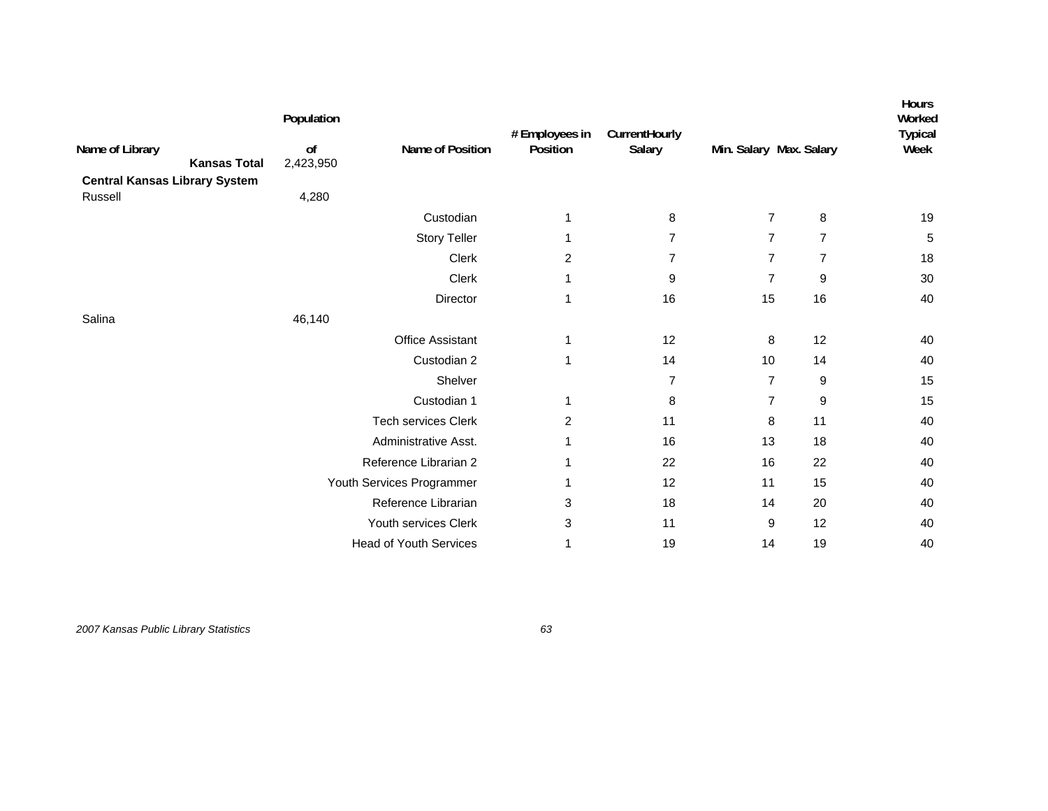| Name of Library                                 | Population<br>of          | Name of Position              | # Employees in<br>Position | CurrentHourly<br>Salary | Min. Salary Max. Salary |                | Hours<br>Worked<br><b>Typical</b><br>Week |
|-------------------------------------------------|---------------------------|-------------------------------|----------------------------|-------------------------|-------------------------|----------------|-------------------------------------------|
| <b>Kansas Total</b>                             | 2,423,950                 |                               |                            |                         |                         |                |                                           |
| <b>Central Kansas Library System</b><br>Russell | 4,280                     |                               |                            |                         |                         |                |                                           |
|                                                 |                           | Custodian                     | 1                          | 8                       | $\overline{7}$          | 8              | 19                                        |
|                                                 |                           | <b>Story Teller</b>           | 1                          | $\overline{7}$          | $\overline{7}$          | $\overline{7}$ | 5                                         |
|                                                 |                           | Clerk                         | $\overline{c}$             | $\overline{7}$          | $\overline{7}$          | $\overline{7}$ | 18                                        |
|                                                 |                           | Clerk                         | 1                          | 9                       | $\overline{7}$          | 9              | $30\,$                                    |
|                                                 |                           | Director                      | 1                          | 16                      | 15                      | 16             | 40                                        |
| Salina                                          | 46,140                    |                               |                            |                         |                         |                |                                           |
|                                                 |                           | <b>Office Assistant</b>       | 1                          | 12                      | 8                       | 12             | 40                                        |
|                                                 |                           | Custodian 2                   | 1                          | 14                      | 10                      | 14             | 40                                        |
|                                                 |                           | Shelver                       |                            | $\overline{7}$          | $\overline{7}$          | 9              | 15                                        |
|                                                 |                           | Custodian 1                   | 1                          | 8                       | $\overline{7}$          | 9              | 15                                        |
|                                                 |                           | <b>Tech services Clerk</b>    | $\overline{2}$             | 11                      | 8                       | 11             | 40                                        |
|                                                 |                           | Administrative Asst.          |                            | 16                      | 13                      | 18             | 40                                        |
|                                                 |                           | Reference Librarian 2         | 1                          | 22                      | 16                      | 22             | 40                                        |
|                                                 | Youth Services Programmer |                               | 1                          | 12                      | 11                      | 15             | 40                                        |
|                                                 |                           | Reference Librarian           | 3                          | 18                      | 14                      | 20             | 40                                        |
|                                                 |                           | Youth services Clerk          | 3                          | 11                      | 9                       | 12             | 40                                        |
|                                                 |                           | <b>Head of Youth Services</b> | 1                          | 19                      | 14                      | 19             | 40                                        |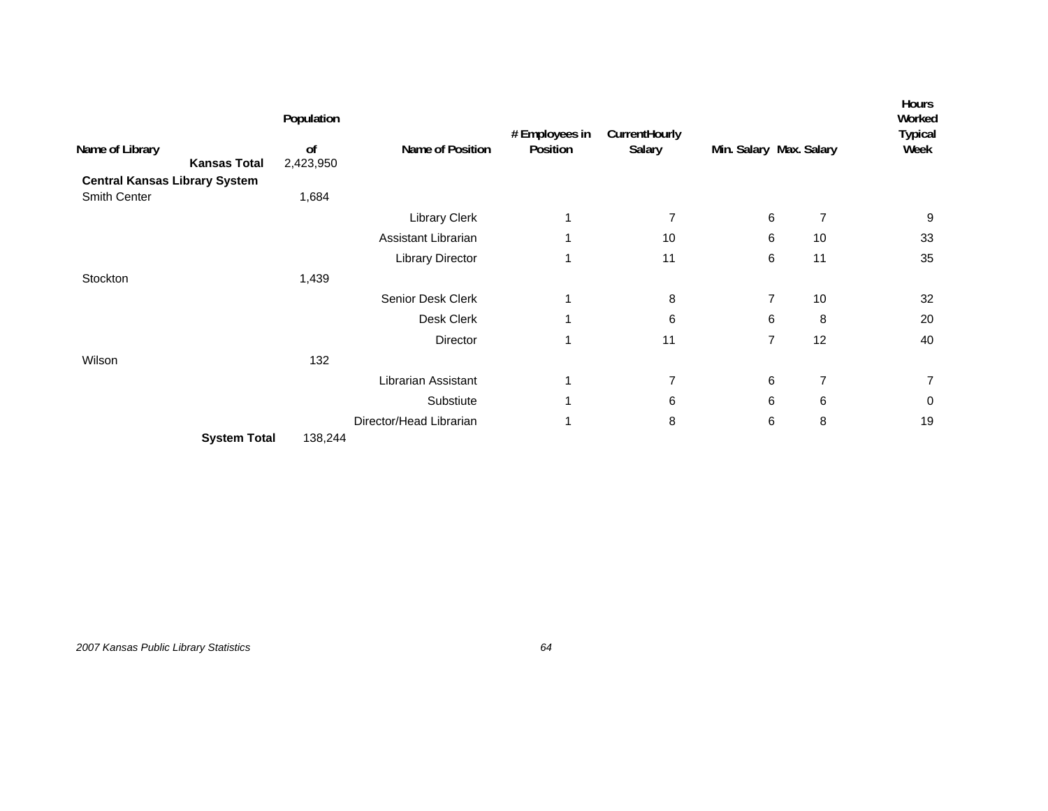|                                      | Population    |                         | # Employees in | CurrentHourly  |                         |                | <b>Hours</b><br>Worked<br><b>Typical</b> |
|--------------------------------------|---------------|-------------------------|----------------|----------------|-------------------------|----------------|------------------------------------------|
| Name of Library                      | <sub>of</sub> | Name of Position        | Position       | Salary         | Min. Salary Max. Salary |                | Week                                     |
| <b>Kansas Total</b>                  | 2,423,950     |                         |                |                |                         |                |                                          |
| <b>Central Kansas Library System</b> |               |                         |                |                |                         |                |                                          |
| Smith Center                         | 1,684         |                         |                |                |                         |                |                                          |
|                                      |               | <b>Library Clerk</b>    | 1              | $\overline{7}$ | 6                       | $\overline{7}$ | 9                                        |
|                                      |               | Assistant Librarian     | 1              | 10             | 6                       | 10             | 33                                       |
|                                      |               | <b>Library Director</b> | $\mathbf{1}$   | 11             | 6                       | 11             | 35                                       |
| Stockton                             | 1,439         |                         |                |                |                         |                |                                          |
|                                      |               | Senior Desk Clerk       | 1              | 8              | $\overline{7}$          | 10             | 32                                       |
|                                      |               | Desk Clerk              | 1              | 6              | 6                       | 8              | 20                                       |
|                                      |               | Director                | $\mathbf{1}$   | 11             | $\overline{7}$          | 12             | 40                                       |
| Wilson                               | 132           |                         |                |                |                         |                |                                          |
|                                      |               | Librarian Assistant     | 1              | $\overline{7}$ | 6                       | $\overline{7}$ | $\overline{7}$                           |
|                                      |               | Substiute               | 1              | 6              | 6                       | 6              | 0                                        |
|                                      |               | Director/Head Librarian | 1              | 8              | 6                       | 8              | 19                                       |
| <b>System Total</b>                  | 138,244       |                         |                |                |                         |                |                                          |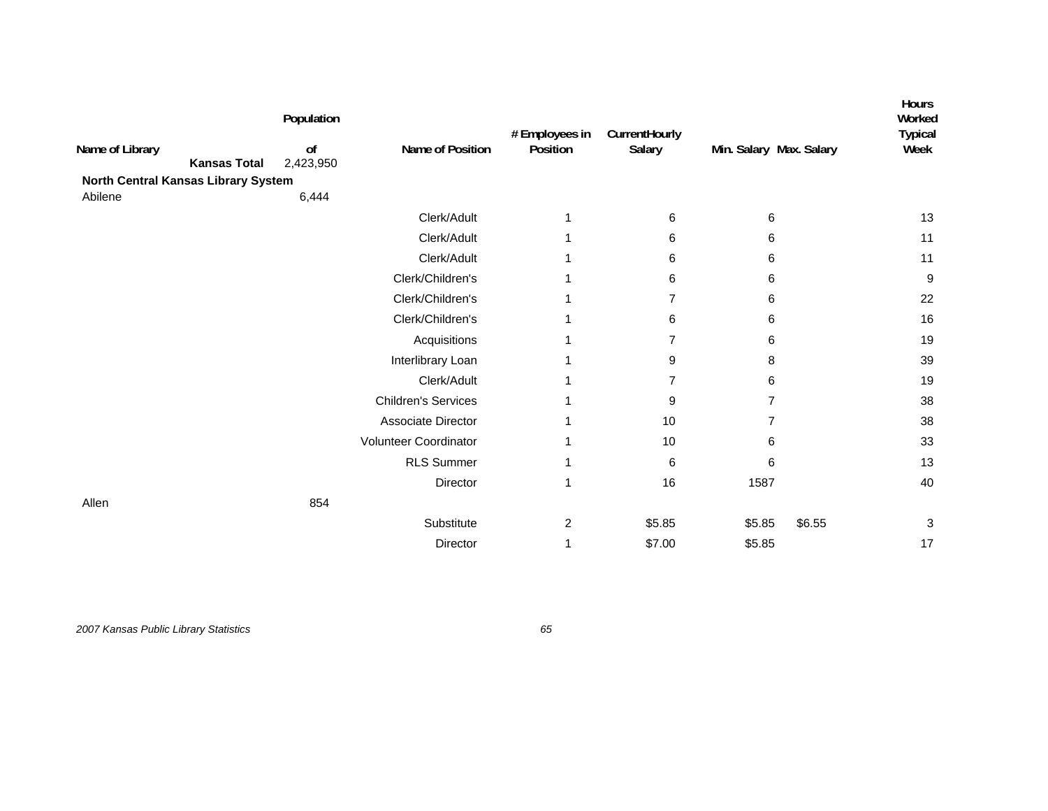|                                     |                     | Population      |                            | # Employees in | CurrentHourly  |                         | Hours<br>Worked<br><b>Typical</b> |
|-------------------------------------|---------------------|-----------------|----------------------------|----------------|----------------|-------------------------|-----------------------------------|
| Name of Library                     | <b>Kansas Total</b> | of<br>2,423,950 | Name of Position           | Position       | Salary         | Min. Salary Max. Salary | Week                              |
| North Central Kansas Library System |                     |                 |                            |                |                |                         |                                   |
| Abilene                             |                     | 6,444           |                            |                |                |                         |                                   |
|                                     |                     |                 | Clerk/Adult                | 1              | 6              | 6                       | 13                                |
|                                     |                     |                 | Clerk/Adult                |                | 6              | 6                       | 11                                |
|                                     |                     |                 | Clerk/Adult                |                | 6              | 6                       | 11                                |
|                                     |                     |                 | Clerk/Children's           |                | 6              | 6                       | $\boldsymbol{9}$                  |
|                                     |                     |                 | Clerk/Children's           |                | 7              | 6                       | 22                                |
|                                     |                     |                 | Clerk/Children's           |                | 6              | 6                       | 16                                |
|                                     |                     |                 | Acquisitions               |                | $\overline{7}$ | 6                       | 19                                |
|                                     |                     |                 | Interlibrary Loan          |                | 9              | 8                       | 39                                |
|                                     |                     |                 | Clerk/Adult                |                | 7              | 6                       | 19                                |
|                                     |                     |                 | <b>Children's Services</b> |                | 9              | 7                       | 38                                |
|                                     |                     |                 | Associate Director         |                | 10             | 7                       | 38                                |
|                                     |                     |                 | Volunteer Coordinator      |                | 10             | 6                       | 33                                |
|                                     |                     |                 | <b>RLS Summer</b>          |                | 6              | 6                       | 13                                |
|                                     |                     |                 | Director                   |                | 16             | 1587                    | 40                                |
| Allen                               |                     | 854             |                            |                |                |                         |                                   |
|                                     |                     |                 | Substitute                 | 2              | \$5.85         | \$5.85<br>\$6.55        | 3                                 |
|                                     |                     |                 | Director                   |                | \$7.00         | \$5.85                  | 17                                |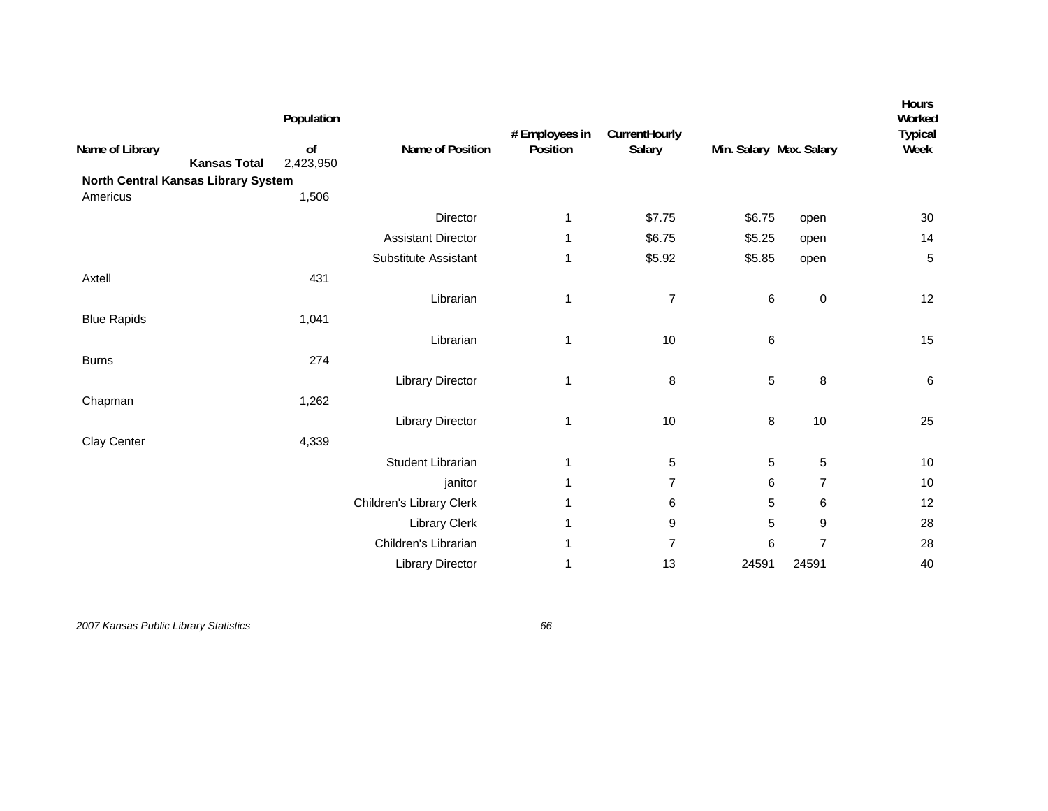| Name of Library<br><b>Kansas Total</b><br>North Central Kansas Library System | Population<br>of<br>2,423,950 | Name of Position          | # Employees in<br>Position | CurrentHourly<br>Salary | Min. Salary Max. Salary |                  | Hours<br>Worked<br><b>Typical</b><br>Week |
|-------------------------------------------------------------------------------|-------------------------------|---------------------------|----------------------------|-------------------------|-------------------------|------------------|-------------------------------------------|
| Americus                                                                      | 1,506                         |                           |                            |                         |                         |                  |                                           |
|                                                                               |                               | Director                  | 1                          | \$7.75                  | \$6.75                  | open             | 30                                        |
|                                                                               |                               | <b>Assistant Director</b> | 1                          | \$6.75                  | \$5.25                  | open             | 14                                        |
|                                                                               |                               | Substitute Assistant      | 1                          | \$5.92                  | \$5.85                  | open             | 5                                         |
| Axtell                                                                        | 431                           |                           |                            |                         |                         |                  |                                           |
|                                                                               |                               | Librarian                 | 1                          | $\overline{7}$          | $\,6$                   | $\pmb{0}$        | 12                                        |
| <b>Blue Rapids</b>                                                            | 1,041                         |                           |                            |                         |                         |                  |                                           |
|                                                                               |                               | Librarian                 | 1                          | 10                      | $\,6$                   |                  | 15                                        |
| <b>Burns</b>                                                                  | 274                           |                           |                            |                         |                         |                  |                                           |
|                                                                               |                               | <b>Library Director</b>   | 1                          | 8                       | $\mathbf 5$             | 8                | $\,6\,$                                   |
| Chapman                                                                       | 1,262                         |                           |                            |                         |                         |                  |                                           |
|                                                                               |                               | <b>Library Director</b>   | 1                          | 10                      | $\bf 8$                 | 10               | 25                                        |
| Clay Center                                                                   | 4,339                         |                           |                            |                         |                         |                  |                                           |
|                                                                               |                               | Student Librarian         | 1                          | 5                       | $\sqrt{5}$              | 5                | 10                                        |
|                                                                               |                               | janitor                   | 1                          | 7                       | 6                       | $\overline{7}$   | 10                                        |
|                                                                               |                               | Children's Library Clerk  | 1                          | 6                       | $\mathbf 5$             | 6                | 12                                        |
|                                                                               |                               | <b>Library Clerk</b>      | 1                          | 9                       | $\mathbf 5$             | $\boldsymbol{9}$ | 28                                        |
|                                                                               |                               | Children's Librarian      | 1                          | $\overline{7}$          | 6                       | $\overline{7}$   | 28                                        |
|                                                                               |                               | <b>Library Director</b>   | 1                          | 13                      | 24591                   | 24591            | 40                                        |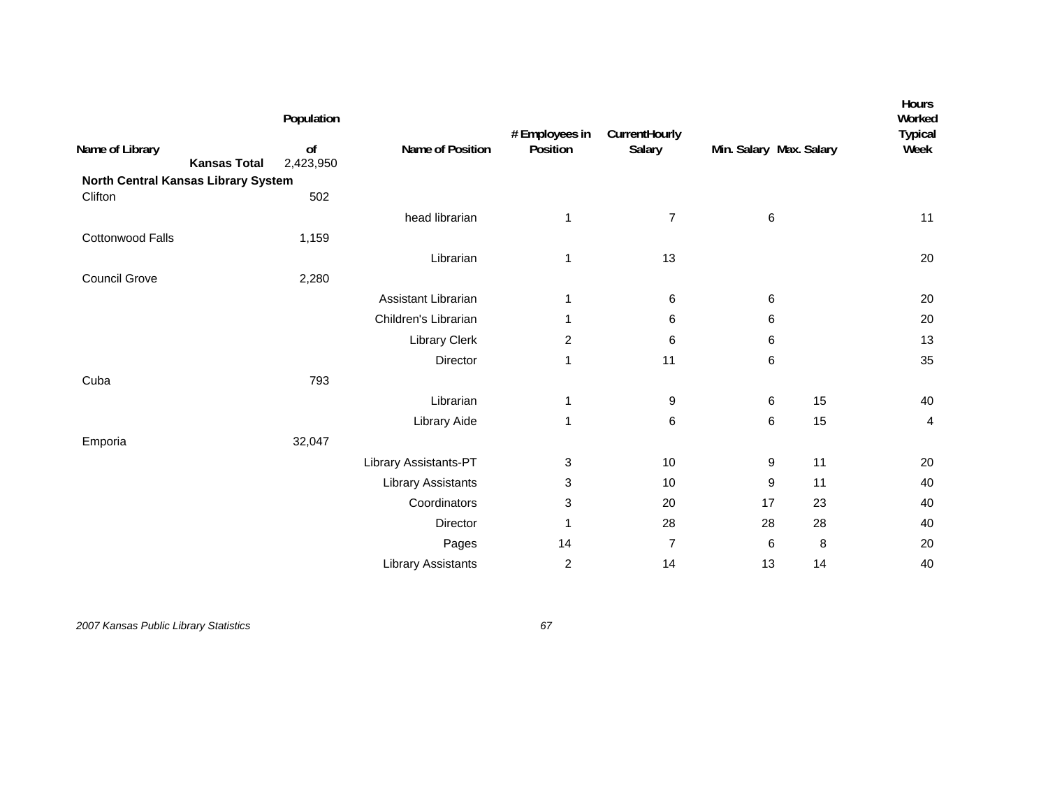|                                        | Population      |                           | # Employees in          | CurrentHourly  |                         |    | Hours<br>Worked<br><b>Typical</b> |
|----------------------------------------|-----------------|---------------------------|-------------------------|----------------|-------------------------|----|-----------------------------------|
| Name of Library<br><b>Kansas Total</b> | of<br>2,423,950 | Name of Position          | Position                | Salary         | Min. Salary Max. Salary |    | Week                              |
| North Central Kansas Library System    |                 |                           |                         |                |                         |    |                                   |
| Clifton                                | 502             |                           |                         |                |                         |    |                                   |
|                                        |                 | head librarian            | 1                       | $\overline{7}$ | 6                       |    | 11                                |
| Cottonwood Falls                       | 1,159           |                           |                         |                |                         |    |                                   |
|                                        |                 | Librarian                 | 1                       | 13             |                         |    | 20                                |
| <b>Council Grove</b>                   | 2,280           |                           |                         |                |                         |    |                                   |
|                                        |                 | Assistant Librarian       | 1                       | 6              | $\,6$                   |    | 20                                |
|                                        |                 | Children's Librarian      | 1                       | 6              | 6                       |    | 20                                |
|                                        |                 | Library Clerk             | $\overline{\mathbf{c}}$ | 6              | 6                       |    | 13                                |
|                                        |                 | Director                  | 1                       | 11             | 6                       |    | 35                                |
| Cuba                                   | 793             |                           |                         |                |                         |    |                                   |
|                                        |                 | Librarian                 | 1                       | 9              | 6                       | 15 | 40                                |
|                                        |                 | Library Aide              | 1                       | 6              | 6                       | 15 | 4                                 |
| Emporia                                | 32,047          |                           |                         |                |                         |    |                                   |
|                                        |                 | Library Assistants-PT     | 3                       | 10             | 9                       | 11 | 20                                |
|                                        |                 | <b>Library Assistants</b> | 3                       | 10             | 9                       | 11 | 40                                |
|                                        |                 | Coordinators              | 3                       | 20             | 17                      | 23 | 40                                |
|                                        |                 | Director                  | 1                       | 28             | 28                      | 28 | 40                                |
|                                        |                 | Pages                     | 14                      | $\overline{7}$ | 6                       | 8  | 20                                |
|                                        |                 | <b>Library Assistants</b> | $\overline{\mathbf{c}}$ | 14             | 13                      | 14 | 40                                |
|                                        |                 |                           |                         |                |                         |    |                                   |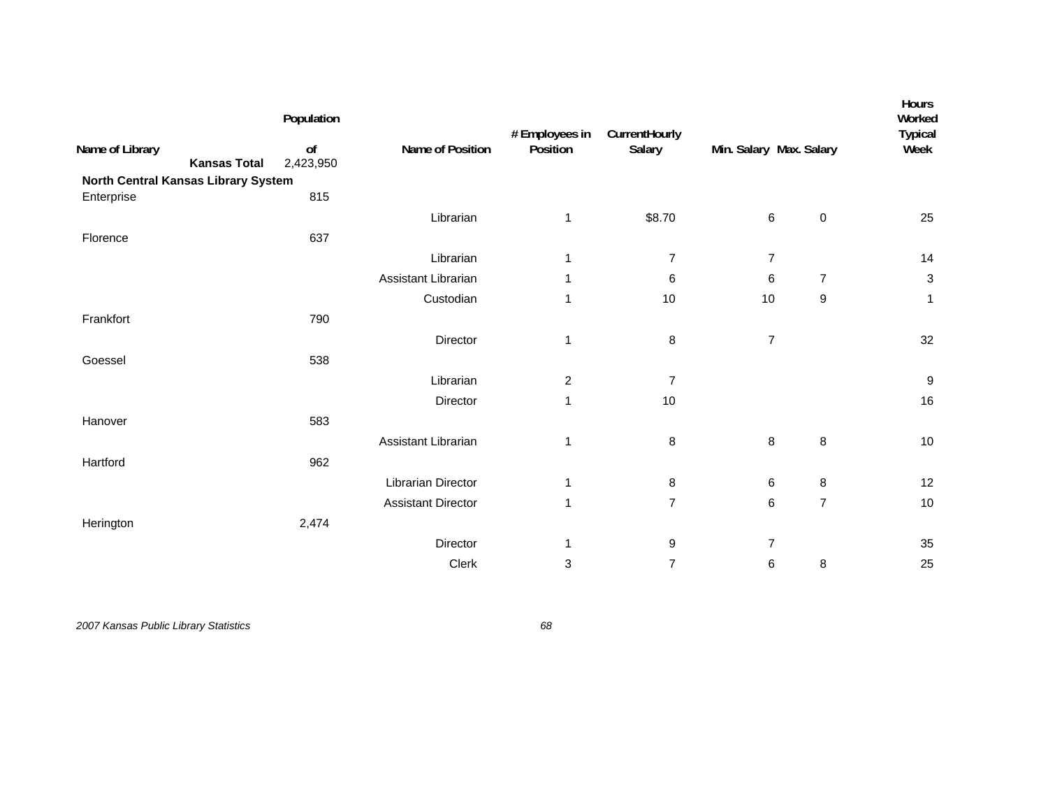| Name of Library<br><b>Kansas Total</b>            | Population<br>o <sub>f</sub><br>2,423,950 | Name of Position          | # Employees in<br>Position | CurrentHourly<br>Salary | Min. Salary Max. Salary  |                | Hours<br>Worked<br><b>Typical</b><br>Week |
|---------------------------------------------------|-------------------------------------------|---------------------------|----------------------------|-------------------------|--------------------------|----------------|-------------------------------------------|
| North Central Kansas Library System<br>Enterprise | 815                                       |                           |                            |                         |                          |                |                                           |
|                                                   |                                           | Librarian                 | 1                          | \$8.70                  | $\,6\,$                  | $\pmb{0}$      | 25                                        |
| Florence                                          | 637                                       |                           |                            |                         |                          |                |                                           |
|                                                   |                                           | Librarian                 | 1                          | $\overline{7}$          | $\overline{7}$           |                | 14                                        |
|                                                   |                                           | Assistant Librarian       | 1                          | 6                       | 6                        | $\overline{7}$ | $\ensuremath{\mathsf{3}}$                 |
|                                                   |                                           | Custodian                 | 1                          | 10                      | 10                       | 9              | $\mathbf{1}$                              |
| Frankfort                                         | 790                                       |                           |                            |                         |                          |                |                                           |
|                                                   |                                           | Director                  | 1                          | 8                       | $\overline{\mathcal{I}}$ |                | 32                                        |
| Goessel                                           | 538                                       |                           |                            |                         |                          |                |                                           |
|                                                   |                                           | Librarian                 | $\overline{c}$             | $\overline{7}$          |                          |                | $\boldsymbol{9}$                          |
|                                                   |                                           | Director                  | 1                          | 10                      |                          |                | 16                                        |
| Hanover                                           | 583                                       |                           |                            |                         |                          |                |                                           |
|                                                   |                                           | Assistant Librarian       | $\mathbf{1}$               | 8                       | 8                        | $\bf 8$        | $10$                                      |
| Hartford                                          | 962                                       |                           |                            |                         |                          |                |                                           |
|                                                   |                                           | Librarian Director        | 1                          | 8                       | 6                        | 8              | 12                                        |
|                                                   |                                           | <b>Assistant Director</b> | 1                          | $\overline{7}$          | 6                        | $\overline{7}$ | $10$                                      |
| Herington                                         | 2,474                                     |                           |                            |                         |                          |                |                                           |
|                                                   |                                           | Director                  | 1                          | 9                       | $\boldsymbol{7}$         |                | 35                                        |
|                                                   |                                           | Clerk                     | 3                          | $\overline{7}$          | 6                        | $\bf 8$        | 25                                        |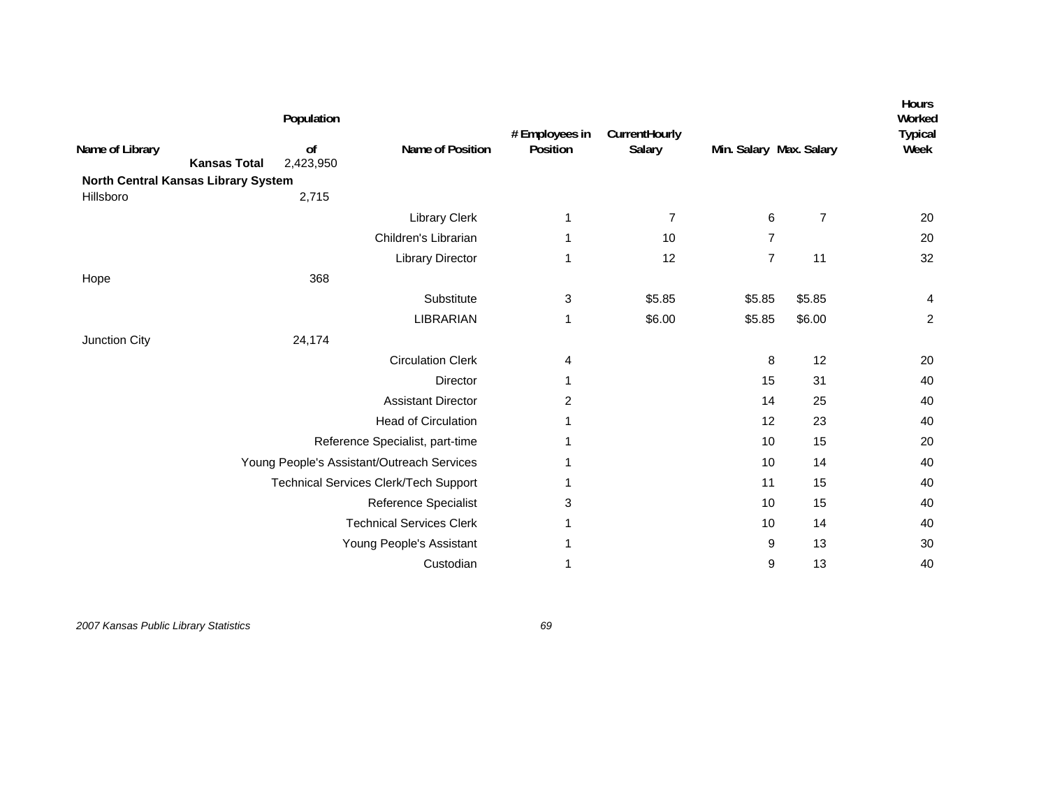| Name of Library                     |                     | Population<br>of | Name of Position                             | # Employees in<br>Position | CurrentHourly<br>Salary | Min. Salary Max. Salary |                | <b>Hours</b><br>Worked<br><b>Typical</b><br>Week |
|-------------------------------------|---------------------|------------------|----------------------------------------------|----------------------------|-------------------------|-------------------------|----------------|--------------------------------------------------|
|                                     | <b>Kansas Total</b> | 2,423,950        |                                              |                            |                         |                         |                |                                                  |
| North Central Kansas Library System |                     |                  |                                              |                            |                         |                         |                |                                                  |
| Hillsboro                           |                     | 2,715            |                                              |                            |                         |                         |                |                                                  |
|                                     |                     |                  | Library Clerk                                | 1                          | 7                       | 6                       | $\overline{7}$ | 20                                               |
|                                     |                     |                  | Children's Librarian                         | 1                          | 10                      | $\overline{7}$          |                | 20                                               |
|                                     |                     |                  | <b>Library Director</b>                      | 1                          | 12                      | $\overline{7}$          | 11             | 32                                               |
| Hope                                |                     | 368              |                                              |                            |                         |                         |                |                                                  |
|                                     |                     |                  | Substitute                                   | 3                          | \$5.85                  | \$5.85                  | \$5.85         | 4                                                |
|                                     |                     |                  | <b>LIBRARIAN</b>                             | 1                          | \$6.00                  | \$5.85                  | \$6.00         | $\overline{c}$                                   |
| Junction City                       |                     | 24,174           |                                              |                            |                         |                         |                |                                                  |
|                                     |                     |                  | <b>Circulation Clerk</b>                     | 4                          |                         | 8                       | 12             | 20                                               |
|                                     |                     |                  | <b>Director</b>                              | 1                          |                         | 15                      | 31             | 40                                               |
|                                     |                     |                  | <b>Assistant Director</b>                    | $\overline{c}$             |                         | 14                      | 25             | 40                                               |
|                                     |                     |                  | <b>Head of Circulation</b>                   |                            |                         | 12                      | 23             | 40                                               |
|                                     |                     |                  | Reference Specialist, part-time              |                            |                         | 10                      | 15             | 20                                               |
|                                     |                     |                  | Young People's Assistant/Outreach Services   |                            |                         | 10                      | 14             | 40                                               |
|                                     |                     |                  | <b>Technical Services Clerk/Tech Support</b> |                            |                         | 11                      | 15             | 40                                               |
|                                     |                     |                  | <b>Reference Specialist</b>                  | 3                          |                         | 10                      | 15             | 40                                               |
|                                     |                     |                  | <b>Technical Services Clerk</b>              | 1                          |                         | 10                      | 14             | 40                                               |
|                                     |                     |                  | Young People's Assistant                     | 1                          |                         | 9                       | 13             | 30                                               |
|                                     |                     |                  | Custodian                                    | 1                          |                         | 9                       | 13             | 40                                               |
|                                     |                     |                  |                                              |                            |                         |                         |                |                                                  |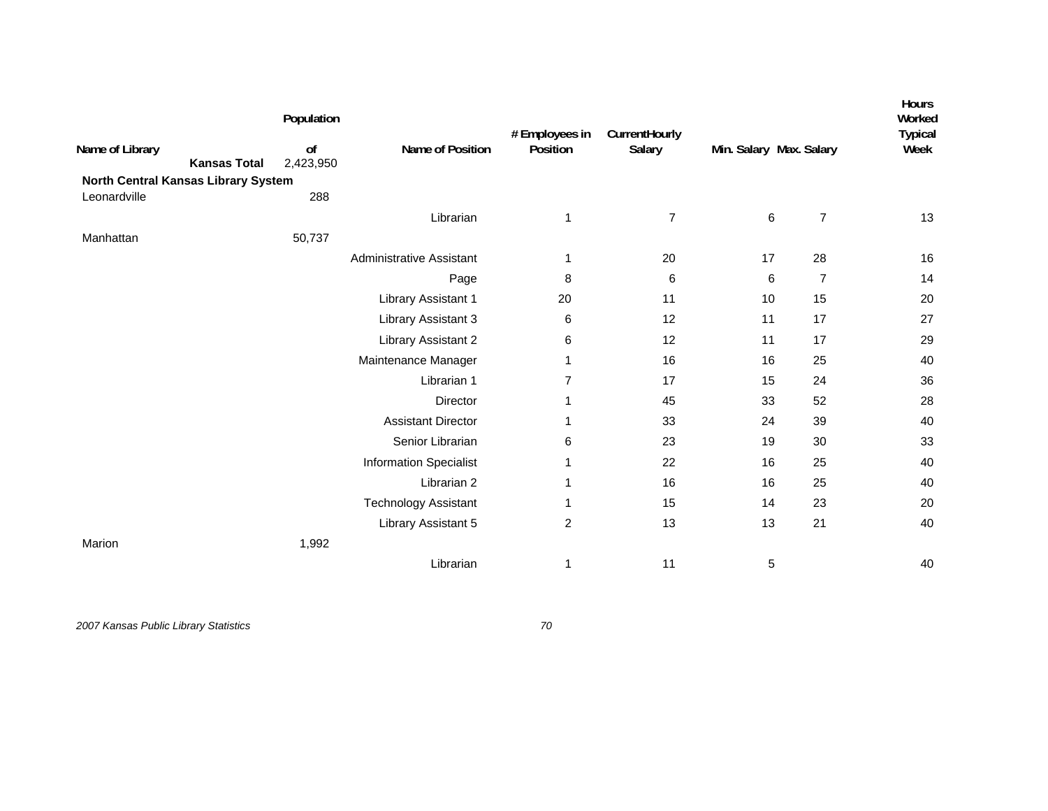| Name of Library<br><b>Kansas Total</b><br>North Central Kansas Library System | Population<br>of<br>2,423,950 | Name of Position              | # Employees in<br>Position | CurrentHourly<br>Salary |    | Min. Salary Max. Salary | Hours<br>Worked<br><b>Typical</b><br>Week |
|-------------------------------------------------------------------------------|-------------------------------|-------------------------------|----------------------------|-------------------------|----|-------------------------|-------------------------------------------|
| Leonardville                                                                  | 288                           |                               |                            |                         |    |                         |                                           |
|                                                                               |                               | Librarian                     | $\mathbf{1}$               | 7                       | 6  | $\overline{7}$          | 13                                        |
| Manhattan                                                                     | 50,737                        |                               |                            |                         |    |                         |                                           |
|                                                                               |                               | Administrative Assistant      | 1                          | 20                      | 17 | 28                      | 16                                        |
|                                                                               |                               | Page                          | 8                          | 6                       | 6  | $\overline{7}$          | 14                                        |
|                                                                               |                               | Library Assistant 1           | 20                         | 11                      | 10 | 15                      | 20                                        |
|                                                                               |                               | Library Assistant 3           | 6                          | 12                      | 11 | 17                      | 27                                        |
|                                                                               |                               | Library Assistant 2           | 6                          | 12                      | 11 | 17                      | 29                                        |
|                                                                               |                               | Maintenance Manager           | 1                          | 16                      | 16 | 25                      | 40                                        |
|                                                                               |                               | Librarian 1                   | $\overline{7}$             | 17                      | 15 | 24                      | 36                                        |
|                                                                               |                               | Director                      | 1                          | 45                      | 33 | 52                      | 28                                        |
|                                                                               |                               | <b>Assistant Director</b>     | 1                          | 33                      | 24 | 39                      | 40                                        |
|                                                                               |                               | Senior Librarian              | 6                          | 23                      | 19 | 30                      | 33                                        |
|                                                                               |                               | <b>Information Specialist</b> | 1                          | 22                      | 16 | 25                      | 40                                        |
|                                                                               |                               | Librarian 2                   | 1                          | 16                      | 16 | 25                      | 40                                        |
|                                                                               |                               | <b>Technology Assistant</b>   | 1                          | 15                      | 14 | 23                      | 20                                        |
|                                                                               |                               | Library Assistant 5           | $\overline{\mathbf{c}}$    | 13                      | 13 | 21                      | 40                                        |
| Marion                                                                        | 1,992                         |                               |                            |                         |    |                         |                                           |
|                                                                               |                               | Librarian                     | $\mathbf{1}$               | 11                      | 5  |                         | 40                                        |
|                                                                               |                               |                               |                            |                         |    |                         |                                           |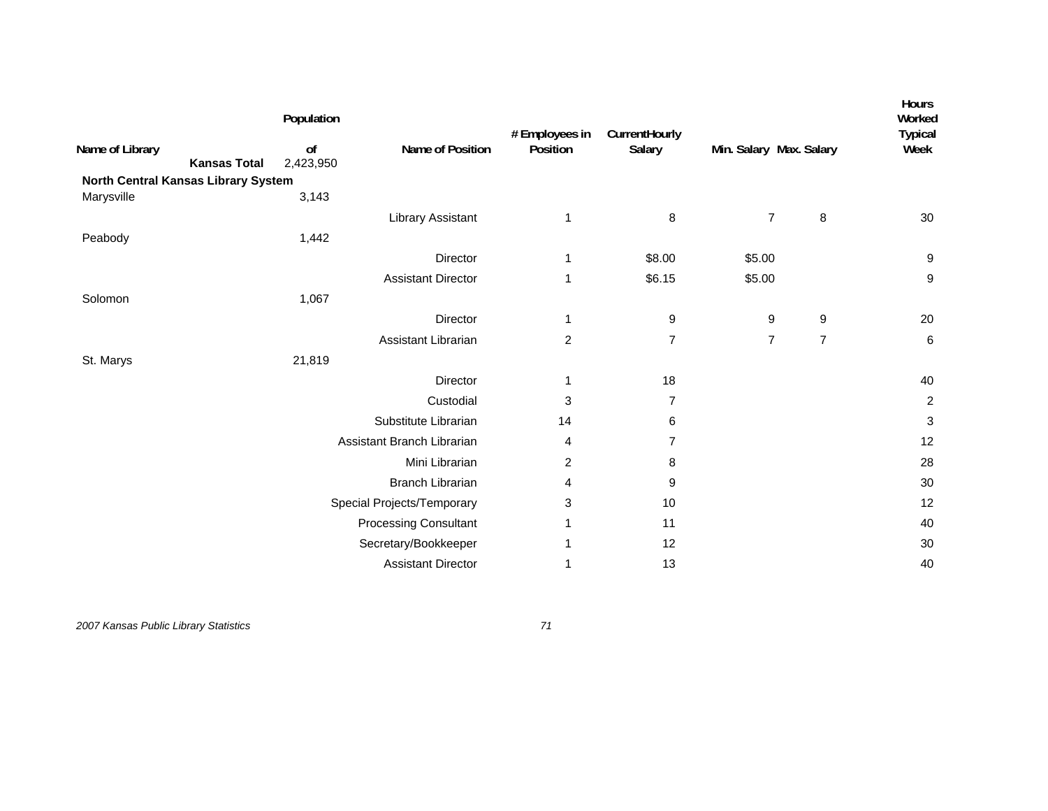|                                     |                     | Population      |                              | # Employees in | CurrentHourly  |                         |                | <b>Hours</b><br>Worked<br><b>Typical</b> |
|-------------------------------------|---------------------|-----------------|------------------------------|----------------|----------------|-------------------------|----------------|------------------------------------------|
| Name of Library                     | <b>Kansas Total</b> | of<br>2,423,950 | Name of Position             | Position       | Salary         | Min. Salary Max. Salary |                | Week                                     |
| North Central Kansas Library System |                     |                 |                              |                |                |                         |                |                                          |
| Marysville                          |                     | 3,143           |                              |                |                |                         |                |                                          |
|                                     |                     |                 | Library Assistant            | 1              | 8              | $\overline{7}$          | 8              | 30                                       |
| Peabody                             |                     | 1,442           |                              |                |                |                         |                |                                          |
|                                     |                     |                 | Director                     | 1              | \$8.00         | \$5.00                  |                | $\boldsymbol{9}$                         |
|                                     |                     |                 | <b>Assistant Director</b>    | 1              | \$6.15         | \$5.00                  |                | 9                                        |
| Solomon                             |                     | 1,067           |                              |                |                |                         |                |                                          |
|                                     |                     |                 | Director                     | 1              | 9              | 9                       | 9              | 20                                       |
|                                     |                     |                 | Assistant Librarian          | $\overline{c}$ | $\overline{7}$ | $\overline{7}$          | $\overline{7}$ | $\,6$                                    |
| St. Marys                           |                     | 21,819          |                              |                |                |                         |                |                                          |
|                                     |                     |                 | Director                     | 1              | 18             |                         |                | 40                                       |
|                                     |                     |                 | Custodial                    | 3              | $\overline{7}$ |                         |                | $\overline{c}$                           |
|                                     |                     |                 | Substitute Librarian         | 14             | 6              |                         |                | $\ensuremath{\mathsf{3}}$                |
|                                     |                     |                 | Assistant Branch Librarian   | 4              | $\overline{7}$ |                         |                | 12                                       |
|                                     |                     |                 | Mini Librarian               | 2              | 8              |                         |                | 28                                       |
|                                     |                     |                 | <b>Branch Librarian</b>      | 4              | 9              |                         |                | 30                                       |
|                                     |                     |                 | Special Projects/Temporary   | 3              | 10             |                         |                | 12                                       |
|                                     |                     |                 | <b>Processing Consultant</b> | 1              | 11             |                         |                | 40                                       |
|                                     |                     |                 | Secretary/Bookkeeper         | 1              | 12             |                         |                | 30                                       |
|                                     |                     |                 | <b>Assistant Director</b>    | 1              | 13             |                         |                | 40                                       |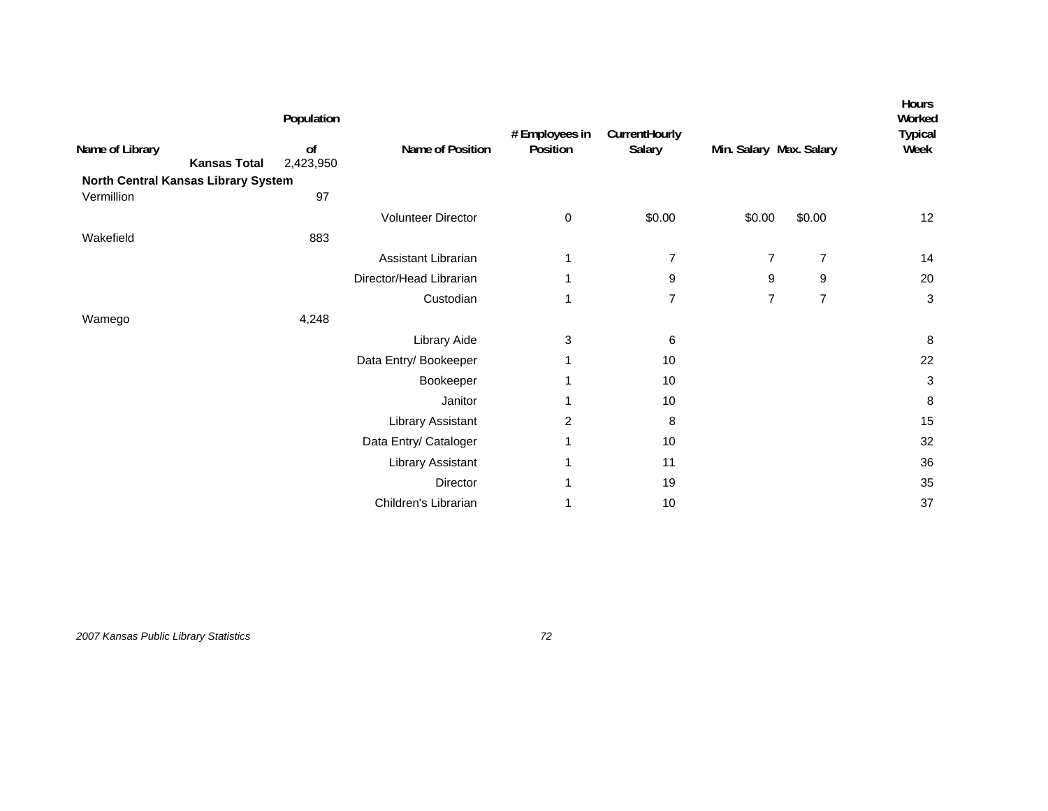| Name of Library<br><b>Kansas Total</b><br>North Central Kansas Library System | Population<br>of<br>2,423,950 | Name of Position        | # Employees in<br>Position | CurrentHourly<br>Salary | Min. Salary Max. Salary |                | <b>Hours</b><br>Worked<br><b>Typical</b><br>Week |
|-------------------------------------------------------------------------------|-------------------------------|-------------------------|----------------------------|-------------------------|-------------------------|----------------|--------------------------------------------------|
| Vermillion                                                                    | 97                            |                         |                            |                         |                         |                |                                                  |
|                                                                               |                               | Volunteer Director      | 0                          | \$0.00                  | \$0.00                  | \$0.00         | 12                                               |
| Wakefield                                                                     | 883                           |                         |                            |                         |                         |                |                                                  |
|                                                                               |                               | Assistant Librarian     | 1                          | $\overline{7}$          | $\overline{7}$          | $\overline{7}$ | 14                                               |
|                                                                               |                               | Director/Head Librarian | 1                          | 9                       | 9                       | 9              | 20                                               |
|                                                                               |                               | Custodian               | 1                          | $\overline{7}$          | $\overline{7}$          | $\overline{7}$ | 3                                                |
| Wamego                                                                        | 4,248                         |                         |                            |                         |                         |                |                                                  |
|                                                                               |                               | Library Aide            | 3                          | 6                       |                         |                | 8                                                |
|                                                                               |                               | Data Entry/ Bookeeper   | 1                          | 10                      |                         |                | 22                                               |
|                                                                               |                               | Bookeeper               | 1                          | 10                      |                         |                | 3                                                |
|                                                                               |                               | Janitor                 | 1                          | 10                      |                         |                | 8                                                |
|                                                                               |                               | Library Assistant       | $\overline{2}$             | 8                       |                         |                | 15                                               |
|                                                                               |                               | Data Entry/ Cataloger   | 1                          | 10                      |                         |                | 32                                               |
|                                                                               |                               | Library Assistant       | 1                          | 11                      |                         |                | 36                                               |
|                                                                               |                               | Director                | 1                          | 19                      |                         |                | 35                                               |
|                                                                               |                               | Children's Librarian    | 1                          | 10                      |                         |                | 37                                               |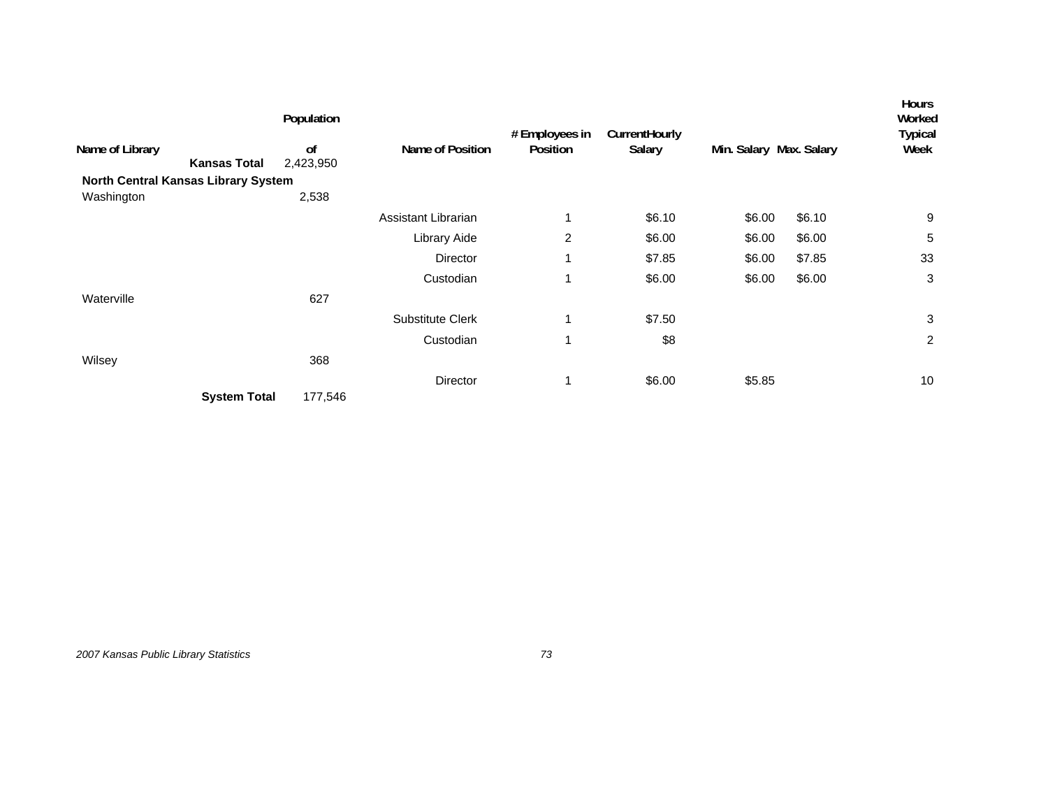|                                     |                     | Population                 |                         | # Employees in | CurrentHourly |                         |        | <b>Hours</b><br>Worked<br><b>Typical</b> |
|-------------------------------------|---------------------|----------------------------|-------------------------|----------------|---------------|-------------------------|--------|------------------------------------------|
| Name of Library                     | <b>Kansas Total</b> | <sub>of</sub><br>2,423,950 | Name of Position        | Position       | Salary        | Min. Salary Max. Salary |        | Week                                     |
| North Central Kansas Library System |                     |                            |                         |                |               |                         |        |                                          |
| Washington                          |                     | 2,538                      |                         |                |               |                         |        |                                          |
|                                     |                     |                            | Assistant Librarian     |                | \$6.10        | \$6.00                  | \$6.10 | 9                                        |
|                                     |                     |                            | Library Aide            | 2              | \$6.00        | \$6.00                  | \$6.00 | 5                                        |
|                                     |                     |                            | Director                | 1              | \$7.85        | \$6.00                  | \$7.85 | 33                                       |
|                                     |                     |                            | Custodian               | 1              | \$6.00        | \$6.00                  | \$6.00 | 3                                        |
| Waterville                          |                     | 627                        |                         |                |               |                         |        |                                          |
|                                     |                     |                            | <b>Substitute Clerk</b> |                | \$7.50        |                         |        | 3                                        |
|                                     |                     |                            | Custodian               |                | \$8           |                         |        | $\overline{c}$                           |
| Wilsey                              |                     | 368                        |                         |                |               |                         |        |                                          |
|                                     |                     |                            | Director                |                | \$6.00        | \$5.85                  |        | 10                                       |
|                                     | <b>System Total</b> | 177,546                    |                         |                |               |                         |        |                                          |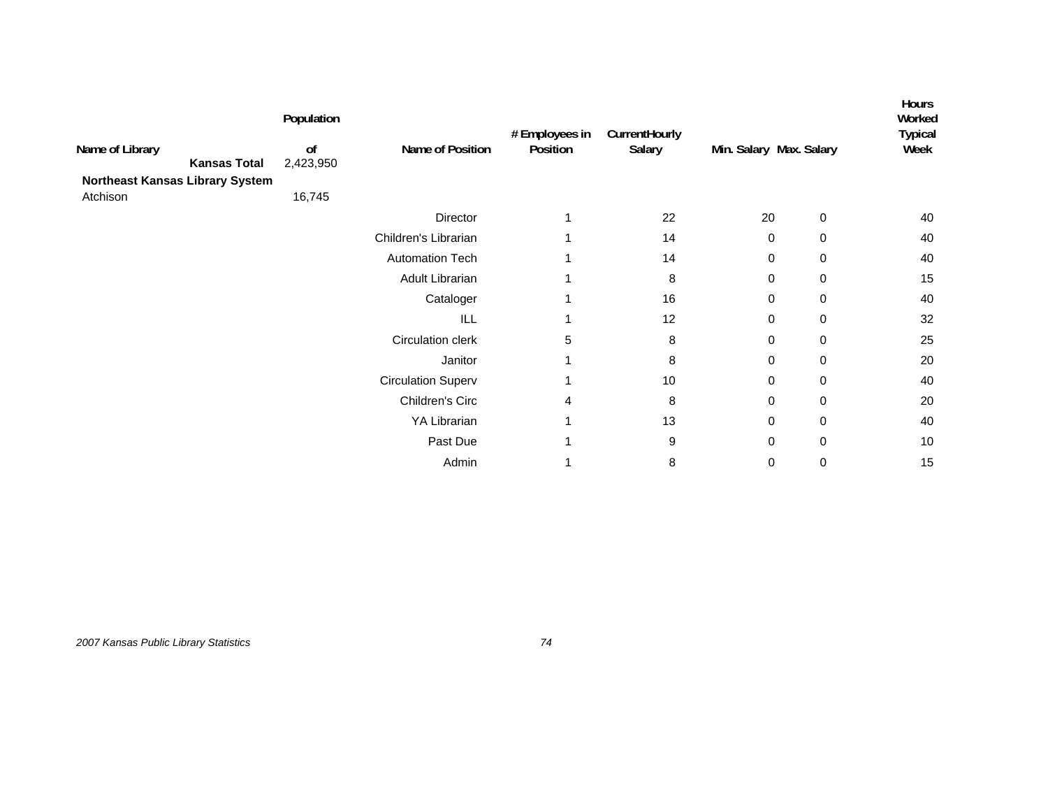| Name of Library<br>Northeast Kansas Library System | <b>Kansas Total</b> | Population<br>of<br>2,423,950 | Name of Position          | # Employees in<br>Position | CurrentHourly<br>Salary | Min. Salary Max. Salary |             | <b>Hours</b><br>Worked<br><b>Typical</b><br>Week |
|----------------------------------------------------|---------------------|-------------------------------|---------------------------|----------------------------|-------------------------|-------------------------|-------------|--------------------------------------------------|
| Atchison                                           |                     | 16,745                        |                           |                            |                         |                         |             |                                                  |
|                                                    |                     |                               | Director                  |                            | 22                      | 20                      | 0           | 40                                               |
|                                                    |                     |                               | Children's Librarian      |                            | 14                      | 0                       | 0           | 40                                               |
|                                                    |                     |                               | <b>Automation Tech</b>    |                            | 14                      | 0                       | 0           | 40                                               |
|                                                    |                     |                               | Adult Librarian           |                            | 8                       | 0                       | 0           | 15                                               |
|                                                    |                     |                               | Cataloger                 |                            | 16                      | 0                       | 0           | 40                                               |
|                                                    |                     |                               | ILL                       |                            | 12                      | 0                       | 0           | 32                                               |
|                                                    |                     |                               | Circulation clerk         | 5                          | 8                       | $\mathbf 0$             | 0           | 25                                               |
|                                                    |                     |                               | Janitor                   |                            | 8                       | 0                       | 0           | 20                                               |
|                                                    |                     |                               | <b>Circulation Superv</b> |                            | 10                      | 0                       | $\mathbf 0$ | 40                                               |
|                                                    |                     |                               | Children's Circ           | 4                          | 8                       | 0                       | 0           | 20                                               |
|                                                    |                     |                               | YA Librarian              |                            | 13                      | 0                       | 0           | 40                                               |
|                                                    |                     |                               | Past Due                  |                            | 9                       | 0                       | $\mathbf 0$ | 10                                               |
|                                                    |                     |                               | Admin                     |                            | 8                       | 0                       | 0           | 15                                               |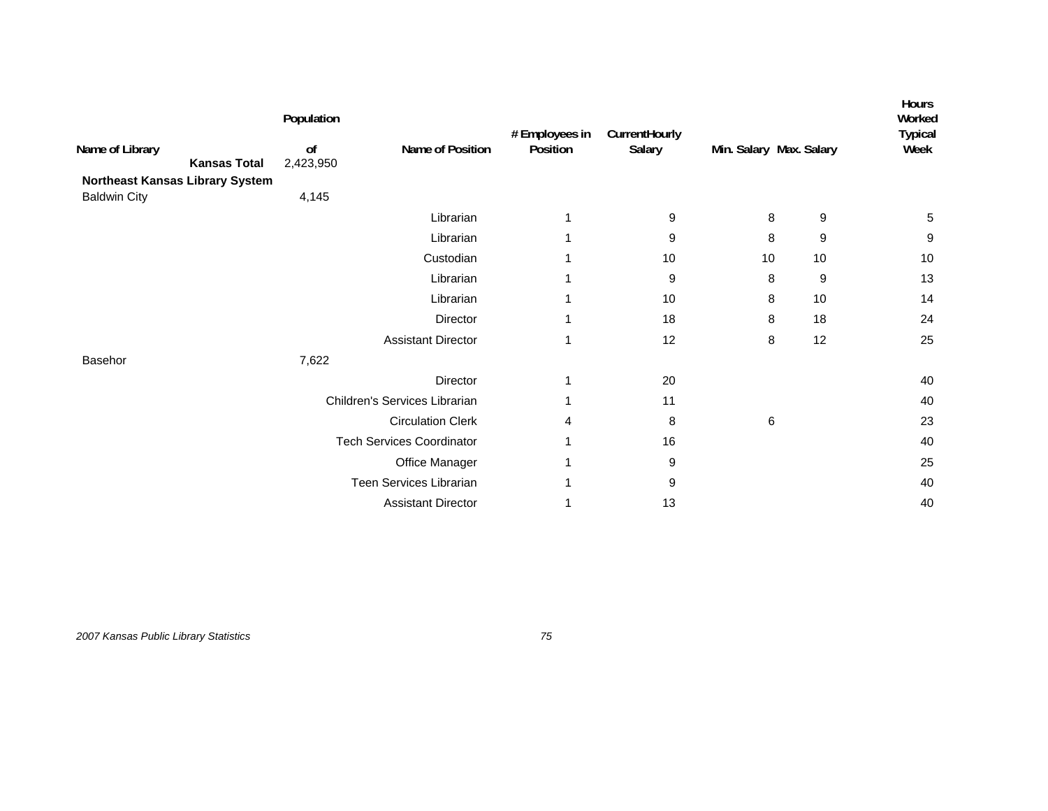| Name of Library<br><b>Kansas Total</b><br>Northeast Kansas Library System<br><b>Baldwin City</b> | Population<br>of<br>2,423,950<br>4,145 | Name of Position                 | # Employees in<br>Position | CurrentHourly<br>Salary | Min. Salary Max. Salary |    | <b>Hours</b><br>Worked<br><b>Typical</b><br>Week |
|--------------------------------------------------------------------------------------------------|----------------------------------------|----------------------------------|----------------------------|-------------------------|-------------------------|----|--------------------------------------------------|
|                                                                                                  |                                        | Librarian                        | 1                          | 9                       | 8                       | 9  | 5                                                |
|                                                                                                  |                                        | Librarian                        |                            | 9                       | 8                       | 9  | 9                                                |
|                                                                                                  |                                        | Custodian                        | 1                          | 10                      | 10                      | 10 | 10                                               |
|                                                                                                  |                                        | Librarian                        |                            | 9                       | 8                       | 9  | 13                                               |
|                                                                                                  |                                        | Librarian                        |                            | 10                      | 8                       | 10 | 14                                               |
|                                                                                                  |                                        | Director                         | 1                          | 18                      | 8                       | 18 | 24                                               |
|                                                                                                  |                                        | <b>Assistant Director</b>        | 1                          | 12                      | $\bf 8$                 | 12 | 25                                               |
| Basehor                                                                                          | 7,622                                  |                                  |                            |                         |                         |    |                                                  |
|                                                                                                  |                                        | Director                         | 1                          | 20                      |                         |    | 40                                               |
|                                                                                                  |                                        | Children's Services Librarian    |                            | 11                      |                         |    | 40                                               |
|                                                                                                  |                                        | <b>Circulation Clerk</b>         | 4                          | 8                       | 6                       |    | 23                                               |
|                                                                                                  |                                        | <b>Tech Services Coordinator</b> |                            | 16                      |                         |    | 40                                               |
|                                                                                                  |                                        | Office Manager                   |                            | 9                       |                         |    | 25                                               |
|                                                                                                  |                                        | Teen Services Librarian          | 1                          | 9                       |                         |    | 40                                               |
|                                                                                                  |                                        | <b>Assistant Director</b>        |                            | 13                      |                         |    | 40                                               |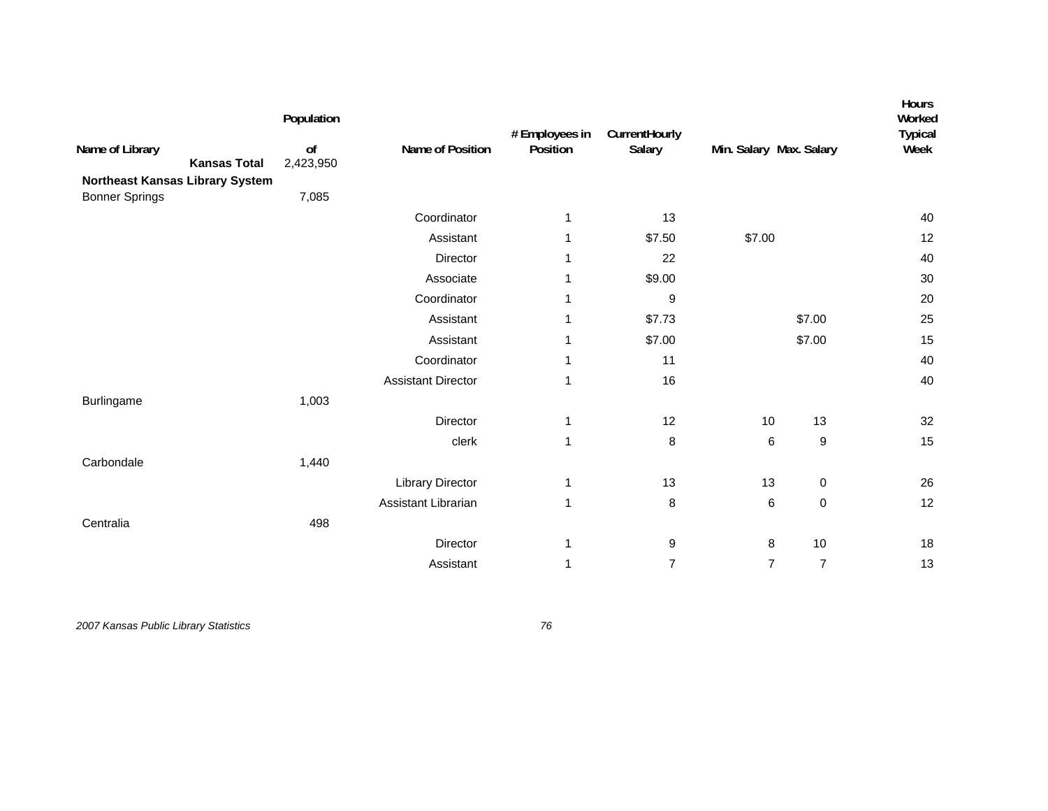| Population<br>o <sub>f</sub><br>2,423,950<br>Northeast Kansas Library System | Name of Position          | # Employees in<br>Position | CurrentHourly<br>Salary |                  | Hours<br>Worked<br><b>Typical</b><br>Week                                          |
|------------------------------------------------------------------------------|---------------------------|----------------------------|-------------------------|------------------|------------------------------------------------------------------------------------|
|                                                                              | Coordinator               | 1                          | 13                      |                  | 40                                                                                 |
|                                                                              | Assistant                 | 1                          | \$7.50                  |                  | 12                                                                                 |
|                                                                              | Director                  | 1                          | 22                      |                  | 40                                                                                 |
|                                                                              | Associate                 | 1                          | \$9.00                  |                  | 30                                                                                 |
|                                                                              | Coordinator               | 1                          | 9                       |                  | 20                                                                                 |
|                                                                              | Assistant                 | 1                          | \$7.73                  | \$7.00           | 25                                                                                 |
|                                                                              | Assistant                 | 1                          | \$7.00                  | \$7.00           | 15                                                                                 |
|                                                                              | Coordinator               | 1                          | 11                      |                  | 40                                                                                 |
|                                                                              | <b>Assistant Director</b> | 1                          | 16                      |                  | 40                                                                                 |
| 1,003                                                                        |                           |                            |                         |                  |                                                                                    |
|                                                                              | Director                  | $\mathbf{1}$               | 12                      | 13               | 32                                                                                 |
|                                                                              | clerk                     | $\mathbf{1}$               | 8                       | $\boldsymbol{9}$ | 15                                                                                 |
| 1,440                                                                        |                           |                            |                         |                  |                                                                                    |
|                                                                              | <b>Library Director</b>   | $\mathbf{1}$               | 13                      | $\pmb{0}$        | 26                                                                                 |
|                                                                              | Assistant Librarian       | $\mathbf{1}$               | 8                       | $\pmb{0}$        | 12                                                                                 |
| 498                                                                          |                           |                            |                         |                  |                                                                                    |
|                                                                              | Director                  | 1                          | 9                       | 10               | 18                                                                                 |
|                                                                              | Assistant                 | 1                          | $\overline{7}$          | $\overline{7}$   | 13                                                                                 |
|                                                                              | 7,085                     |                            |                         |                  | Min. Salary Max. Salary<br>\$7.00<br>10<br>6<br>13<br>$\,6$<br>8<br>$\overline{7}$ |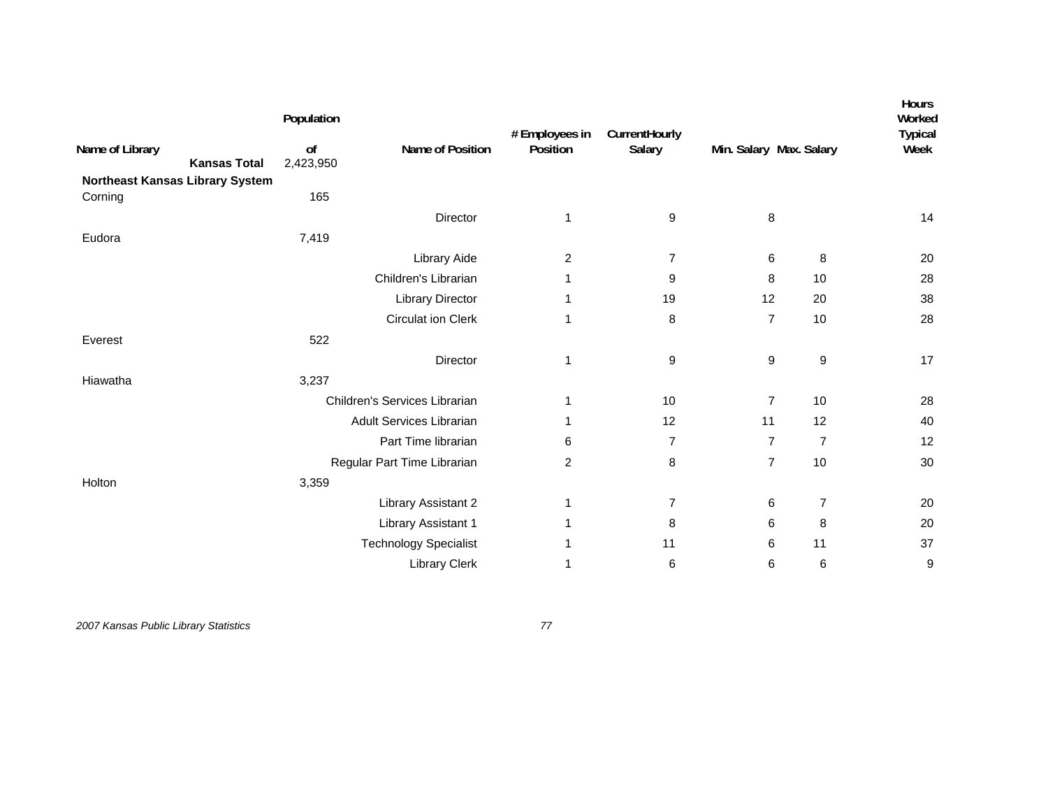|                                        | Population      |                               | # Employees in | CurrentHourly  |                         |                | <b>Hours</b><br>Worked<br><b>Typical</b> |
|----------------------------------------|-----------------|-------------------------------|----------------|----------------|-------------------------|----------------|------------------------------------------|
| Name of Library<br><b>Kansas Total</b> | of<br>2,423,950 | Name of Position              | Position       | Salary         | Min. Salary Max. Salary |                | Week                                     |
| <b>Northeast Kansas Library System</b> |                 |                               |                |                |                         |                |                                          |
| Corning                                | 165             |                               |                |                |                         |                |                                          |
|                                        |                 | Director                      | 1              | 9              | 8                       |                | 14                                       |
| Eudora                                 | 7,419           |                               |                |                |                         |                |                                          |
|                                        |                 | Library Aide                  | $\overline{c}$ | $\overline{7}$ | 6                       | 8              | 20                                       |
|                                        |                 | Children's Librarian          | 1              | 9              | 8                       | 10             | 28                                       |
|                                        |                 | <b>Library Director</b>       | 1              | 19             | 12                      | 20             | 38                                       |
|                                        |                 | <b>Circulat ion Clerk</b>     | 1              | 8              | $\overline{7}$          | 10             | 28                                       |
| Everest                                | 522             |                               |                |                |                         |                |                                          |
|                                        |                 | Director                      | 1              | 9              | 9                       | 9              | 17                                       |
| Hiawatha                               | 3,237           |                               |                |                |                         |                |                                          |
|                                        |                 | Children's Services Librarian | 1              | 10             | $\overline{7}$          | 10             | 28                                       |
|                                        |                 | Adult Services Librarian      | $\mathbf 1$    | 12             | 11                      | 12             | 40                                       |
|                                        |                 | Part Time librarian           | 6              | $\overline{7}$ | $\overline{7}$          | $\overline{7}$ | 12                                       |
|                                        |                 | Regular Part Time Librarian   | 2              | 8              | $\overline{7}$          | 10             | 30                                       |
| Holton                                 | 3,359           |                               |                |                |                         |                |                                          |
|                                        |                 | Library Assistant 2           | 1              | 7              | 6                       | $\overline{7}$ | 20                                       |
|                                        |                 | Library Assistant 1           | 1              | 8              | 6                       | 8              | 20                                       |
|                                        |                 | <b>Technology Specialist</b>  | 1              | 11             | 6                       | 11             | 37                                       |
|                                        |                 | Library Clerk                 | 1              | 6              | 6                       | $\,6$          | 9                                        |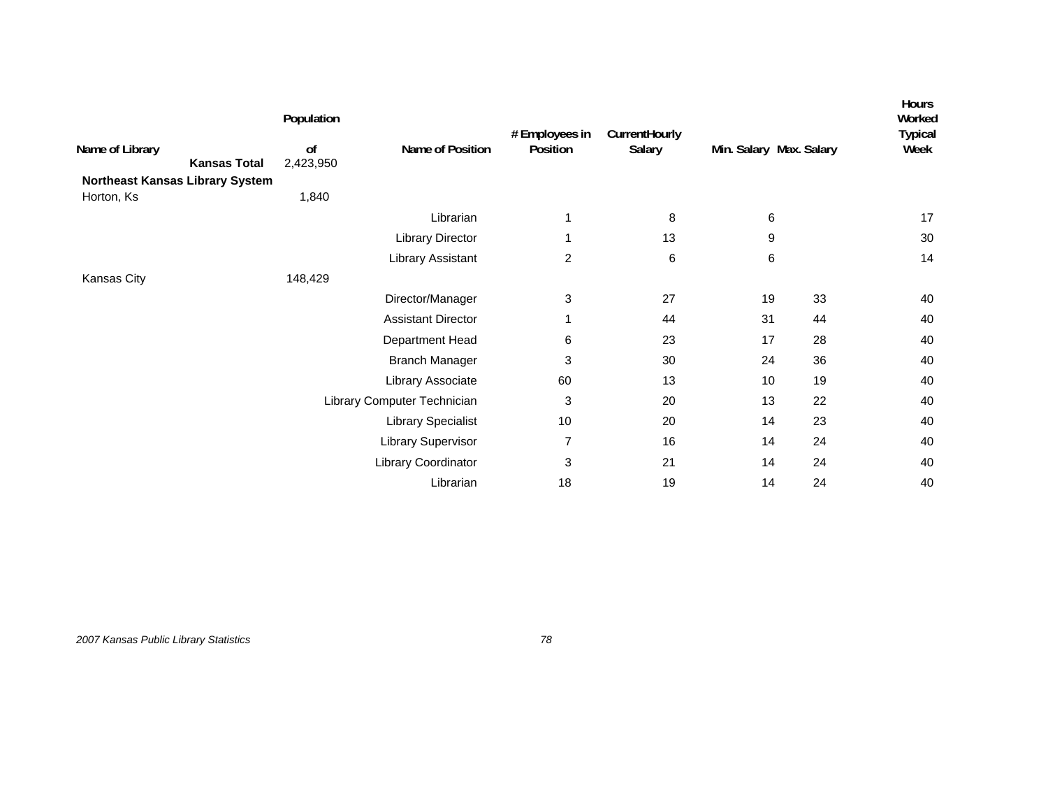| Name of Library<br><b>Kansas Total</b>        | Population<br>of<br>2,423,950 | Name of Position            | # Employees in<br>Position | CurrentHourly<br>Salary | Min. Salary Max. Salary |    | <b>Hours</b><br>Worked<br><b>Typical</b><br>Week |
|-----------------------------------------------|-------------------------------|-----------------------------|----------------------------|-------------------------|-------------------------|----|--------------------------------------------------|
| Northeast Kansas Library System<br>Horton, Ks | 1,840                         |                             |                            |                         |                         |    |                                                  |
|                                               |                               | Librarian                   | 1                          | 8                       | 6                       |    | 17                                               |
|                                               |                               | <b>Library Director</b>     | 1                          | 13                      | 9                       |    | 30                                               |
|                                               |                               | Library Assistant           | $\overline{c}$             | 6                       | 6                       |    | 14                                               |
| Kansas City                                   | 148,429                       |                             |                            |                         |                         |    |                                                  |
|                                               |                               | Director/Manager            | 3                          | 27                      | 19                      | 33 | 40                                               |
|                                               |                               | <b>Assistant Director</b>   | 1                          | 44                      | 31                      | 44 | 40                                               |
|                                               |                               | Department Head             | 6                          | 23                      | 17                      | 28 | 40                                               |
|                                               |                               | <b>Branch Manager</b>       | 3                          | 30                      | 24                      | 36 | 40                                               |
|                                               |                               | Library Associate           | 60                         | 13                      | 10                      | 19 | 40                                               |
|                                               |                               | Library Computer Technician | 3                          | 20                      | 13                      | 22 | 40                                               |
|                                               |                               | <b>Library Specialist</b>   | 10                         | 20                      | 14                      | 23 | 40                                               |
|                                               |                               | Library Supervisor          | 7                          | 16                      | 14                      | 24 | 40                                               |
|                                               |                               | Library Coordinator         | 3                          | 21                      | 14                      | 24 | 40                                               |
|                                               |                               | Librarian                   | 18                         | 19                      | 14                      | 24 | 40                                               |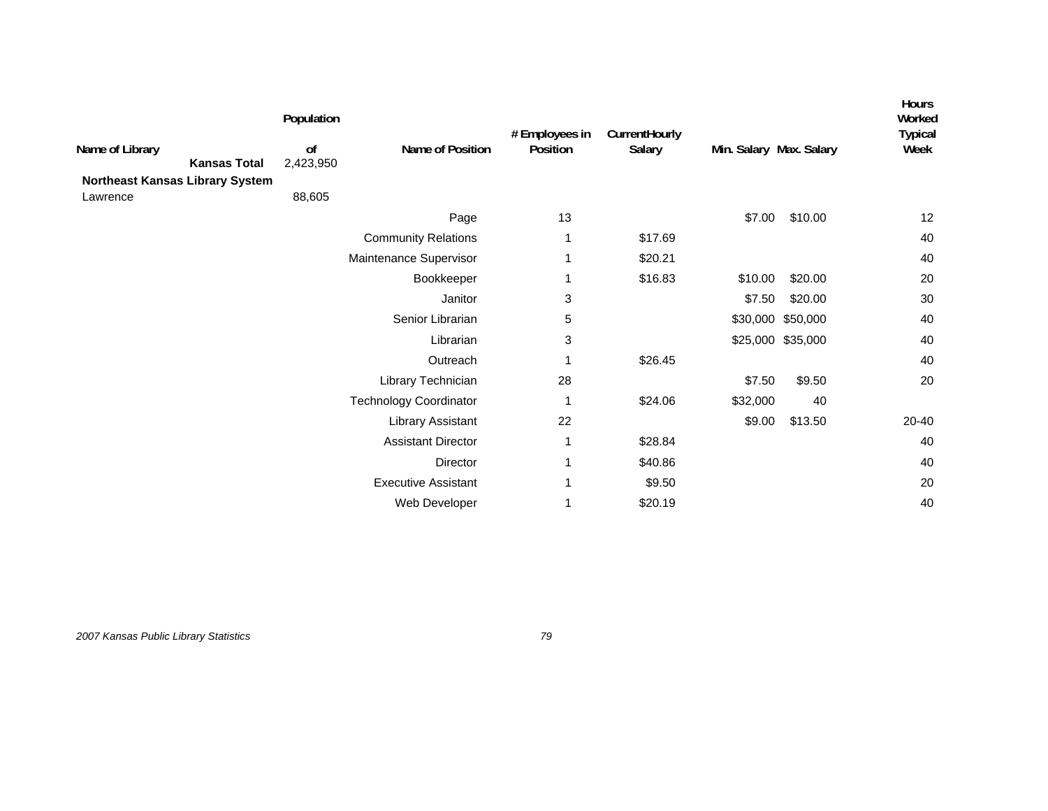| Name of Library<br><b>Kansas Total</b>      | Population<br>of<br>2,423,950 | Name of Position              | # Employees in<br>Position | CurrentHourly<br>Salary | Min. Salary Max. Salary |                   | <b>Hours</b><br>Worked<br><b>Typical</b><br>Week |
|---------------------------------------------|-------------------------------|-------------------------------|----------------------------|-------------------------|-------------------------|-------------------|--------------------------------------------------|
| Northeast Kansas Library System<br>Lawrence | 88,605                        |                               |                            |                         |                         |                   |                                                  |
|                                             |                               | Page                          | 13                         |                         | \$7.00                  | \$10.00           | 12                                               |
|                                             |                               | <b>Community Relations</b>    |                            | \$17.69                 |                         |                   | 40                                               |
|                                             |                               | Maintenance Supervisor        |                            | \$20.21                 |                         |                   | 40                                               |
|                                             |                               | Bookkeeper                    |                            | \$16.83                 | \$10.00                 | \$20.00           | 20                                               |
|                                             |                               | Janitor                       | 3                          |                         | \$7.50                  | \$20.00           | 30                                               |
|                                             |                               | Senior Librarian              | 5                          |                         |                         | \$30,000 \$50,000 | 40                                               |
|                                             |                               | Librarian                     | 3                          |                         |                         | \$25,000 \$35,000 | 40                                               |
|                                             |                               | Outreach                      |                            | \$26.45                 |                         |                   | 40                                               |
|                                             |                               | Library Technician            | 28                         |                         | \$7.50                  | \$9.50            | 20                                               |
|                                             |                               | <b>Technology Coordinator</b> |                            | \$24.06                 | \$32,000                | 40                |                                                  |
|                                             |                               | <b>Library Assistant</b>      | 22                         |                         | \$9.00                  | \$13.50           | 20-40                                            |
|                                             |                               | <b>Assistant Director</b>     | 1                          | \$28.84                 |                         |                   | 40                                               |
|                                             |                               | Director                      | 1                          | \$40.86                 |                         |                   | 40                                               |
|                                             |                               | <b>Executive Assistant</b>    |                            | \$9.50                  |                         |                   | 20                                               |
|                                             |                               | Web Developer                 |                            | \$20.19                 |                         |                   | 40                                               |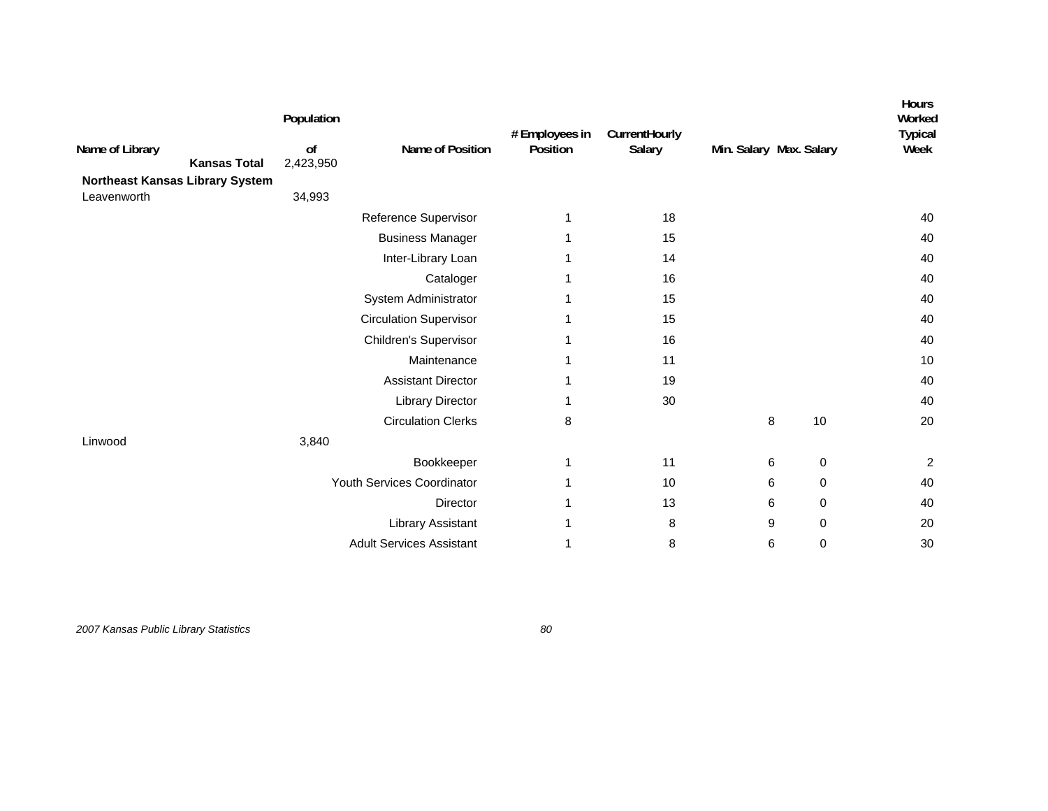| Name of Library<br><b>Kansas Total</b>         | Population<br>of<br>2,423,950 | Name of Position                | # Employees in<br>Position | CurrentHourly<br>Salary |   | Min. Salary Max. Salary | Hours<br>Worked<br><b>Typical</b><br>Week |
|------------------------------------------------|-------------------------------|---------------------------------|----------------------------|-------------------------|---|-------------------------|-------------------------------------------|
| Northeast Kansas Library System<br>Leavenworth | 34,993                        |                                 |                            |                         |   |                         |                                           |
|                                                |                               | Reference Supervisor            | 1                          | 18                      |   |                         | 40                                        |
|                                                |                               | <b>Business Manager</b>         | 1                          | 15                      |   |                         | 40                                        |
|                                                |                               | Inter-Library Loan              |                            | 14                      |   |                         | 40                                        |
|                                                |                               | Cataloger                       |                            | 16                      |   |                         | 40                                        |
|                                                |                               | System Administrator            |                            | 15                      |   |                         | 40                                        |
|                                                |                               | <b>Circulation Supervisor</b>   |                            | 15                      |   |                         | 40                                        |
|                                                |                               | Children's Supervisor           |                            | 16                      |   |                         | 40                                        |
|                                                |                               | Maintenance                     |                            | 11                      |   |                         | 10                                        |
|                                                |                               | <b>Assistant Director</b>       |                            | 19                      |   |                         | 40                                        |
|                                                |                               | <b>Library Director</b>         | 1                          | 30                      |   |                         | 40                                        |
|                                                |                               | <b>Circulation Clerks</b>       | 8                          |                         | 8 | 10                      | 20                                        |
| Linwood                                        | 3,840                         |                                 |                            |                         |   |                         |                                           |
|                                                |                               | Bookkeeper                      | 1                          | 11                      | 6 | 0                       | $\overline{c}$                            |
|                                                |                               | Youth Services Coordinator      |                            | 10                      | 6 | $\pmb{0}$               | 40                                        |
|                                                |                               | <b>Director</b>                 | 1                          | 13                      | 6 | 0                       | 40                                        |
|                                                |                               | Library Assistant               | 1                          | 8                       | 9 | $\mathbf 0$             | 20                                        |
|                                                |                               | <b>Adult Services Assistant</b> |                            | 8                       | 6 | $\mathbf 0$             | 30                                        |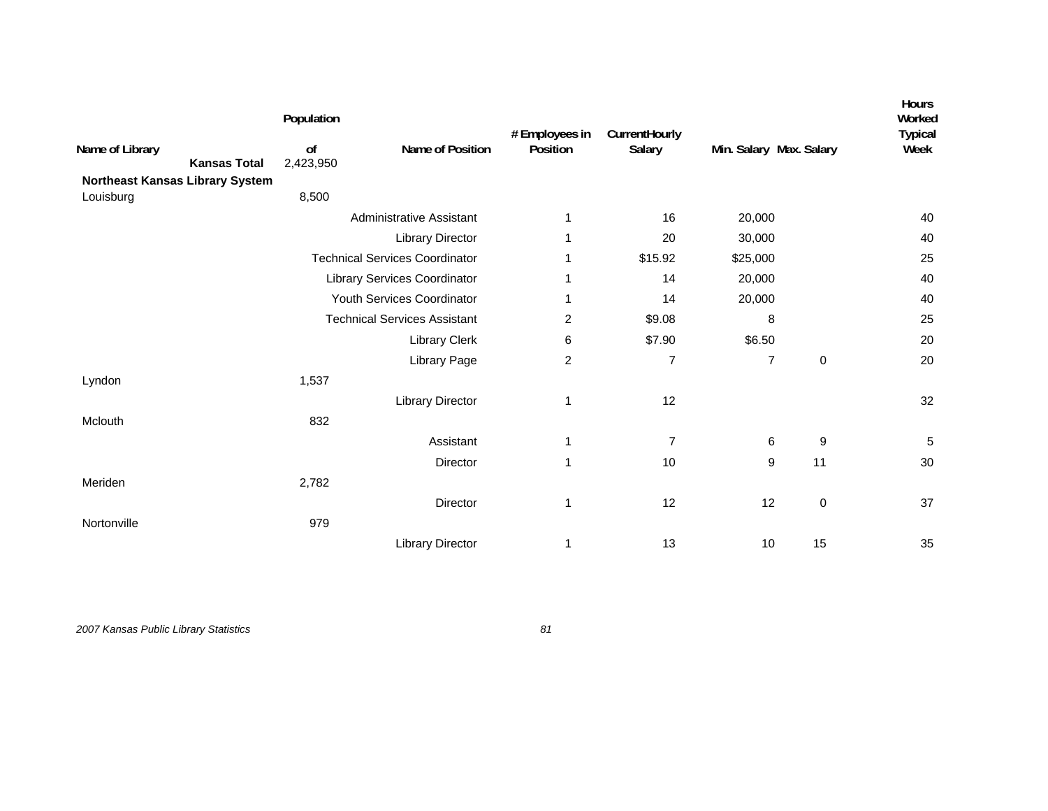|                                 |                     | Population      |                                       | # Employees in          | CurrentHourly  |                         |             | Hours<br>Worked<br><b>Typical</b> |
|---------------------------------|---------------------|-----------------|---------------------------------------|-------------------------|----------------|-------------------------|-------------|-----------------------------------|
| Name of Library                 | <b>Kansas Total</b> | of<br>2,423,950 | Name of Position                      | Position                | Salary         | Min. Salary Max. Salary |             | Week                              |
| Northeast Kansas Library System |                     |                 |                                       |                         |                |                         |             |                                   |
| Louisburg                       |                     | 8,500           |                                       |                         |                |                         |             |                                   |
|                                 |                     |                 | <b>Administrative Assistant</b>       | 1                       | 16             | 20,000                  |             | 40                                |
|                                 |                     |                 | <b>Library Director</b>               | 1                       | 20             | 30,000                  |             | 40                                |
|                                 |                     |                 | <b>Technical Services Coordinator</b> |                         | \$15.92        | \$25,000                |             | 25                                |
|                                 |                     |                 | Library Services Coordinator          | 1                       | 14             | 20,000                  |             | 40                                |
|                                 |                     |                 | Youth Services Coordinator            | 1                       | 14             | 20,000                  |             | 40                                |
|                                 |                     |                 | <b>Technical Services Assistant</b>   | 2                       | \$9.08         | 8                       |             | 25                                |
|                                 |                     |                 | Library Clerk                         | 6                       | \$7.90         | \$6.50                  |             | 20                                |
|                                 |                     |                 | Library Page                          | $\overline{\mathbf{c}}$ | $\overline{7}$ | $\overline{7}$          | $\mathbf 0$ | 20                                |
| Lyndon                          |                     | 1,537           |                                       |                         |                |                         |             |                                   |
|                                 |                     |                 | <b>Library Director</b>               | 1                       | 12             |                         |             | 32                                |
| Mclouth                         |                     | 832             |                                       |                         |                |                         |             |                                   |
|                                 |                     |                 | Assistant                             | 1                       | $\overline{7}$ | 6                       | 9           | 5                                 |
|                                 |                     |                 | Director                              | 1                       | 10             | 9                       | 11          | 30                                |
| Meriden                         |                     | 2,782           |                                       |                         |                |                         |             |                                   |
|                                 |                     |                 | Director                              | 1                       | 12             | 12                      | $\pmb{0}$   | 37                                |
| Nortonville                     |                     | 979             |                                       |                         |                |                         |             |                                   |
|                                 |                     |                 | <b>Library Director</b>               | 1                       | 13             | 10                      | 15          | 35                                |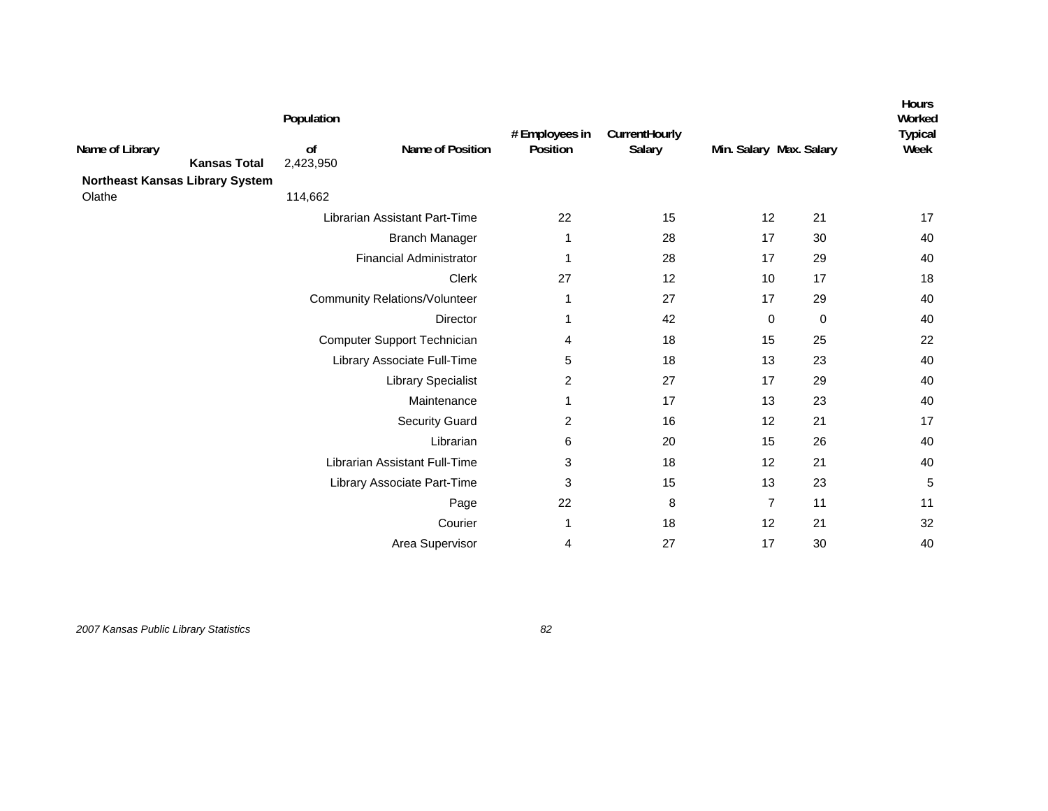| Name of Library                 | Population<br>of | Name of Position                     | # Employees in<br>Position | CurrentHourly<br>Salary | Min. Salary Max. Salary |    | <b>Hours</b><br>Worked<br><b>Typical</b><br>Week |
|---------------------------------|------------------|--------------------------------------|----------------------------|-------------------------|-------------------------|----|--------------------------------------------------|
| <b>Kansas Total</b>             | 2,423,950        |                                      |                            |                         |                         |    |                                                  |
| Northeast Kansas Library System |                  |                                      |                            |                         |                         |    |                                                  |
| Olathe                          | 114,662          |                                      |                            |                         |                         |    |                                                  |
|                                 |                  | Librarian Assistant Part-Time        | 22                         | 15                      | 12                      | 21 | 17                                               |
|                                 |                  | <b>Branch Manager</b>                | 1                          | 28                      | 17                      | 30 | 40                                               |
|                                 |                  | <b>Financial Administrator</b>       | 1                          | 28                      | 17                      | 29 | 40                                               |
|                                 |                  | Clerk                                | 27                         | 12                      | 10                      | 17 | 18                                               |
|                                 |                  | <b>Community Relations/Volunteer</b> | 1                          | 27                      | 17                      | 29 | 40                                               |
|                                 |                  | <b>Director</b>                      | 1                          | 42                      | 0                       | 0  | 40                                               |
|                                 |                  | Computer Support Technician          | 4                          | 18                      | 15                      | 25 | 22                                               |
|                                 |                  | Library Associate Full-Time          | 5                          | 18                      | 13                      | 23 | 40                                               |
|                                 |                  | <b>Library Specialist</b>            | 2                          | 27                      | 17                      | 29 | 40                                               |
|                                 |                  | Maintenance                          | 1                          | 17                      | 13                      | 23 | 40                                               |
|                                 |                  | <b>Security Guard</b>                | 2                          | 16                      | 12                      | 21 | 17                                               |
|                                 |                  | Librarian                            | 6                          | 20                      | 15                      | 26 | 40                                               |
|                                 |                  | Librarian Assistant Full-Time        | 3                          | 18                      | 12                      | 21 | 40                                               |
|                                 |                  | Library Associate Part-Time          | 3                          | 15                      | 13                      | 23 | 5                                                |
|                                 |                  | Page                                 | 22                         | 8                       | $\overline{7}$          | 11 | 11                                               |
|                                 |                  | Courier                              | 1                          | 18                      | 12                      | 21 | 32                                               |
|                                 |                  | Area Supervisor                      | 4                          | 27                      | 17                      | 30 | 40                                               |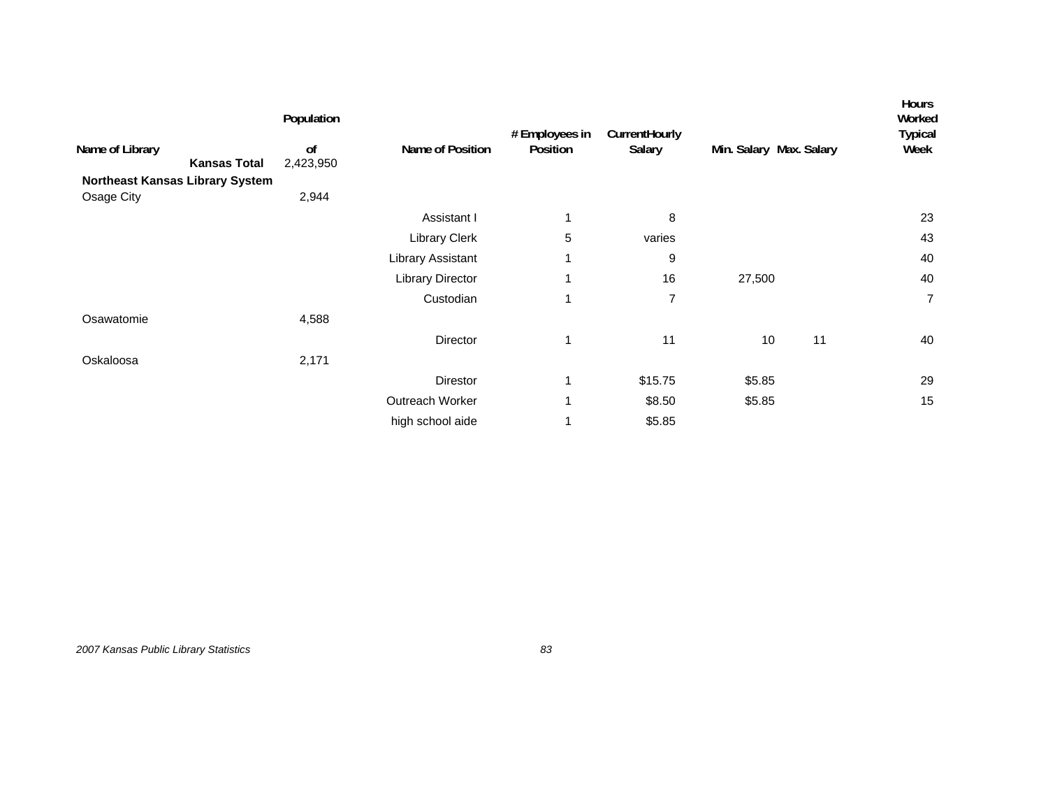| Name of Library<br>Northeast Kansas Library System<br>Osage City | <b>Kansas Total</b> | Population<br>of<br>2,423,950<br>2,944 | Name of Position        | # Employees in<br>Position | CurrentHourly<br>Salary |        | Min. Salary Max. Salary | Hours<br>Worked<br><b>Typical</b><br>Week |
|------------------------------------------------------------------|---------------------|----------------------------------------|-------------------------|----------------------------|-------------------------|--------|-------------------------|-------------------------------------------|
|                                                                  |                     |                                        | Assistant I             | 1                          | 8                       |        |                         | 23                                        |
|                                                                  |                     |                                        | <b>Library Clerk</b>    | 5                          | varies                  |        |                         | 43                                        |
|                                                                  |                     |                                        | Library Assistant       |                            | 9                       |        |                         | 40                                        |
|                                                                  |                     |                                        | <b>Library Director</b> |                            | 16                      | 27,500 |                         | 40                                        |
|                                                                  |                     |                                        | Custodian               | 1                          | 7                       |        |                         | $\overline{7}$                            |
| Osawatomie                                                       |                     | 4,588                                  |                         |                            |                         |        |                         |                                           |
|                                                                  |                     |                                        | Director                | 1                          | 11                      | 10     | 11                      | 40                                        |
| Oskaloosa                                                        |                     | 2,171                                  |                         |                            |                         |        |                         |                                           |
|                                                                  |                     |                                        | Direstor                | 1                          | \$15.75                 | \$5.85 |                         | 29                                        |
|                                                                  |                     |                                        | Outreach Worker         | 1                          | \$8.50                  | \$5.85 |                         | 15                                        |
|                                                                  |                     |                                        | high school aide        |                            | \$5.85                  |        |                         |                                           |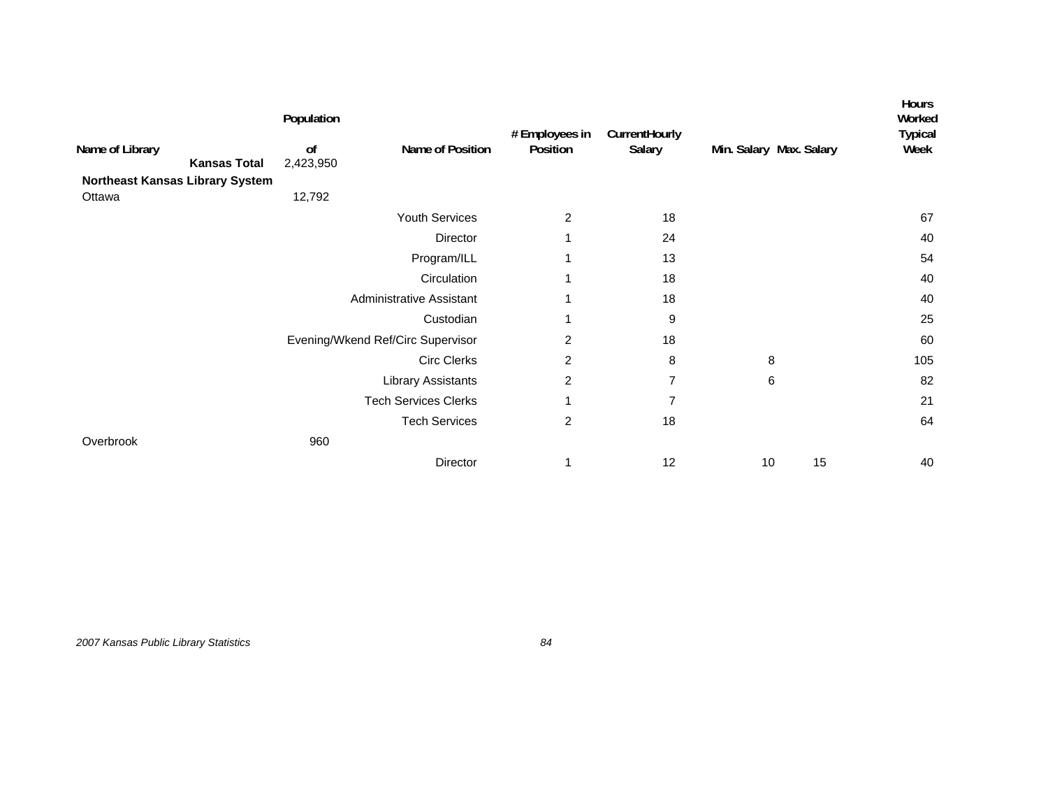|                                        | Population      |                                   | # Employees in | CurrentHourly  |                         |    | Hours<br>Worked<br><b>Typical</b> |
|----------------------------------------|-----------------|-----------------------------------|----------------|----------------|-------------------------|----|-----------------------------------|
| Name of Library<br><b>Kansas Total</b> | of<br>2,423,950 | Name of Position                  | Position       | Salary         | Min. Salary Max. Salary |    | Week                              |
| Northeast Kansas Library System        |                 |                                   |                |                |                         |    |                                   |
| Ottawa                                 | 12,792          |                                   |                |                |                         |    |                                   |
|                                        |                 | Youth Services                    | 2              | 18             |                         |    | 67                                |
|                                        |                 | Director                          |                | 24             |                         |    | 40                                |
|                                        |                 | Program/ILL                       |                | 13             |                         |    | 54                                |
|                                        |                 | Circulation                       | 1              | 18             |                         |    | 40                                |
|                                        |                 | Administrative Assistant          | 1              | 18             |                         |    | 40                                |
|                                        |                 | Custodian                         | 1              | 9              |                         |    | 25                                |
|                                        |                 | Evening/Wkend Ref/Circ Supervisor | 2              | 18             |                         |    | 60                                |
|                                        |                 | <b>Circ Clerks</b>                | $\overline{c}$ | 8              | 8                       |    | 105                               |
|                                        |                 | <b>Library Assistants</b>         | $\overline{c}$ | $\overline{7}$ | 6                       |    | 82                                |
|                                        |                 | <b>Tech Services Clerks</b>       | 1              | 7              |                         |    | 21                                |
|                                        |                 | <b>Tech Services</b>              | $\overline{c}$ | 18             |                         |    | 64                                |
| Overbrook                              | 960             |                                   |                |                |                         |    |                                   |
|                                        |                 | Director                          | 1              | 12             | 10                      | 15 | 40                                |

*2007 Kansas Public Library Statistics 84*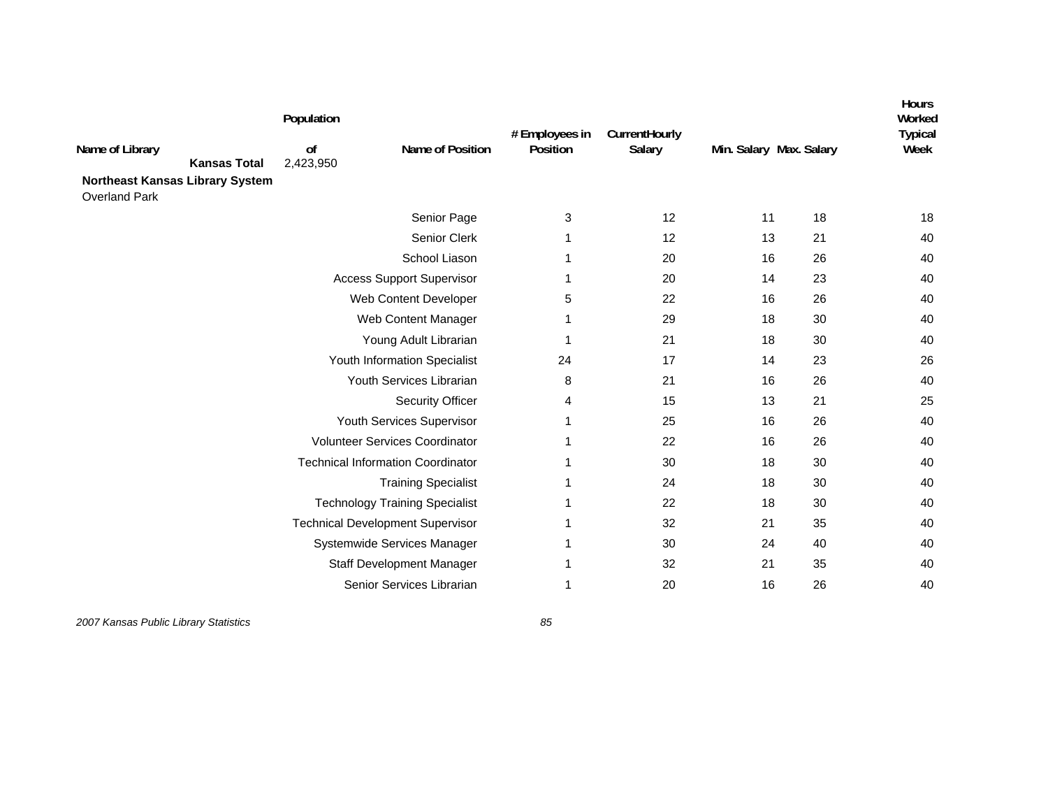| Name of Library<br><b>Kansas Total</b><br><b>Northeast Kansas Library System</b><br><b>Overland Park</b> | Population<br>0f<br>2,423,950 | Name of Position                         | # Employees in<br>Position | CurrentHourly<br>Salary | Min. Salary Max. Salary |    | <b>Hours</b><br>Worked<br><b>Typical</b><br>Week |
|----------------------------------------------------------------------------------------------------------|-------------------------------|------------------------------------------|----------------------------|-------------------------|-------------------------|----|--------------------------------------------------|
|                                                                                                          |                               | Senior Page                              | 3                          | 12                      | 11                      | 18 | 18                                               |
|                                                                                                          |                               | Senior Clerk                             | -1                         | 12                      | 13                      | 21 | 40                                               |
|                                                                                                          |                               | School Liason                            | 1                          | 20                      | 16                      | 26 | 40                                               |
|                                                                                                          |                               | <b>Access Support Supervisor</b>         | 1                          | 20                      | 14                      | 23 | 40                                               |
|                                                                                                          |                               | Web Content Developer                    | 5                          | 22                      | 16                      | 26 | 40                                               |
|                                                                                                          |                               | Web Content Manager                      | 1                          | 29                      | 18                      | 30 | 40                                               |
|                                                                                                          |                               | Young Adult Librarian                    |                            | 21                      | 18                      | 30 | 40                                               |
|                                                                                                          |                               | Youth Information Specialist             | 24                         | 17                      | 14                      | 23 | 26                                               |
|                                                                                                          |                               | Youth Services Librarian                 | 8                          | 21                      | 16                      | 26 | 40                                               |
|                                                                                                          |                               | <b>Security Officer</b>                  | 4                          | 15                      | 13                      | 21 | 25                                               |
|                                                                                                          |                               | Youth Services Supervisor                |                            | 25                      | 16                      | 26 | 40                                               |
|                                                                                                          |                               | <b>Volunteer Services Coordinator</b>    |                            | 22                      | 16                      | 26 | 40                                               |
|                                                                                                          |                               | <b>Technical Information Coordinator</b> |                            | 30                      | 18                      | 30 | 40                                               |
|                                                                                                          |                               | <b>Training Specialist</b>               |                            | 24                      | 18                      | 30 | 40                                               |
|                                                                                                          |                               | <b>Technology Training Specialist</b>    | -1                         | 22                      | 18                      | 30 | 40                                               |
|                                                                                                          |                               | <b>Technical Development Supervisor</b>  | -1                         | 32                      | 21                      | 35 | 40                                               |
|                                                                                                          |                               | Systemwide Services Manager              | 1                          | 30                      | 24                      | 40 | 40                                               |
|                                                                                                          |                               | Staff Development Manager                | -1                         | 32                      | 21                      | 35 | 40                                               |
|                                                                                                          |                               | Senior Services Librarian                | 1                          | 20                      | 16                      | 26 | 40                                               |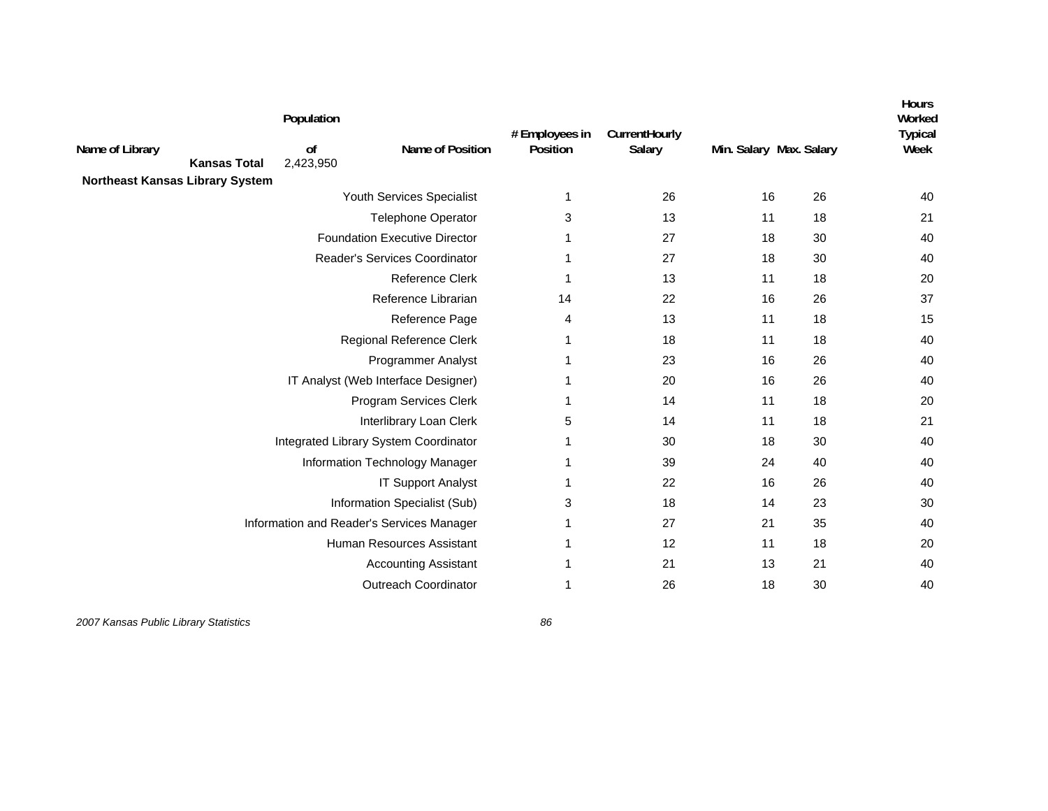|                                        |                     | Population      |                                           | # Employees in | CurrentHourly |                         |    | <b>Hours</b><br>Worked<br><b>Typical</b> |
|----------------------------------------|---------------------|-----------------|-------------------------------------------|----------------|---------------|-------------------------|----|------------------------------------------|
| Name of Library                        | <b>Kansas Total</b> | 0f<br>2,423,950 | Name of Position                          | Position       | Salary        | Min. Salary Max. Salary |    | Week                                     |
| <b>Northeast Kansas Library System</b> |                     |                 |                                           |                |               |                         |    |                                          |
|                                        |                     |                 | Youth Services Specialist                 | $\mathbf{1}$   | 26            | 16                      | 26 | 40                                       |
|                                        |                     |                 | Telephone Operator                        | 3              | 13            | 11                      | 18 | 21                                       |
|                                        |                     |                 | <b>Foundation Executive Director</b>      | 1              | 27            | 18                      | 30 | 40                                       |
|                                        |                     |                 | Reader's Services Coordinator             | 1              | 27            | 18                      | 30 | 40                                       |
|                                        |                     |                 | Reference Clerk                           | 1              | 13            | 11                      | 18 | 20                                       |
|                                        |                     |                 | Reference Librarian                       | 14             | 22            | 16                      | 26 | 37                                       |
|                                        |                     |                 | Reference Page                            | 4              | 13            | 11                      | 18 | 15                                       |
|                                        |                     |                 | Regional Reference Clerk                  | 1              | 18            | 11                      | 18 | 40                                       |
|                                        |                     |                 | <b>Programmer Analyst</b>                 | 1              | 23            | 16                      | 26 | 40                                       |
|                                        |                     |                 | IT Analyst (Web Interface Designer)       | 1              | 20            | 16                      | 26 | 40                                       |
|                                        |                     |                 | Program Services Clerk                    | 1              | 14            | 11                      | 18 | 20                                       |
|                                        |                     |                 | Interlibrary Loan Clerk                   | 5              | 14            | 11                      | 18 | 21                                       |
|                                        |                     |                 | Integrated Library System Coordinator     | -1             | 30            | 18                      | 30 | 40                                       |
|                                        |                     |                 | Information Technology Manager            | 1              | 39            | 24                      | 40 | 40                                       |
|                                        |                     |                 | <b>IT Support Analyst</b>                 | -1             | 22            | 16                      | 26 | 40                                       |
|                                        |                     |                 | Information Specialist (Sub)              | 3              | 18            | 14                      | 23 | 30                                       |
|                                        |                     |                 | Information and Reader's Services Manager | 1              | 27            | 21                      | 35 | 40                                       |
|                                        |                     |                 | Human Resources Assistant                 | 1              | 12            | 11                      | 18 | 20                                       |
|                                        |                     |                 | <b>Accounting Assistant</b>               | 1              | 21            | 13                      | 21 | 40                                       |
|                                        |                     |                 | <b>Outreach Coordinator</b>               | 1              | 26            | 18                      | 30 | 40                                       |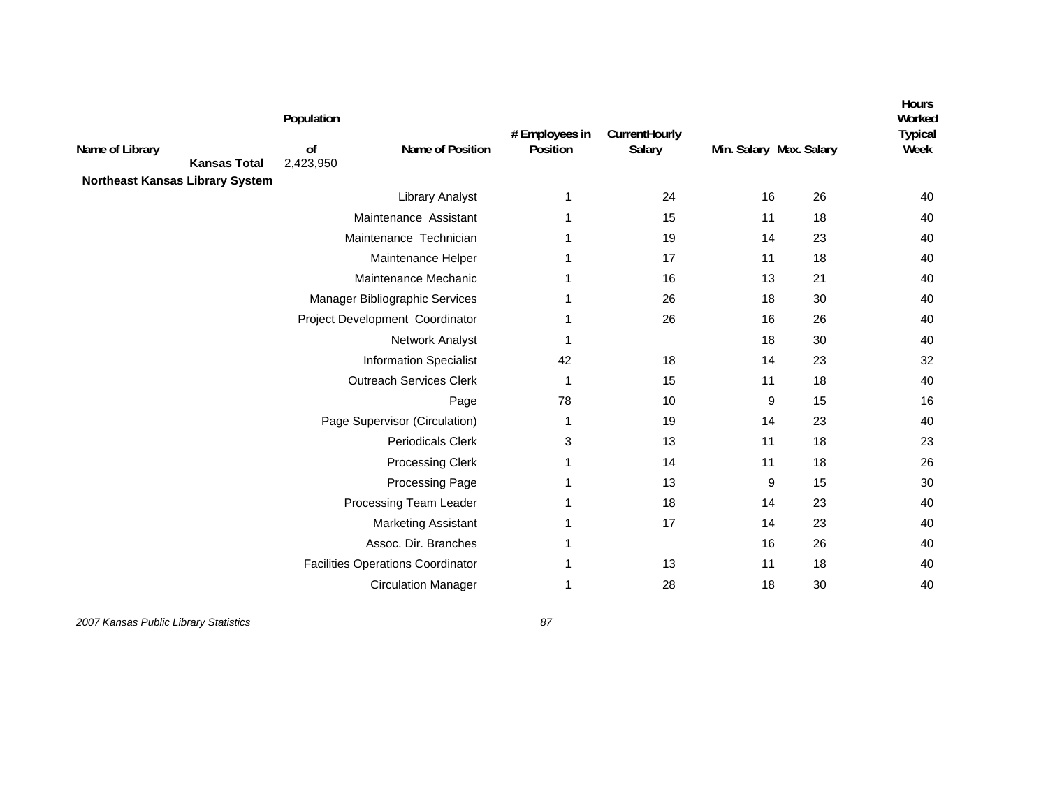| Name of Library<br><b>Kansas Total</b><br><b>Northeast Kansas Library System</b> | Population<br>0f<br>2,423,950 | Name of Position                         | # Employees in<br>Position | CurrentHourly<br>Salary | Min. Salary Max. Salary |    | <b>Hours</b><br>Worked<br><b>Typical</b><br>Week |
|----------------------------------------------------------------------------------|-------------------------------|------------------------------------------|----------------------------|-------------------------|-------------------------|----|--------------------------------------------------|
|                                                                                  |                               | <b>Library Analyst</b>                   | 1                          | 24                      | 16                      | 26 | 40                                               |
|                                                                                  |                               | Maintenance Assistant                    | 1                          | 15                      | 11                      | 18 | 40                                               |
|                                                                                  | Maintenance Technician        |                                          | 1                          | 19                      | 14                      | 23 | 40                                               |
|                                                                                  |                               | Maintenance Helper                       | 1                          | 17                      | 11                      | 18 | 40                                               |
|                                                                                  |                               | Maintenance Mechanic                     | 1                          | 16                      | 13                      | 21 | 40                                               |
|                                                                                  |                               | Manager Bibliographic Services           | 1                          | 26                      | 18                      | 30 | 40                                               |
|                                                                                  |                               | Project Development Coordinator          | -1                         | 26                      | 16                      | 26 | 40                                               |
|                                                                                  |                               | Network Analyst                          | -1                         |                         | 18                      | 30 | 40                                               |
|                                                                                  |                               | <b>Information Specialist</b>            | 42                         | 18                      | 14                      | 23 | 32                                               |
|                                                                                  |                               | <b>Outreach Services Clerk</b>           | $\mathbf{1}$               | 15                      | 11                      | 18 | 40                                               |
|                                                                                  |                               | Page                                     | 78                         | 10                      | 9                       | 15 | 16                                               |
|                                                                                  |                               | Page Supervisor (Circulation)            | 1                          | 19                      | 14                      | 23 | 40                                               |
|                                                                                  |                               | <b>Periodicals Clerk</b>                 | 3                          | 13                      | 11                      | 18 | 23                                               |
|                                                                                  |                               | <b>Processing Clerk</b>                  | 1                          | 14                      | 11                      | 18 | 26                                               |
|                                                                                  |                               | Processing Page                          | 1                          | 13                      | 9                       | 15 | 30                                               |
|                                                                                  |                               | Processing Team Leader                   | 1                          | 18                      | 14                      | 23 | 40                                               |
|                                                                                  |                               | <b>Marketing Assistant</b>               | -1                         | 17                      | 14                      | 23 | 40                                               |
|                                                                                  |                               | Assoc. Dir. Branches                     | 1                          |                         | 16                      | 26 | 40                                               |
|                                                                                  |                               | <b>Facilities Operations Coordinator</b> | 1                          | 13                      | 11                      | 18 | 40                                               |
|                                                                                  |                               | <b>Circulation Manager</b>               | 1                          | 28                      | 18                      | 30 | 40                                               |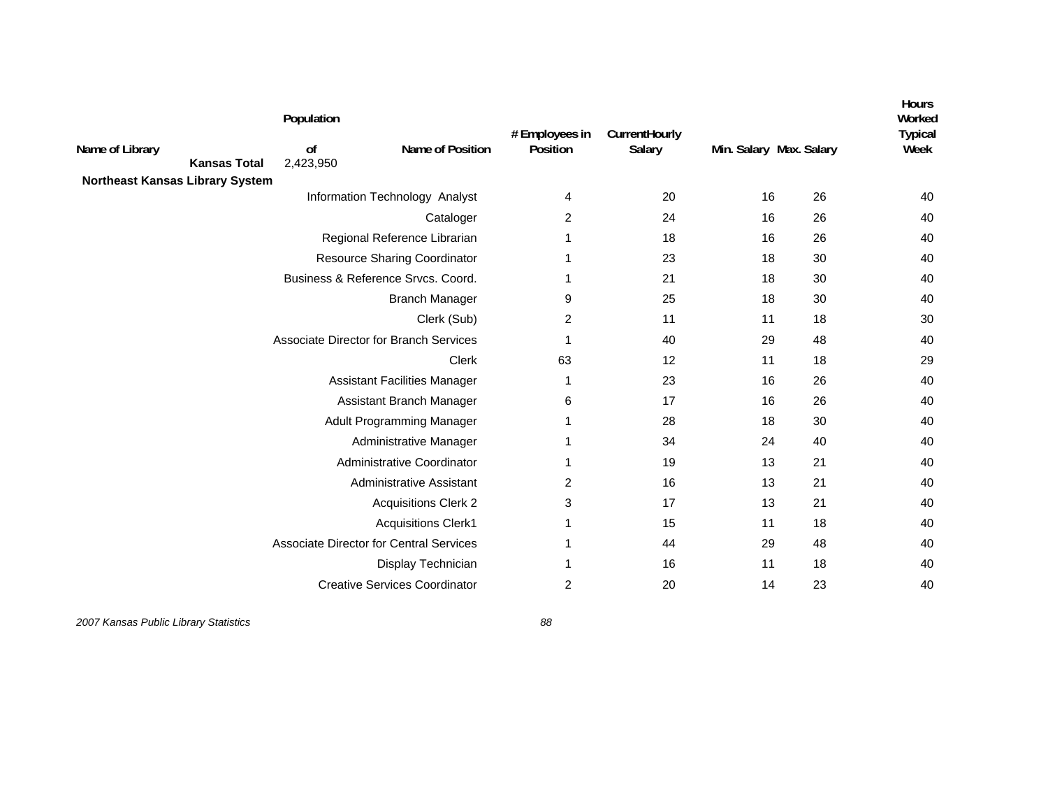|                                 |                     | Population      |                                                | # Employees in | CurrentHourly |                         |    | <b>Hours</b><br>Worked<br><b>Typical</b> |
|---------------------------------|---------------------|-----------------|------------------------------------------------|----------------|---------------|-------------------------|----|------------------------------------------|
| Name of Library                 | <b>Kansas Total</b> | of<br>2,423,950 | Name of Position                               | Position       | Salary        | Min. Salary Max. Salary |    | Week                                     |
| Northeast Kansas Library System |                     |                 |                                                |                |               |                         |    |                                          |
|                                 |                     |                 | Information Technology Analyst                 | 4              | 20            | 16                      | 26 | 40                                       |
|                                 |                     |                 | Cataloger                                      | $\overline{2}$ | 24            | 16                      | 26 | 40                                       |
|                                 |                     |                 | Regional Reference Librarian                   | 1              | 18            | 16                      | 26 | 40                                       |
|                                 |                     |                 | <b>Resource Sharing Coordinator</b>            | 1              | 23            | 18                      | 30 | 40                                       |
|                                 |                     |                 | Business & Reference Srvcs. Coord.             | 1              | 21            | 18                      | 30 | 40                                       |
|                                 |                     |                 | <b>Branch Manager</b>                          | 9              | 25            | 18                      | 30 | 40                                       |
|                                 |                     |                 | Clerk (Sub)                                    | 2              | 11            | 11                      | 18 | 30                                       |
|                                 |                     |                 | Associate Director for Branch Services         | 1              | 40            | 29                      | 48 | 40                                       |
|                                 |                     |                 | Clerk                                          | 63             | 12            | 11                      | 18 | 29                                       |
|                                 |                     |                 | <b>Assistant Facilities Manager</b>            | 1              | 23            | 16                      | 26 | 40                                       |
|                                 |                     |                 | Assistant Branch Manager                       | 6              | 17            | 16                      | 26 | 40                                       |
|                                 |                     |                 | Adult Programming Manager                      | $\mathbf 1$    | 28            | 18                      | 30 | 40                                       |
|                                 |                     |                 | Administrative Manager                         | -1             | 34            | 24                      | 40 | 40                                       |
|                                 |                     |                 | Administrative Coordinator                     | 1              | 19            | 13                      | 21 | 40                                       |
|                                 |                     |                 | Administrative Assistant                       | 2              | 16            | 13                      | 21 | 40                                       |
|                                 |                     |                 | <b>Acquisitions Clerk 2</b>                    | 3              | 17            | 13                      | 21 | 40                                       |
|                                 |                     |                 | <b>Acquisitions Clerk1</b>                     | 1              | 15            | 11                      | 18 | 40                                       |
|                                 |                     |                 | <b>Associate Director for Central Services</b> | 1              | 44            | 29                      | 48 | 40                                       |
|                                 |                     |                 | Display Technician                             |                | 16            | 11                      | 18 | 40                                       |
|                                 |                     |                 | <b>Creative Services Coordinator</b>           | $\overline{2}$ | 20            | 14                      | 23 | 40                                       |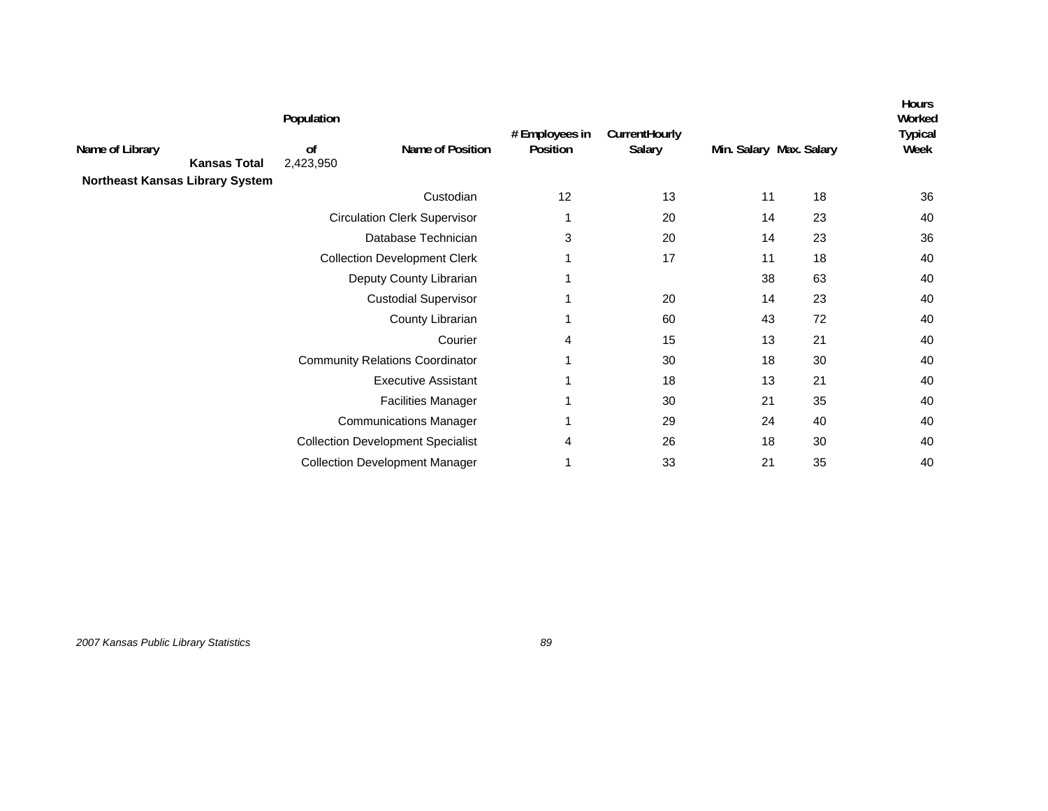| Name of Library<br><b>Kansas Total</b> | Population<br>of<br>2,423,950 | Name of Position                         | # Employees in<br>Position | <b>CurrentHourly</b><br>Salary | Min. Salary Max. Salary |    | <b>Hours</b><br>Worked<br>Typical<br>Week |
|----------------------------------------|-------------------------------|------------------------------------------|----------------------------|--------------------------------|-------------------------|----|-------------------------------------------|
| Northeast Kansas Library System        |                               | Custodian                                | 12                         | 13                             | 11                      | 18 | 36                                        |
|                                        |                               | <b>Circulation Clerk Supervisor</b>      |                            | 20                             | 14                      | 23 | 40                                        |
|                                        |                               | Database Technician                      | 3                          | 20                             | 14                      | 23 | 36                                        |
|                                        |                               | <b>Collection Development Clerk</b>      |                            | 17                             | 11                      | 18 | 40                                        |
|                                        |                               | Deputy County Librarian                  |                            |                                | 38                      | 63 | 40                                        |
|                                        |                               | <b>Custodial Supervisor</b>              |                            | 20                             | 14                      | 23 | 40                                        |
|                                        |                               | County Librarian                         |                            | 60                             | 43                      | 72 | 40                                        |
|                                        |                               | Courier                                  | 4                          | 15                             | 13                      | 21 | 40                                        |
|                                        |                               | <b>Community Relations Coordinator</b>   |                            | 30                             | 18                      | 30 | 40                                        |
|                                        |                               | <b>Executive Assistant</b>               |                            | 18                             | 13                      | 21 | 40                                        |
|                                        |                               | <b>Facilities Manager</b>                |                            | 30                             | 21                      | 35 | 40                                        |
|                                        |                               | <b>Communications Manager</b>            |                            | 29                             | 24                      | 40 | 40                                        |
|                                        |                               | <b>Collection Development Specialist</b> | 4                          | 26                             | 18                      | 30 | 40                                        |
|                                        |                               | <b>Collection Development Manager</b>    |                            | 33                             | 21                      | 35 | 40                                        |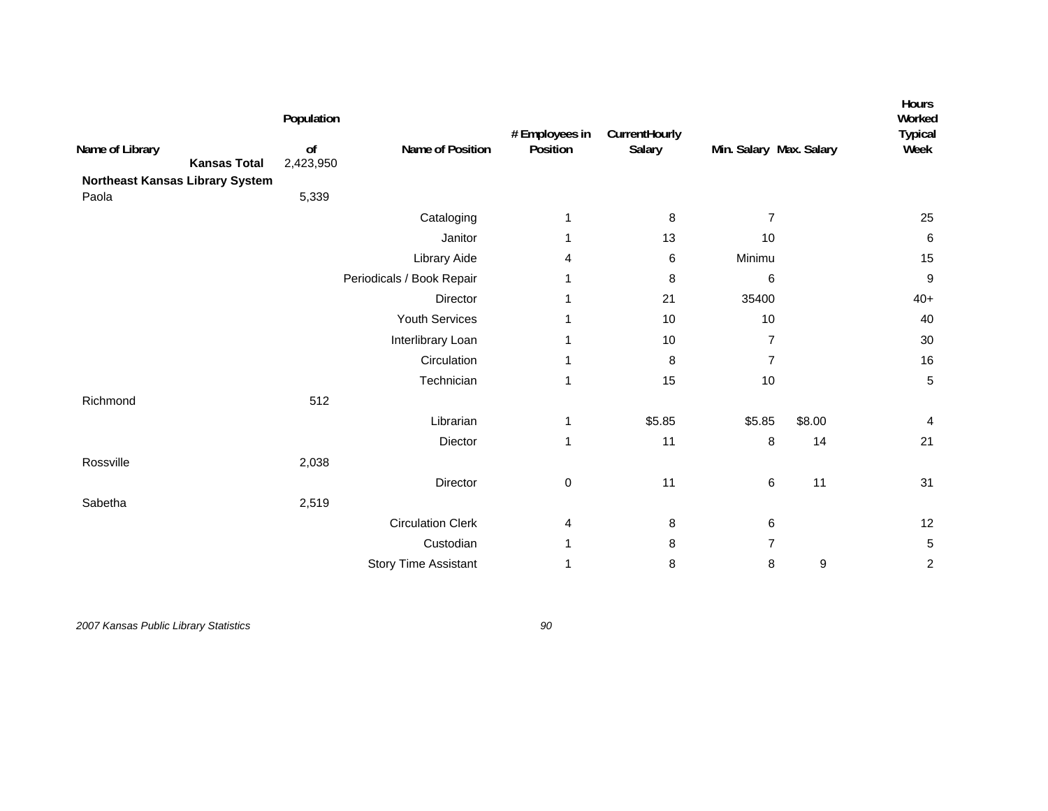| Name of Library<br><b>Kansas Total</b><br>Northeast Kansas Library System | Population<br>o <sub>f</sub><br>2,423,950 | Name of Position            | # Employees in<br>Position | CurrentHourly<br>Salary | Min. Salary Max. Salary |                  | Hours<br>Worked<br><b>Typical</b><br>Week |
|---------------------------------------------------------------------------|-------------------------------------------|-----------------------------|----------------------------|-------------------------|-------------------------|------------------|-------------------------------------------|
| Paola                                                                     | 5,339                                     |                             |                            |                         |                         |                  |                                           |
|                                                                           |                                           | Cataloging                  | 1                          | 8                       | $\overline{7}$          |                  | 25                                        |
|                                                                           |                                           | Janitor                     | 1                          | 13                      | 10                      |                  | $\,6$                                     |
|                                                                           |                                           | Library Aide                | 4                          | 6                       | Minimu                  |                  | 15                                        |
|                                                                           |                                           | Periodicals / Book Repair   |                            | 8                       | 6                       |                  | $\boldsymbol{9}$                          |
|                                                                           |                                           | Director                    | 1                          | 21                      | 35400                   |                  | $40+$                                     |
|                                                                           |                                           | Youth Services              | 1                          | 10                      | 10                      |                  | 40                                        |
|                                                                           |                                           | Interlibrary Loan           | 1                          | 10                      | $\overline{7}$          |                  | 30                                        |
|                                                                           |                                           | Circulation                 | 1                          | 8                       | $\overline{7}$          |                  | 16                                        |
|                                                                           |                                           | Technician                  | 1                          | 15                      | 10                      |                  | 5                                         |
| Richmond                                                                  | 512                                       |                             |                            |                         |                         |                  |                                           |
|                                                                           |                                           | Librarian                   | 1                          | \$5.85                  | \$5.85                  | \$8.00           | 4                                         |
|                                                                           |                                           | Diector                     | 1                          | 11                      | 8                       | 14               | 21                                        |
| Rossville                                                                 | 2,038                                     |                             |                            |                         |                         |                  |                                           |
|                                                                           |                                           | Director                    | 0                          | 11                      | 6                       | 11               | 31                                        |
| Sabetha                                                                   | 2,519                                     |                             |                            |                         |                         |                  |                                           |
|                                                                           |                                           | <b>Circulation Clerk</b>    | 4                          | 8                       | 6                       |                  | 12                                        |
|                                                                           |                                           | Custodian                   | 1                          | 8                       | $\overline{7}$          |                  | $\,$ 5 $\,$                               |
|                                                                           |                                           | <b>Story Time Assistant</b> | 1                          | 8                       | 8                       | $\boldsymbol{9}$ | $\overline{c}$                            |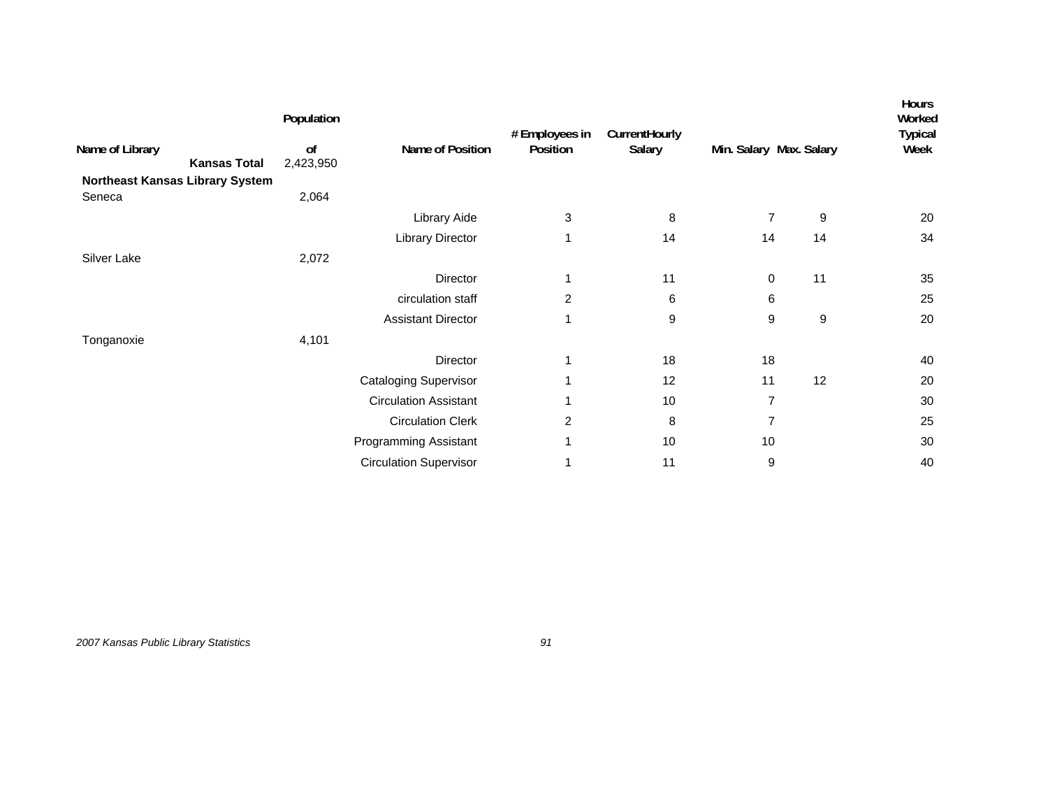| Name of Library<br>Northeast Kansas Library System | <b>Kansas Total</b> | Population<br>of<br>2,423,950 | Name of Position              | # Employees in<br>Position | CurrentHourly<br>Salary | Min. Salary Max. Salary |                  | <b>Hours</b><br>Worked<br><b>Typical</b><br>Week |
|----------------------------------------------------|---------------------|-------------------------------|-------------------------------|----------------------------|-------------------------|-------------------------|------------------|--------------------------------------------------|
| Seneca                                             |                     | 2,064                         | Library Aide                  | 3                          | 8                       | $\overline{7}$          | 9                | 20                                               |
|                                                    |                     |                               | Library Director              | 1                          | 14                      | 14                      | 14               | 34                                               |
| Silver Lake                                        |                     | 2,072                         |                               |                            |                         |                         |                  |                                                  |
|                                                    |                     |                               | Director                      | 1                          | 11                      | 0                       | 11               | 35                                               |
|                                                    |                     |                               | circulation staff             | $\overline{c}$             | 6                       | 6                       |                  | 25                                               |
|                                                    |                     |                               | <b>Assistant Director</b>     | 1                          | 9                       | 9                       | $\boldsymbol{9}$ | 20                                               |
| Tonganoxie                                         |                     | 4,101                         |                               |                            |                         |                         |                  |                                                  |
|                                                    |                     |                               | Director                      |                            | 18                      | 18                      |                  | 40                                               |
|                                                    |                     |                               | <b>Cataloging Supervisor</b>  |                            | 12                      | 11                      | 12               | 20                                               |
|                                                    |                     |                               | <b>Circulation Assistant</b>  |                            | 10                      | $\overline{7}$          |                  | 30                                               |
|                                                    |                     |                               | <b>Circulation Clerk</b>      | $\overline{c}$             | 8                       | $\overline{7}$          |                  | 25                                               |
|                                                    |                     |                               | Programming Assistant         |                            | 10                      | 10                      |                  | 30                                               |
|                                                    |                     |                               | <b>Circulation Supervisor</b> |                            | 11                      | 9                       |                  | 40                                               |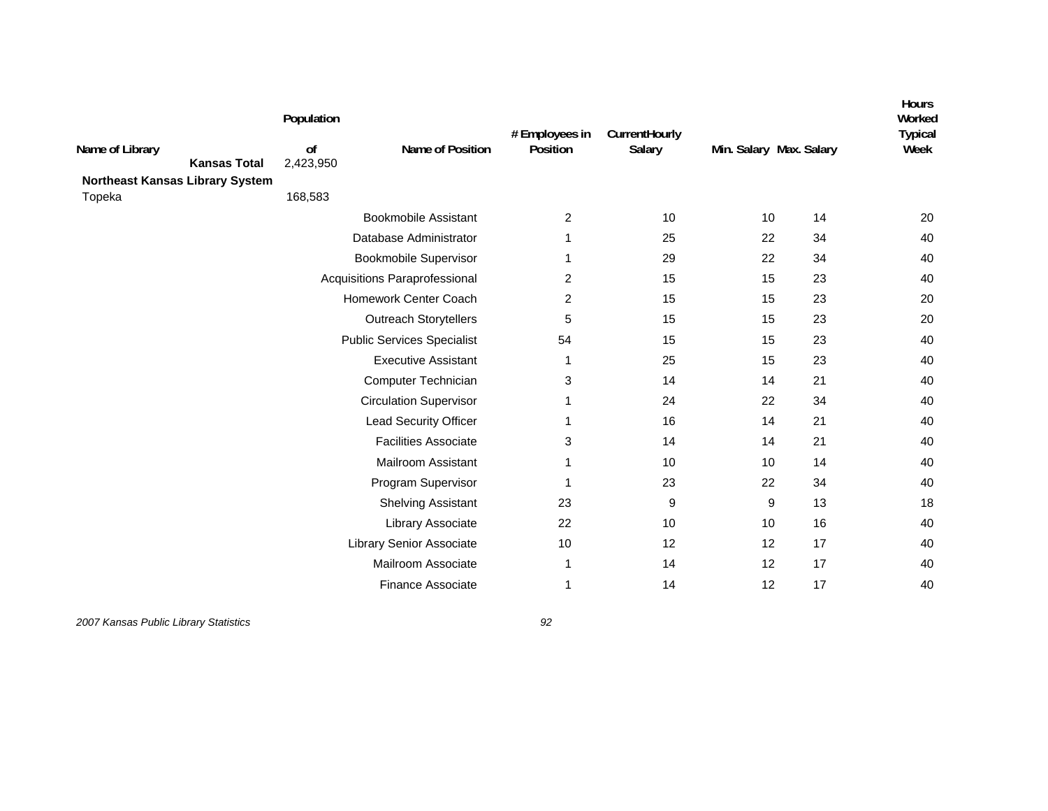| Name of Library                        | <b>Kansas Total</b> | Population<br>0f<br>2,423,950     | Name of Position              | # Employees in<br>Position | CurrentHourly<br>Salary | Min. Salary Max. Salary |    | <b>Hours</b><br>Worked<br><b>Typical</b><br>Week |
|----------------------------------------|---------------------|-----------------------------------|-------------------------------|----------------------------|-------------------------|-------------------------|----|--------------------------------------------------|
| <b>Northeast Kansas Library System</b> |                     | 168,583                           |                               |                            |                         |                         |    |                                                  |
| Topeka                                 |                     |                                   | <b>Bookmobile Assistant</b>   | 2                          | 10                      | 10                      | 14 | 20                                               |
|                                        |                     |                                   | Database Administrator        | 1                          | 25                      | 22                      | 34 | 40                                               |
|                                        |                     |                                   | <b>Bookmobile Supervisor</b>  | 1                          | 29                      | 22                      | 34 | 40                                               |
|                                        |                     |                                   | Acquisitions Paraprofessional | 2                          | 15                      | 15                      | 23 | 40                                               |
|                                        |                     |                                   | Homework Center Coach         | 2                          | 15                      | 15                      | 23 | 20                                               |
|                                        |                     |                                   | <b>Outreach Storytellers</b>  | 5                          | 15                      | 15                      | 23 | 20                                               |
|                                        |                     | <b>Public Services Specialist</b> | 54                            | 15                         | 15                      | 23                      | 40 |                                                  |
|                                        |                     |                                   | <b>Executive Assistant</b>    | 1                          | 25                      | 15                      | 23 | 40                                               |
|                                        |                     |                                   | Computer Technician           | 3                          | 14                      | 14                      | 21 | 40                                               |
|                                        |                     |                                   | <b>Circulation Supervisor</b> | 1                          | 24                      | 22                      | 34 | 40                                               |
|                                        |                     |                                   | Lead Security Officer         | 1                          | 16                      | 14                      | 21 | 40                                               |
|                                        |                     |                                   | <b>Facilities Associate</b>   | 3                          | 14                      | 14                      | 21 | 40                                               |
|                                        |                     |                                   | Mailroom Assistant            | 1                          | 10                      | 10                      | 14 | 40                                               |
|                                        |                     |                                   | Program Supervisor            | 1                          | 23                      | 22                      | 34 | 40                                               |
|                                        |                     |                                   | <b>Shelving Assistant</b>     | 23                         | 9                       | 9                       | 13 | 18                                               |
|                                        |                     |                                   | Library Associate             | 22                         | 10                      | 10                      | 16 | 40                                               |
|                                        |                     |                                   | Library Senior Associate      | 10                         | 12                      | 12                      | 17 | 40                                               |
|                                        |                     |                                   | Mailroom Associate            | 1                          | 14                      | 12                      | 17 | 40                                               |
|                                        |                     |                                   | <b>Finance Associate</b>      | 1                          | 14                      | 12                      | 17 | 40                                               |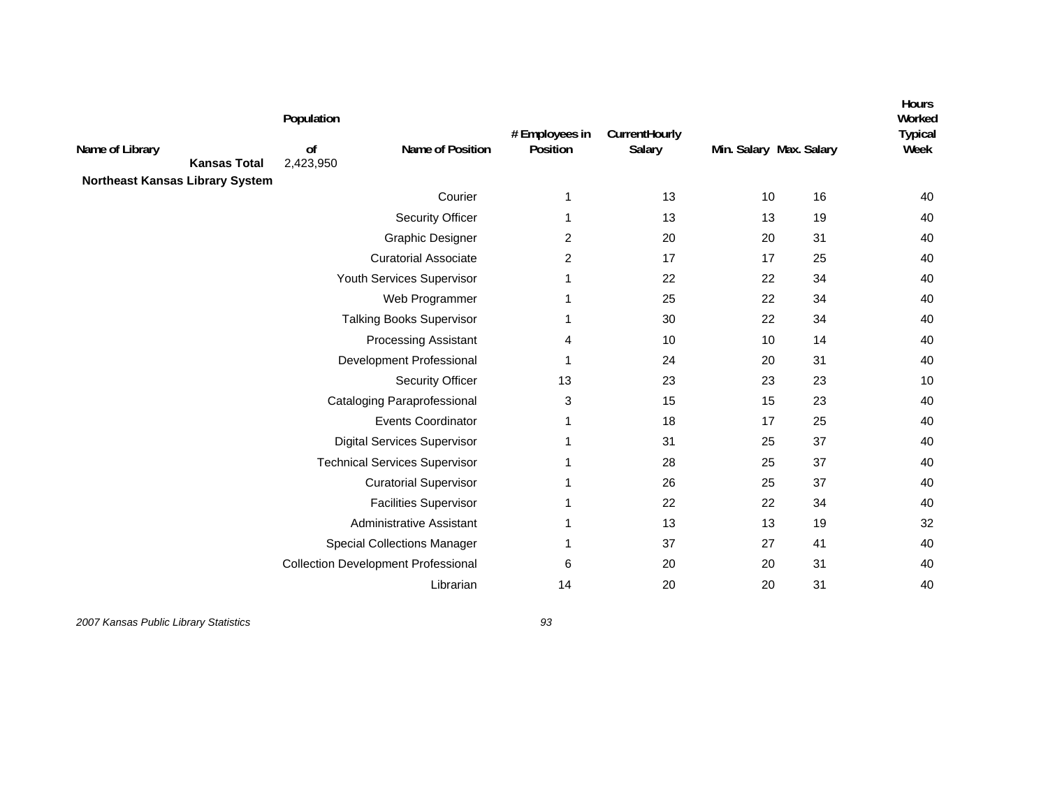| Name of Library<br><b>Northeast Kansas Library System</b> | <b>Kansas Total</b> | Population<br>0f<br>2,423,950 | Name of Position                           | # Employees in<br>Position | CurrentHourly<br>Salary | Min. Salary Max. Salary |    | <b>Hours</b><br>Worked<br><b>Typical</b><br>Week |
|-----------------------------------------------------------|---------------------|-------------------------------|--------------------------------------------|----------------------------|-------------------------|-------------------------|----|--------------------------------------------------|
|                                                           |                     |                               | Courier                                    | 1                          | 13                      | 10                      | 16 | 40                                               |
|                                                           |                     |                               | Security Officer                           | 1                          | 13                      | 13                      | 19 | 40                                               |
|                                                           |                     |                               | <b>Graphic Designer</b>                    | 2                          | 20                      | 20                      | 31 | 40                                               |
|                                                           |                     |                               | <b>Curatorial Associate</b>                | $\overline{2}$             | 17                      | 17                      | 25 | 40                                               |
|                                                           |                     |                               | Youth Services Supervisor                  | 1                          | 22                      | 22                      | 34 | 40                                               |
|                                                           |                     |                               | Web Programmer                             | 1                          | 25                      | 22                      | 34 | 40                                               |
|                                                           |                     |                               | <b>Talking Books Supervisor</b>            | 1                          | 30                      | 22                      | 34 | 40                                               |
|                                                           |                     |                               | <b>Processing Assistant</b>                | 4                          | 10                      | 10                      | 14 | 40                                               |
|                                                           |                     |                               | Development Professional                   | 1                          | 24                      | 20                      | 31 | 40                                               |
|                                                           |                     |                               | <b>Security Officer</b>                    | 13                         | 23                      | 23                      | 23 | 10                                               |
|                                                           |                     |                               | <b>Cataloging Paraprofessional</b>         | 3                          | 15                      | 15                      | 23 | 40                                               |
|                                                           |                     |                               | <b>Events Coordinator</b>                  | 1                          | 18                      | 17                      | 25 | 40                                               |
|                                                           |                     |                               | <b>Digital Services Supervisor</b>         | 1                          | 31                      | 25                      | 37 | 40                                               |
|                                                           |                     |                               | <b>Technical Services Supervisor</b>       |                            | 28                      | 25                      | 37 | 40                                               |
|                                                           |                     |                               | <b>Curatorial Supervisor</b>               |                            | 26                      | 25                      | 37 | 40                                               |
|                                                           |                     |                               | <b>Facilities Supervisor</b>               |                            | 22                      | 22                      | 34 | 40                                               |
|                                                           |                     |                               | Administrative Assistant                   |                            | 13                      | 13                      | 19 | 32                                               |
|                                                           |                     |                               | <b>Special Collections Manager</b>         |                            | 37                      | 27                      | 41 | 40                                               |
|                                                           |                     |                               | <b>Collection Development Professional</b> | 6                          | 20                      | 20                      | 31 | 40                                               |
|                                                           |                     |                               | Librarian                                  | 14                         | 20                      | 20                      | 31 | 40                                               |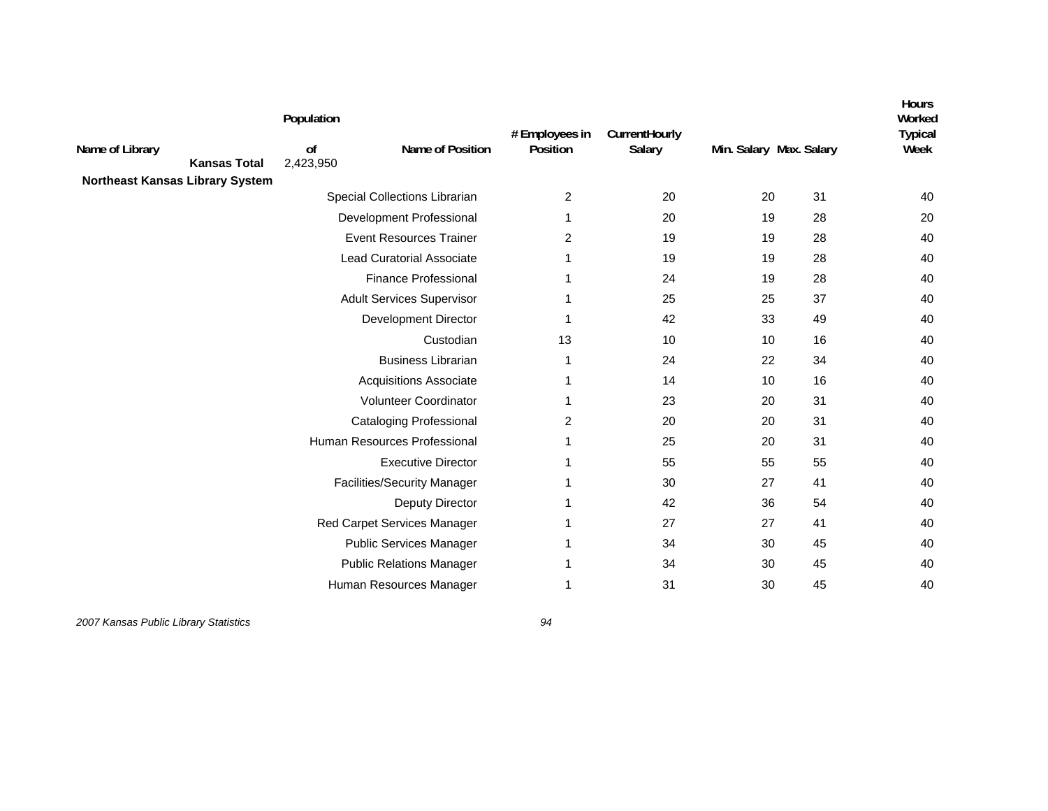|                                 |                     | Population      |                                    |                            |                                |                         |    | <b>Hours</b><br>Worked |
|---------------------------------|---------------------|-----------------|------------------------------------|----------------------------|--------------------------------|-------------------------|----|------------------------|
| Name of Library                 | <b>Kansas Total</b> | 0f<br>2,423,950 | Name of Position                   | # Employees in<br>Position | CurrentHourly<br><b>Salary</b> | Min. Salary Max. Salary |    | <b>Typical</b><br>Week |
| Northeast Kansas Library System |                     |                 |                                    |                            | 20                             |                         | 31 |                        |
|                                 |                     |                 | Special Collections Librarian      | 2                          |                                | 20                      |    | 40                     |
|                                 |                     |                 | Development Professional           | 1                          | 20                             | 19                      | 28 | 20                     |
|                                 |                     |                 | <b>Event Resources Trainer</b>     | 2                          | 19                             | 19                      | 28 | 40                     |
|                                 |                     |                 | <b>Lead Curatorial Associate</b>   | 1                          | 19                             | 19                      | 28 | 40                     |
|                                 |                     |                 | <b>Finance Professional</b>        | 1                          | 24                             | 19                      | 28 | 40                     |
|                                 |                     |                 | <b>Adult Services Supervisor</b>   | 1                          | 25                             | 25                      | 37 | 40                     |
|                                 |                     |                 | Development Director               | 1                          | 42                             | 33                      | 49 | 40                     |
|                                 |                     |                 | Custodian                          | 13                         | 10                             | 10                      | 16 | 40                     |
|                                 |                     |                 | <b>Business Librarian</b>          | 1                          | 24                             | 22                      | 34 | 40                     |
|                                 |                     |                 | <b>Acquisitions Associate</b>      | 1                          | 14                             | 10                      | 16 | 40                     |
|                                 |                     |                 | Volunteer Coordinator              | 1                          | 23                             | 20                      | 31 | 40                     |
|                                 |                     |                 | <b>Cataloging Professional</b>     | $\overline{2}$             | 20                             | 20                      | 31 | 40                     |
|                                 |                     |                 | Human Resources Professional       | 1                          | 25                             | 20                      | 31 | 40                     |
|                                 |                     |                 | <b>Executive Director</b>          | 1                          | 55                             | 55                      | 55 | 40                     |
|                                 |                     |                 | <b>Facilities/Security Manager</b> | 1                          | 30                             | 27                      | 41 | 40                     |
|                                 |                     |                 | Deputy Director                    | 1                          | 42                             | 36                      | 54 | 40                     |
|                                 |                     |                 | Red Carpet Services Manager        | 1                          | 27                             | 27                      | 41 | 40                     |
|                                 |                     |                 | <b>Public Services Manager</b>     | 1                          | 34                             | 30                      | 45 | 40                     |
|                                 |                     |                 | <b>Public Relations Manager</b>    | 1                          | 34                             | 30                      | 45 | 40                     |
|                                 |                     |                 | Human Resources Manager            | 1                          | 31                             | 30                      | 45 | 40                     |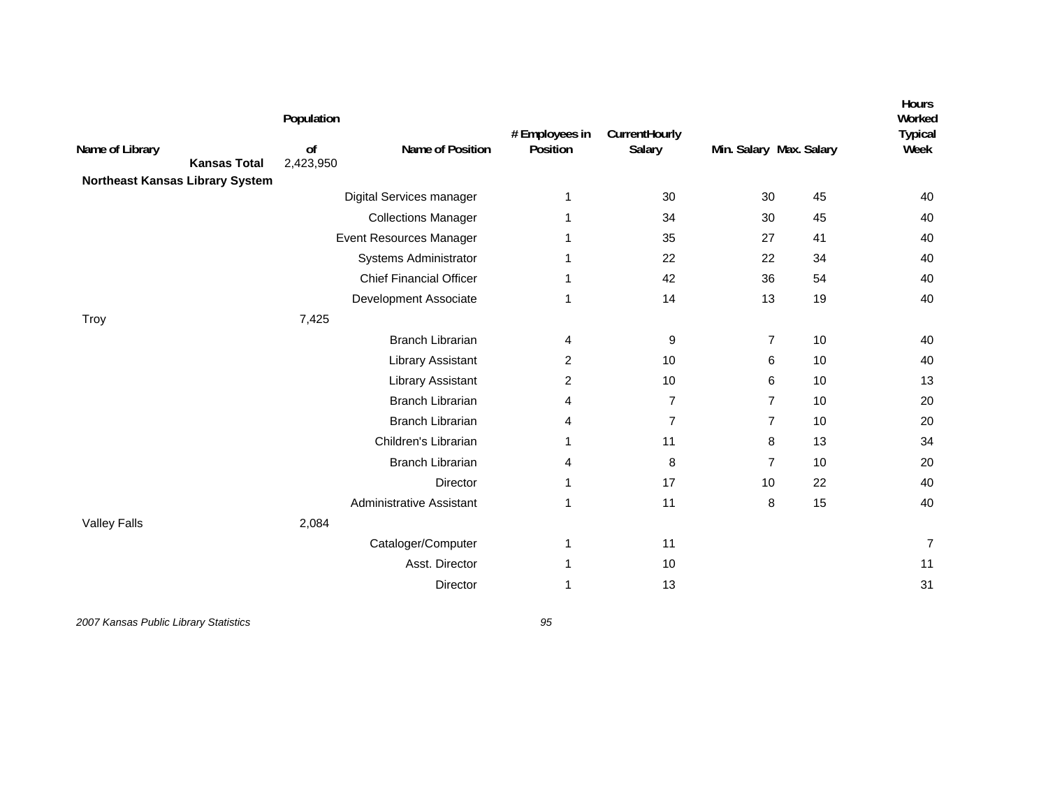| Name of Library                        | <b>Kansas Total</b> | Population<br>of<br>2,423,950 | Name of Position                | # Employees in<br>Position | CurrentHourly<br>Salary | Min. Salary Max. Salary |    | Hours<br>Worked<br><b>Typical</b><br>Week |
|----------------------------------------|---------------------|-------------------------------|---------------------------------|----------------------------|-------------------------|-------------------------|----|-------------------------------------------|
| <b>Northeast Kansas Library System</b> |                     |                               |                                 |                            |                         |                         |    |                                           |
|                                        |                     |                               | Digital Services manager        | 1                          | 30                      | 30                      | 45 | 40                                        |
|                                        |                     |                               | <b>Collections Manager</b>      | 1                          | 34                      | 30                      | 45 | 40                                        |
|                                        |                     |                               | Event Resources Manager         | 1                          | 35                      | 27                      | 41 | 40                                        |
|                                        |                     |                               | Systems Administrator           | 1                          | 22                      | 22                      | 34 | 40                                        |
|                                        |                     |                               | <b>Chief Financial Officer</b>  | 1                          | 42                      | 36                      | 54 | 40                                        |
|                                        |                     |                               | Development Associate           | 1                          | 14                      | 13                      | 19 | 40                                        |
| Troy                                   |                     | 7,425                         |                                 |                            |                         |                         |    |                                           |
|                                        |                     |                               | <b>Branch Librarian</b>         | 4                          | 9                       | $\overline{7}$          | 10 | 40                                        |
|                                        |                     |                               | <b>Library Assistant</b>        | 2                          | 10                      | 6                       | 10 | 40                                        |
|                                        |                     |                               | <b>Library Assistant</b>        | 2                          | 10 <sup>°</sup>         | 6                       | 10 | 13                                        |
|                                        |                     |                               | <b>Branch Librarian</b>         | 4                          | 7                       | $\overline{7}$          | 10 | 20                                        |
|                                        |                     |                               | <b>Branch Librarian</b>         | 4                          | $\overline{7}$          | $\overline{7}$          | 10 | 20                                        |
|                                        |                     |                               | Children's Librarian            | 1                          | 11                      | 8                       | 13 | 34                                        |
|                                        |                     |                               | <b>Branch Librarian</b>         | 4                          | 8                       | $\overline{7}$          | 10 | 20                                        |
|                                        |                     |                               | Director                        | 1                          | 17                      | 10                      | 22 | 40                                        |
|                                        |                     |                               | <b>Administrative Assistant</b> | 1                          | 11                      | 8                       | 15 | 40                                        |
| <b>Valley Falls</b>                    |                     | 2,084                         |                                 |                            |                         |                         |    |                                           |
|                                        |                     |                               | Cataloger/Computer              | 1                          | 11                      |                         |    | $\overline{7}$                            |
|                                        |                     |                               | Asst. Director                  | 1                          | 10                      |                         |    | 11                                        |
|                                        |                     |                               | Director                        | 1                          | 13                      |                         |    | 31                                        |
|                                        |                     |                               |                                 |                            |                         |                         |    |                                           |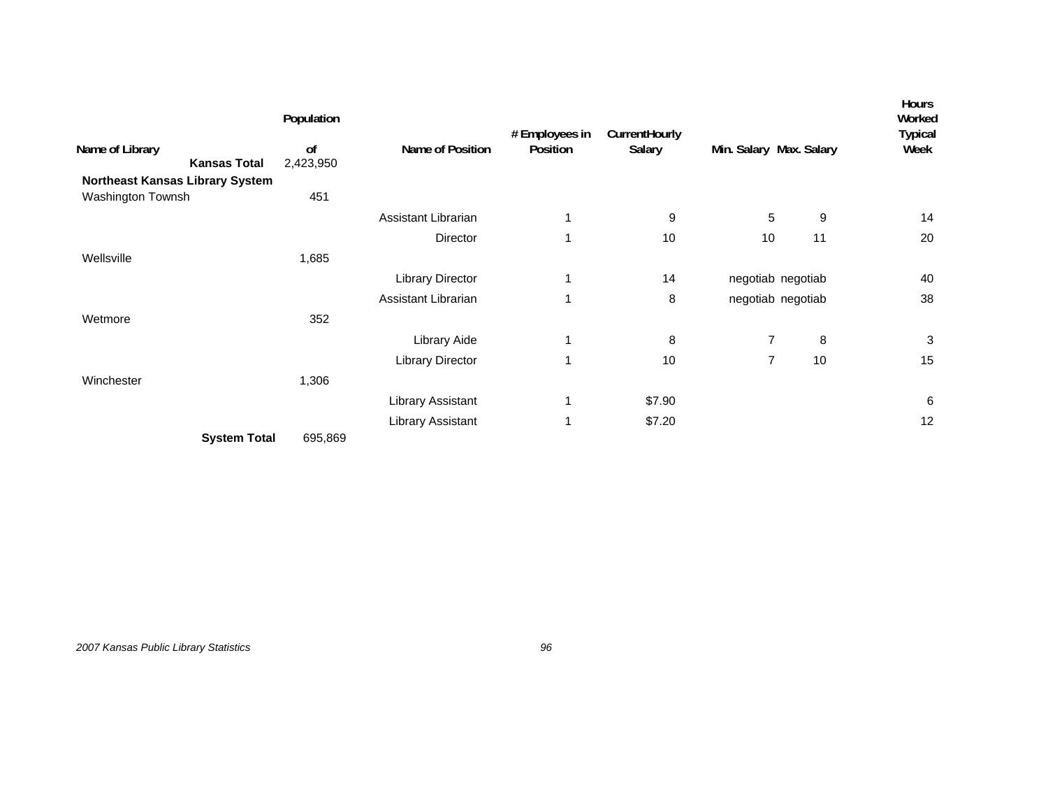| Name of Library<br><b>Kansas Total</b> | Population<br>0f<br>2,423,950 | Name of Position        | # Employees in<br>Position | CurrentHourly<br>Salary | Min. Salary Max. Salary |    | <b>Hours</b><br>Worked<br><b>Typical</b><br>Week |
|----------------------------------------|-------------------------------|-------------------------|----------------------------|-------------------------|-------------------------|----|--------------------------------------------------|
| Northeast Kansas Library System        |                               |                         |                            |                         |                         |    |                                                  |
| Washington Townsh                      | 451                           |                         |                            |                         |                         |    |                                                  |
|                                        |                               | Assistant Librarian     | 1                          | 9                       | 5                       | 9  | 14                                               |
|                                        |                               | Director                | 1                          | 10                      | 10                      | 11 | 20                                               |
| Wellsville                             | 1,685                         |                         |                            |                         |                         |    |                                                  |
|                                        |                               | <b>Library Director</b> | 1                          | 14                      | negotiab negotiab       |    | 40                                               |
|                                        |                               | Assistant Librarian     | 1                          | 8                       | negotiab negotiab       |    | 38                                               |
| Wetmore                                | 352                           |                         |                            |                         |                         |    |                                                  |
|                                        |                               | Library Aide            | 1                          | 8                       | $\overline{7}$          | 8  | 3                                                |
|                                        |                               | Library Director        | 1                          | 10                      | 7                       | 10 | 15                                               |
| Winchester                             | 1,306                         |                         |                            |                         |                         |    |                                                  |
|                                        |                               | Library Assistant       | 1                          | \$7.90                  |                         |    | 6                                                |
|                                        |                               | Library Assistant       | 1                          | \$7.20                  |                         |    | 12                                               |
| <b>System Total</b>                    | 695,869                       |                         |                            |                         |                         |    |                                                  |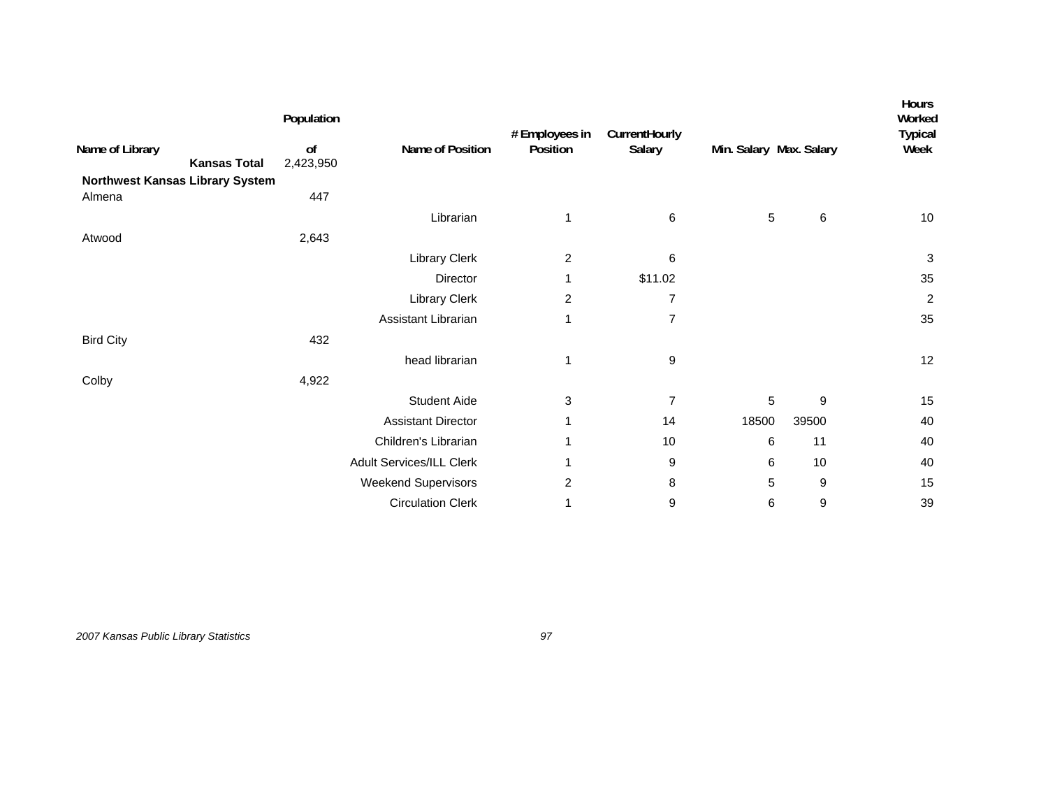| Name of Library<br><b>Kansas Total</b>    | Population<br>of<br>2,423,950 | Name of Position           | # Employees in<br>Position | CurrentHourly<br>Salary | Min. Salary Max. Salary |       | <b>Hours</b><br>Worked<br><b>Typical</b><br>Week |
|-------------------------------------------|-------------------------------|----------------------------|----------------------------|-------------------------|-------------------------|-------|--------------------------------------------------|
| Northwest Kansas Library System<br>Almena | 447                           |                            |                            |                         |                         |       |                                                  |
|                                           |                               | Librarian                  | 1                          | 6                       | 5                       | 6     | 10                                               |
| Atwood                                    | 2,643                         |                            |                            |                         |                         |       |                                                  |
|                                           |                               | <b>Library Clerk</b>       | $\overline{c}$             | 6                       |                         |       | $\sqrt{3}$                                       |
|                                           |                               | Director                   | 1                          | \$11.02                 |                         |       | 35                                               |
|                                           |                               | Library Clerk              | $\overline{c}$             | $\overline{7}$          |                         |       | $\overline{c}$                                   |
|                                           |                               | Assistant Librarian        | 1                          | $\overline{7}$          |                         |       | 35                                               |
| <b>Bird City</b>                          | 432                           |                            |                            |                         |                         |       |                                                  |
|                                           |                               | head librarian             | 1                          | 9                       |                         |       | 12                                               |
| Colby                                     | 4,922                         |                            |                            |                         |                         |       |                                                  |
|                                           |                               | <b>Student Aide</b>        | 3                          | $\overline{7}$          | 5                       | 9     | 15                                               |
|                                           |                               | <b>Assistant Director</b>  | 1                          | 14                      | 18500                   | 39500 | 40                                               |
|                                           |                               | Children's Librarian       | 1                          | 10                      | 6                       | 11    | 40                                               |
|                                           |                               | Adult Services/ILL Clerk   | 1                          | 9                       | 6                       | 10    | 40                                               |
|                                           |                               | <b>Weekend Supervisors</b> | 2                          | 8                       | 5                       | 9     | 15                                               |
|                                           |                               | <b>Circulation Clerk</b>   | 1                          | 9                       | 6                       | 9     | 39                                               |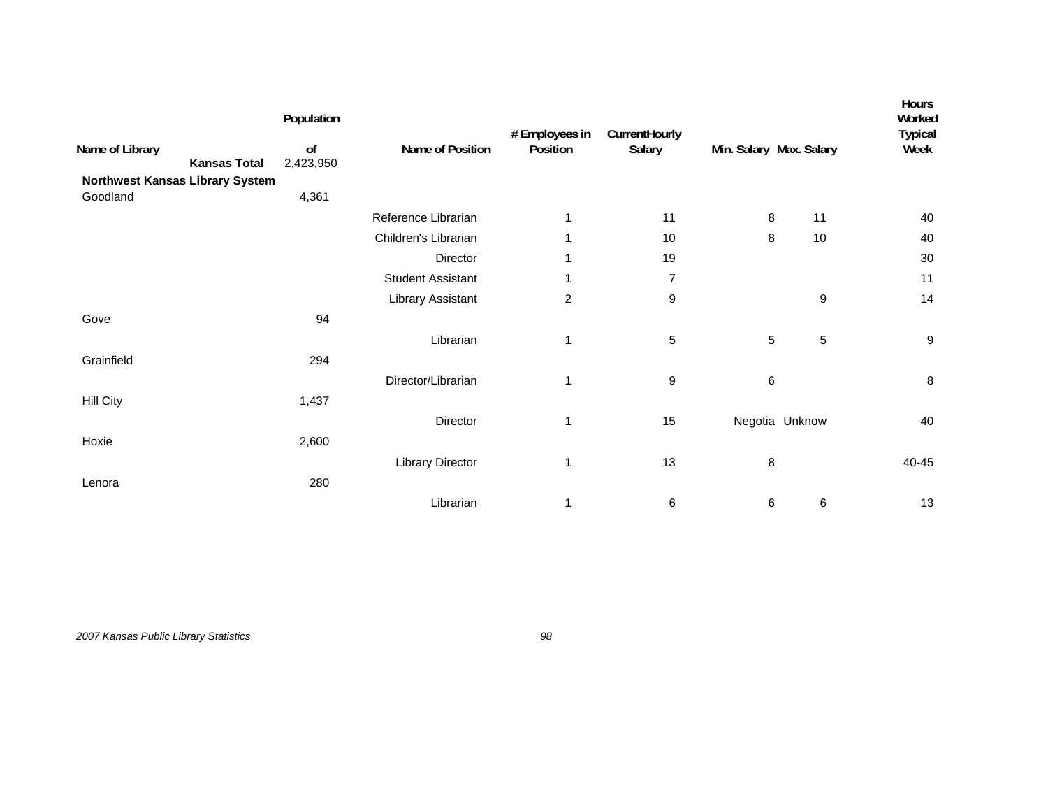|                                        | Population      |                          | # Employees in | CurrentHourly  |                         |                | Hours<br>Worked<br><b>Typical</b> |
|----------------------------------------|-----------------|--------------------------|----------------|----------------|-------------------------|----------------|-----------------------------------|
| Name of Library<br><b>Kansas Total</b> | of<br>2,423,950 | Name of Position         | Position       | Salary         | Min. Salary Max. Salary |                | Week                              |
| Northwest Kansas Library System        |                 |                          |                |                |                         |                |                                   |
| Goodland                               | 4,361           |                          |                |                |                         |                |                                   |
|                                        |                 | Reference Librarian      | 1              | 11             | 8                       | 11             | 40                                |
|                                        |                 | Children's Librarian     | 1              | 10             | 8                       | 10             | 40                                |
|                                        |                 | Director                 | 1              | 19             |                         |                | 30                                |
|                                        |                 | <b>Student Assistant</b> | 1              | $\overline{7}$ |                         |                | 11                                |
|                                        |                 | Library Assistant        | $\overline{c}$ | 9              |                         | 9              | 14                                |
| Gove                                   | 94              |                          |                |                |                         |                |                                   |
|                                        |                 | Librarian                | 1              | 5              | $5\,$                   | $\sqrt{5}$     | $\boldsymbol{9}$                  |
| Grainfield                             | 294             |                          |                |                |                         |                |                                   |
|                                        |                 | Director/Librarian       | 1              | 9              | $\,6$                   |                | $\bf 8$                           |
| <b>Hill City</b>                       | 1,437           |                          |                |                |                         |                |                                   |
|                                        |                 | Director                 | 1              | 15             |                         | Negotia Unknow | 40                                |
| Hoxie                                  | 2,600           |                          |                |                |                         |                |                                   |
|                                        |                 | <b>Library Director</b>  | 1              | 13             | $\bf 8$                 |                | 40-45                             |
| Lenora                                 | 280             |                          |                |                |                         |                |                                   |
|                                        |                 |                          |                |                |                         |                |                                   |
|                                        |                 | Librarian                | 1              | 6              | 6                       | 6              | 13                                |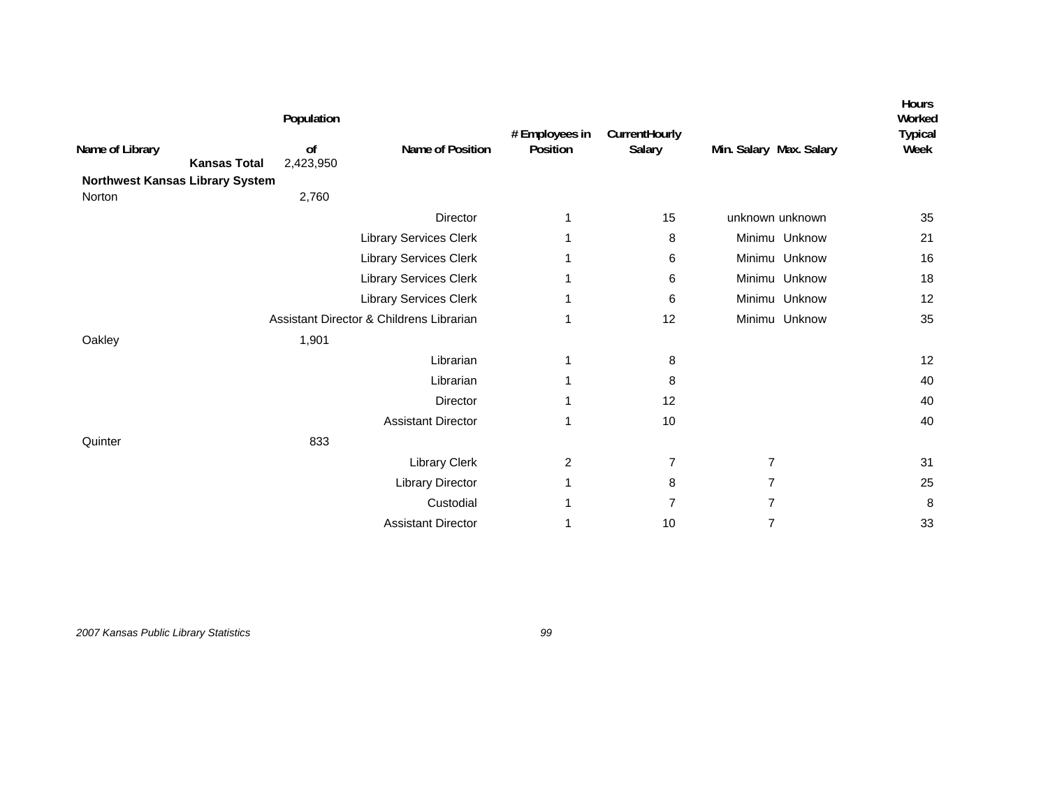| Name of Library<br><b>Northwest Kansas Library System</b> | <b>Kansas Total</b> | Population<br>of<br>2,423,950 | Name of Position                         | # Employees in<br>Position | CurrentHourly<br>Salary | Min. Salary Max. Salary | <b>Hours</b><br>Worked<br><b>Typical</b><br>Week |
|-----------------------------------------------------------|---------------------|-------------------------------|------------------------------------------|----------------------------|-------------------------|-------------------------|--------------------------------------------------|
| Norton                                                    |                     | 2,760                         | Director                                 | $\mathbf{1}$               | 15                      | unknown unknown         | 35                                               |
|                                                           |                     |                               | <b>Library Services Clerk</b>            | 1                          | 8                       | Minimu Unknow           | 21                                               |
|                                                           |                     |                               | <b>Library Services Clerk</b>            | 1                          | 6                       | Minimu Unknow           | 16                                               |
|                                                           |                     |                               | <b>Library Services Clerk</b>            | 1                          | 6                       | Minimu Unknow           | 18                                               |
|                                                           |                     |                               | <b>Library Services Clerk</b>            | 1                          | 6                       | Minimu Unknow           | 12                                               |
|                                                           |                     |                               | Assistant Director & Childrens Librarian | 1                          | 12                      | Minimu Unknow           | 35                                               |
| Oakley                                                    |                     | 1,901                         |                                          |                            |                         |                         |                                                  |
|                                                           |                     |                               | Librarian                                | 1                          | 8                       |                         | 12                                               |
|                                                           |                     |                               | Librarian                                | 1                          | 8                       |                         | 40                                               |
|                                                           |                     |                               | Director                                 | 1                          | 12                      |                         | 40                                               |
|                                                           |                     |                               | <b>Assistant Director</b>                | 1                          | 10                      |                         | 40                                               |
| Quinter                                                   |                     | 833                           |                                          |                            |                         |                         |                                                  |
|                                                           |                     |                               | Library Clerk                            | 2                          | $\overline{7}$          | $\overline{7}$          | 31                                               |
|                                                           |                     |                               | <b>Library Director</b>                  | 1                          | 8                       | 7                       | 25                                               |
|                                                           |                     |                               | Custodial                                | 1                          | 7                       | 7                       | 8                                                |
|                                                           |                     |                               | <b>Assistant Director</b>                |                            | 10                      | $\overline{7}$          | 33                                               |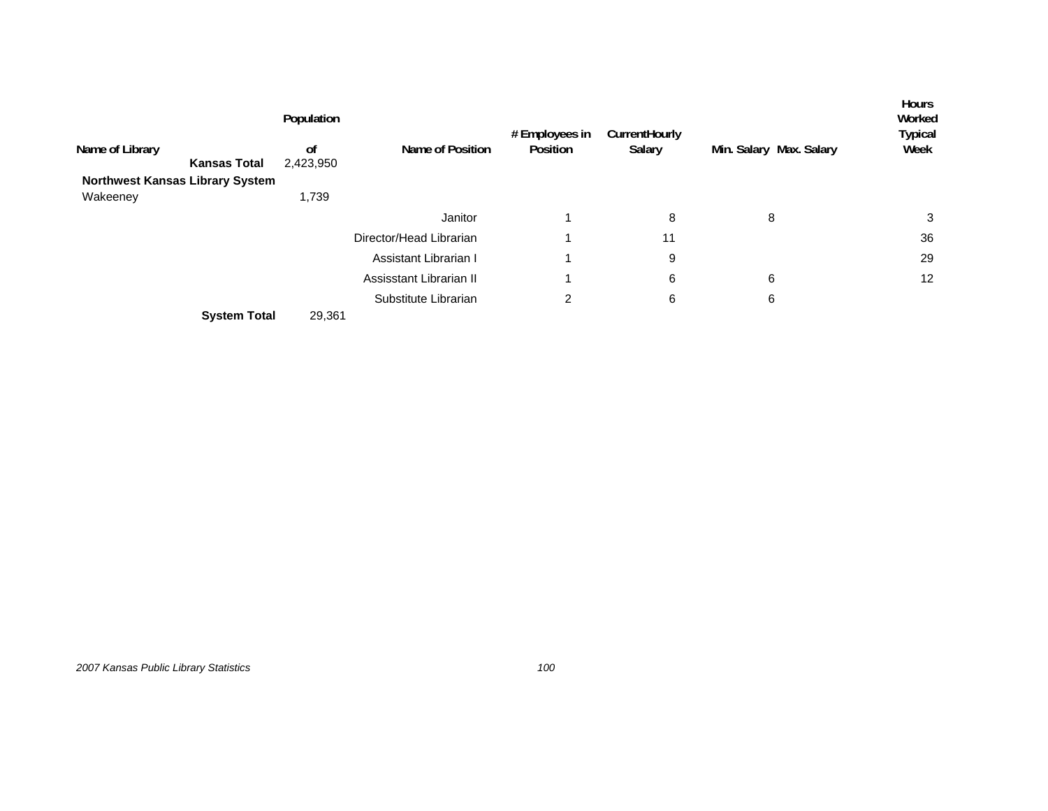| Name of Library                        | <b>Kansas Total</b> | Population<br>0f<br>2,423,950 | Name of Position        | # Employees in<br>Position | CurrentHourly<br>Salary | Min. Salary Max. Salary | <b>Hours</b><br>Worked<br>Typical<br>Week |
|----------------------------------------|---------------------|-------------------------------|-------------------------|----------------------------|-------------------------|-------------------------|-------------------------------------------|
|                                        |                     |                               |                         |                            |                         |                         |                                           |
| <b>Northwest Kansas Library System</b> |                     |                               |                         |                            |                         |                         |                                           |
| Wakeeney                               |                     | 1,739                         |                         |                            |                         |                         |                                           |
|                                        |                     |                               | Janitor                 |                            | 8                       | 8                       | 3                                         |
|                                        |                     |                               | Director/Head Librarian |                            | 11                      |                         | 36                                        |
|                                        |                     |                               | Assistant Librarian I   |                            | 9                       |                         | 29                                        |
|                                        |                     |                               | Assisstant Librarian II |                            | 6                       | 6                       | 12                                        |
|                                        |                     |                               | Substitute Librarian    | 2                          | 6                       | 6                       |                                           |
|                                        | <b>System Total</b> | 29,361                        |                         |                            |                         |                         |                                           |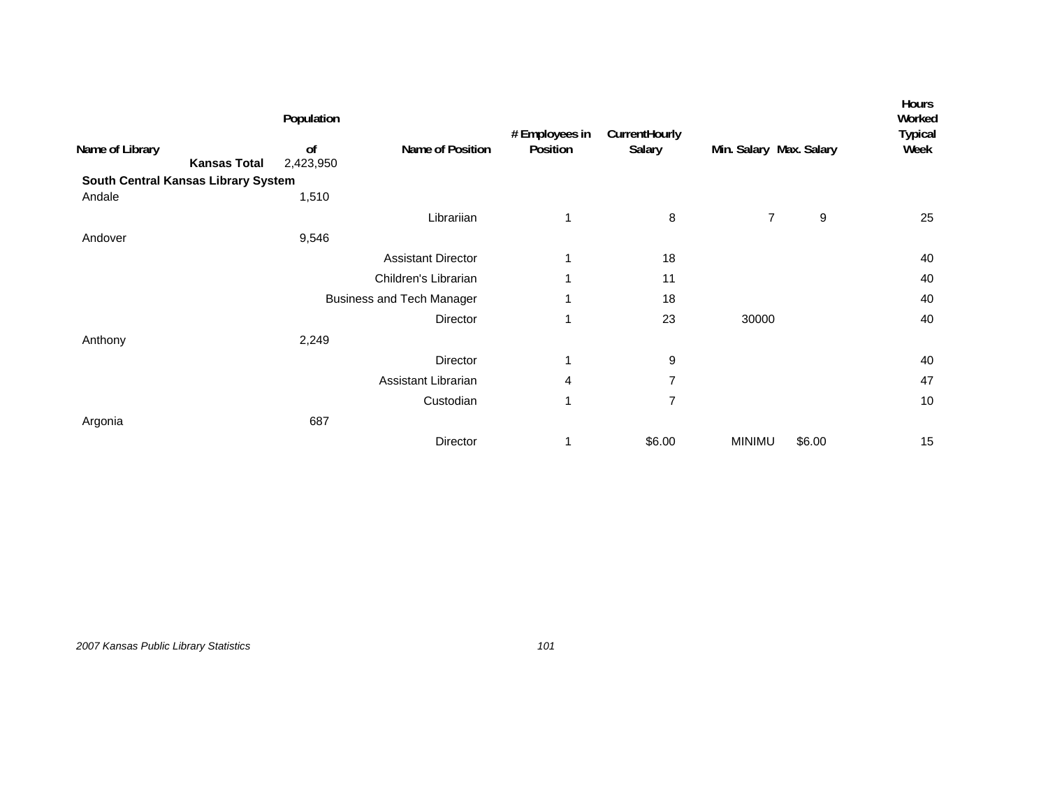|                                     |                     | Population      |                                  | # Employees in | CurrentHourly  |                         |        | <b>Hours</b><br>Worked<br><b>Typical</b> |
|-------------------------------------|---------------------|-----------------|----------------------------------|----------------|----------------|-------------------------|--------|------------------------------------------|
| Name of Library                     | <b>Kansas Total</b> | of<br>2,423,950 | Name of Position                 | Position       | Salary         | Min. Salary Max. Salary |        | Week                                     |
| South Central Kansas Library System |                     |                 |                                  |                |                |                         |        |                                          |
| Andale                              |                     | 1,510           |                                  |                |                |                         |        |                                          |
|                                     |                     |                 | Librariian                       | 1              | 8              | $\overline{7}$          | 9      | 25                                       |
| Andover                             |                     | 9,546           |                                  |                |                |                         |        |                                          |
|                                     |                     |                 | <b>Assistant Director</b>        | 1              | 18             |                         |        | 40                                       |
|                                     |                     |                 | Children's Librarian             | 1              | 11             |                         |        | 40                                       |
|                                     |                     |                 | <b>Business and Tech Manager</b> | 1              | 18             |                         |        | 40                                       |
|                                     |                     |                 | Director                         | 1              | 23             | 30000                   |        | 40                                       |
| Anthony                             |                     | 2,249           |                                  |                |                |                         |        |                                          |
|                                     |                     |                 | Director                         | 1              | 9              |                         |        | 40                                       |
|                                     |                     |                 | Assistant Librarian              | 4              | $\overline{7}$ |                         |        | 47                                       |
|                                     |                     |                 | Custodian                        | 1              | $\overline{7}$ |                         |        | 10                                       |
| Argonia                             |                     | 687             |                                  |                |                |                         |        |                                          |
|                                     |                     |                 | Director                         |                | \$6.00         | <b>MINIMU</b>           | \$6.00 | 15                                       |
|                                     |                     |                 |                                  |                |                |                         |        |                                          |

*2007 Kansas Public Library Statistics 101*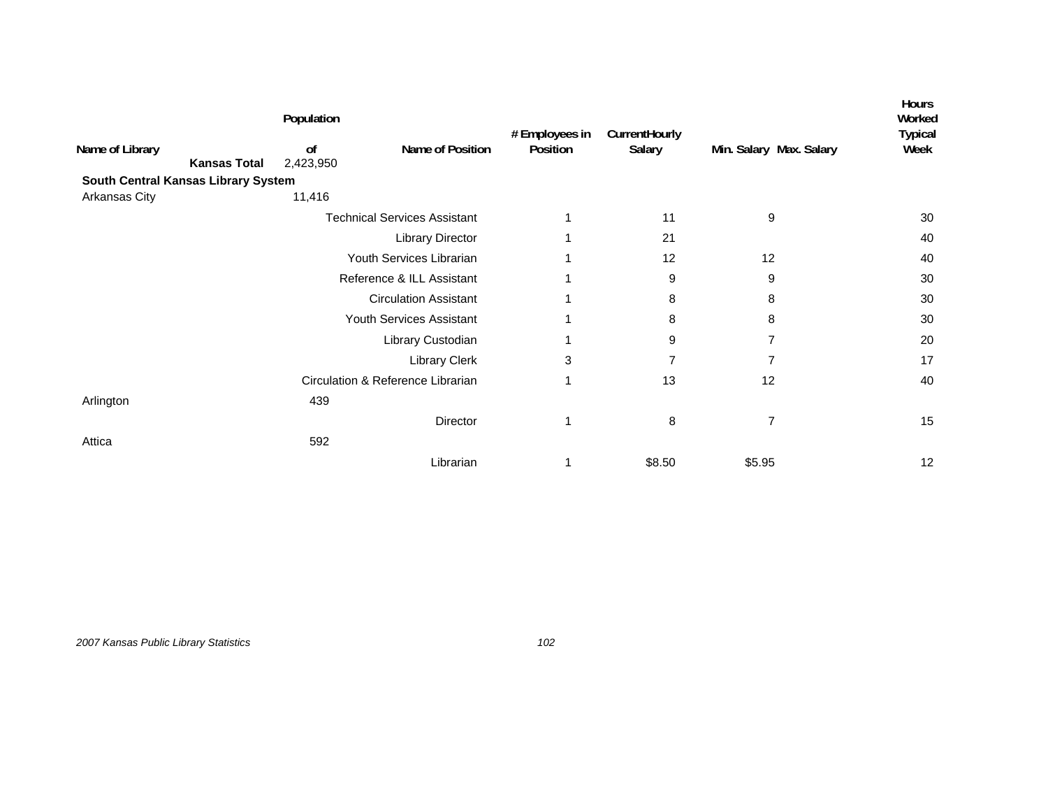|                                     |                     | Population      |                                     |                            |                         |                         | <b>Hours</b><br>Worked |
|-------------------------------------|---------------------|-----------------|-------------------------------------|----------------------------|-------------------------|-------------------------|------------------------|
| Name of Library                     | <b>Kansas Total</b> | of<br>2,423,950 | Name of Position                    | # Employees in<br>Position | CurrentHourly<br>Salary | Min. Salary Max. Salary | <b>Typical</b><br>Week |
| South Central Kansas Library System |                     |                 |                                     |                            |                         |                         |                        |
| Arkansas City                       |                     | 11,416          |                                     |                            |                         |                         |                        |
|                                     |                     |                 | <b>Technical Services Assistant</b> |                            | 11                      | 9                       | 30                     |
|                                     |                     |                 | Library Director                    |                            | 21                      |                         | 40                     |
|                                     |                     |                 | Youth Services Librarian            |                            | 12                      | 12                      | 40                     |
|                                     |                     |                 | Reference & ILL Assistant           |                            | 9                       | 9                       | 30                     |
|                                     |                     |                 | <b>Circulation Assistant</b>        |                            | 8                       | 8                       | 30                     |
|                                     |                     |                 | Youth Services Assistant            |                            | 8                       | 8                       | 30                     |
|                                     |                     |                 | Library Custodian                   |                            | 9                       | $\overline{7}$          | 20                     |
|                                     |                     |                 | <b>Library Clerk</b>                | 3                          | 7                       | 7                       | 17                     |
|                                     |                     |                 | Circulation & Reference Librarian   | 1                          | 13                      | 12                      | 40                     |
| Arlington                           |                     | 439             |                                     |                            |                         |                         |                        |
|                                     |                     |                 | Director                            | 1                          | 8                       | $\overline{7}$          | 15                     |
| Attica                              |                     | 592             |                                     |                            |                         |                         |                        |
|                                     |                     |                 | Librarian                           |                            | \$8.50                  | \$5.95                  | 12                     |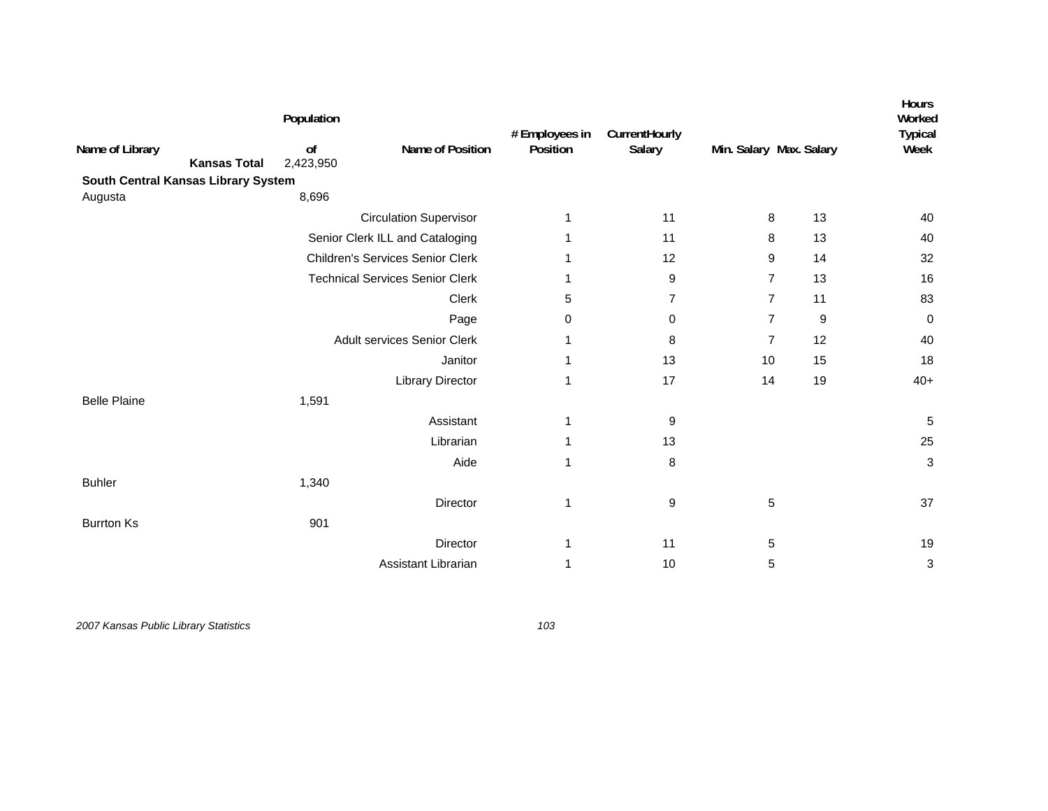| Name of Library<br><b>Kansas Total</b> | Population<br>of<br>2,423,950 | Name of Position                        | # Employees in<br>Position | CurrentHourly<br>Salary |                | Min. Salary Max. Salary | Hours<br>Worked<br><b>Typical</b><br>Week |
|----------------------------------------|-------------------------------|-----------------------------------------|----------------------------|-------------------------|----------------|-------------------------|-------------------------------------------|
| South Central Kansas Library System    |                               |                                         |                            |                         |                |                         |                                           |
| Augusta                                | 8,696                         |                                         |                            |                         |                |                         |                                           |
|                                        |                               | <b>Circulation Supervisor</b>           | 1                          | 11                      | 8              | 13                      | 40                                        |
|                                        |                               | Senior Clerk ILL and Cataloging         | 1                          | 11                      | 8              | 13                      | 40                                        |
|                                        |                               | <b>Children's Services Senior Clerk</b> |                            | 12                      | 9              | 14                      | 32                                        |
|                                        |                               | <b>Technical Services Senior Clerk</b>  | 1                          | 9                       | $\overline{7}$ | 13                      | 16                                        |
|                                        |                               | Clerk                                   | 5                          | 7                       | $\overline{7}$ | 11                      | 83                                        |
|                                        |                               | Page                                    | 0                          | 0                       | $\overline{7}$ | 9                       | 0                                         |
|                                        |                               | <b>Adult services Senior Clerk</b>      | 1                          | 8                       | $\overline{7}$ | 12                      | 40                                        |
|                                        |                               | Janitor                                 | 1                          | 13                      | 10             | 15                      | 18                                        |
|                                        |                               | <b>Library Director</b>                 | 1                          | 17                      | 14             | 19                      | $40+$                                     |
| <b>Belle Plaine</b>                    | 1,591                         |                                         |                            |                         |                |                         |                                           |
|                                        |                               | Assistant                               | 1                          | 9                       |                |                         | 5                                         |
|                                        |                               | Librarian                               | 1                          | 13                      |                |                         | 25                                        |
|                                        |                               | Aide                                    | 1                          | 8                       |                |                         | 3                                         |
| <b>Buhler</b>                          | 1,340                         |                                         |                            |                         |                |                         |                                           |
|                                        |                               | Director                                | 1                          | 9                       | 5              |                         | 37                                        |
| <b>Burrton Ks</b>                      | 901                           |                                         |                            |                         |                |                         |                                           |
|                                        |                               | Director                                | 1                          | 11                      | 5              |                         | 19                                        |
|                                        |                               | Assistant Librarian                     | 1                          | 10                      | 5              |                         | 3                                         |
|                                        |                               |                                         |                            |                         |                |                         |                                           |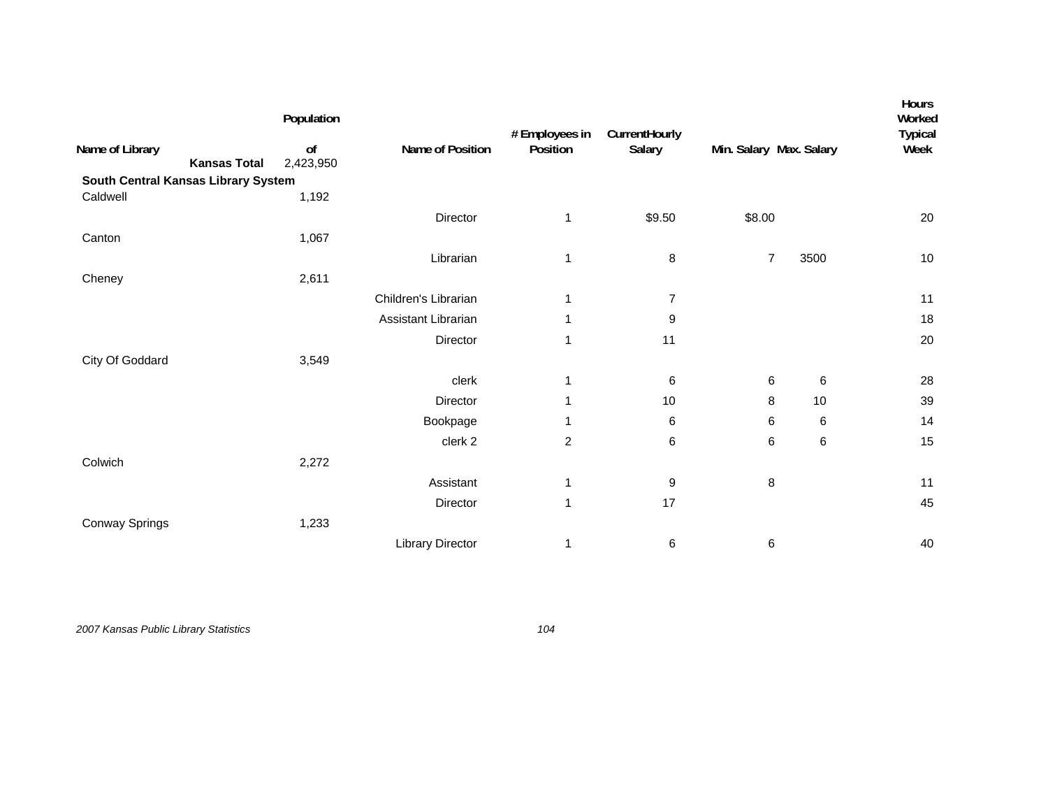| Name of Library<br><b>Kansas Total</b><br>South Central Kansas Library System | of<br>2,423,950 | Name of Position        | # Employees in<br>Position | CurrentHourly<br>Salary | Min. Salary Max. Salary |         | Worked<br><b>Typical</b><br>Week |
|-------------------------------------------------------------------------------|-----------------|-------------------------|----------------------------|-------------------------|-------------------------|---------|----------------------------------|
| Caldwell                                                                      | 1,192           |                         |                            |                         |                         |         |                                  |
|                                                                               |                 | Director                | 1                          | \$9.50                  | \$8.00                  |         | 20                               |
| Canton                                                                        | 1,067           |                         |                            |                         |                         |         |                                  |
|                                                                               |                 | Librarian               | 1                          | 8                       | $\overline{7}$          | 3500    | $10$                             |
| Cheney                                                                        | 2,611           |                         |                            |                         |                         |         |                                  |
|                                                                               |                 | Children's Librarian    | 1                          | 7                       |                         |         | 11                               |
|                                                                               |                 | Assistant Librarian     | 1                          | 9                       |                         |         | 18                               |
|                                                                               |                 | Director                | 1                          | 11                      |                         |         | 20                               |
| City Of Goddard                                                               | 3,549           |                         |                            |                         |                         |         |                                  |
|                                                                               |                 | clerk                   | 1                          | 6                       | 6                       | 6       | 28                               |
|                                                                               |                 | Director                | 1                          | 10                      | 8                       | 10      | 39                               |
|                                                                               |                 | Bookpage                | 1                          | 6                       | 6                       | $\,6\,$ | 14                               |
|                                                                               |                 | clerk <sub>2</sub>      | $\overline{c}$             | 6                       | 6                       | $\,6\,$ | 15                               |
| Colwich                                                                       | 2,272           |                         |                            |                         |                         |         |                                  |
|                                                                               |                 | Assistant               | $\mathbf 1$                | 9                       | 8                       |         | 11                               |
|                                                                               |                 | Director                | 1                          | 17                      |                         |         | 45                               |
| Conway Springs                                                                | 1,233           |                         |                            |                         |                         |         |                                  |
|                                                                               |                 | <b>Library Director</b> | 1                          | 6                       | 6                       |         | 40                               |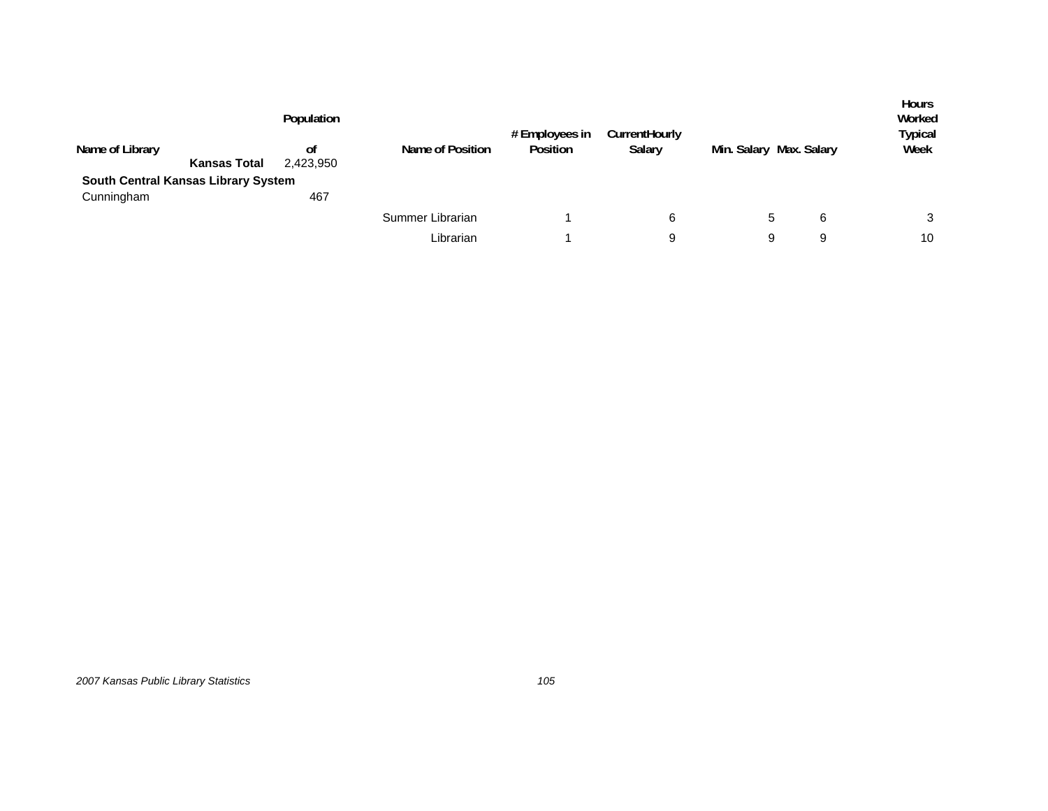|                                     | Population |                  | # Employees in | CurrentHourly |                         |   | <b>Hours</b><br>Worked<br>Typical |
|-------------------------------------|------------|------------------|----------------|---------------|-------------------------|---|-----------------------------------|
| Name of Library                     | οf         | Name of Position | Position       | Salary        | Min. Salary Max. Salary |   | Week                              |
| <b>Kansas Total</b>                 | 2,423,950  |                  |                |               |                         |   |                                   |
| South Central Kansas Library System |            |                  |                |               |                         |   |                                   |
| Cunningham                          | 467        |                  |                |               |                         |   |                                   |
|                                     |            | Summer Librarian |                | 6             | 5                       | 6 | 3                                 |
|                                     |            | Librarian        |                | 9             | 9                       | 9 | 10                                |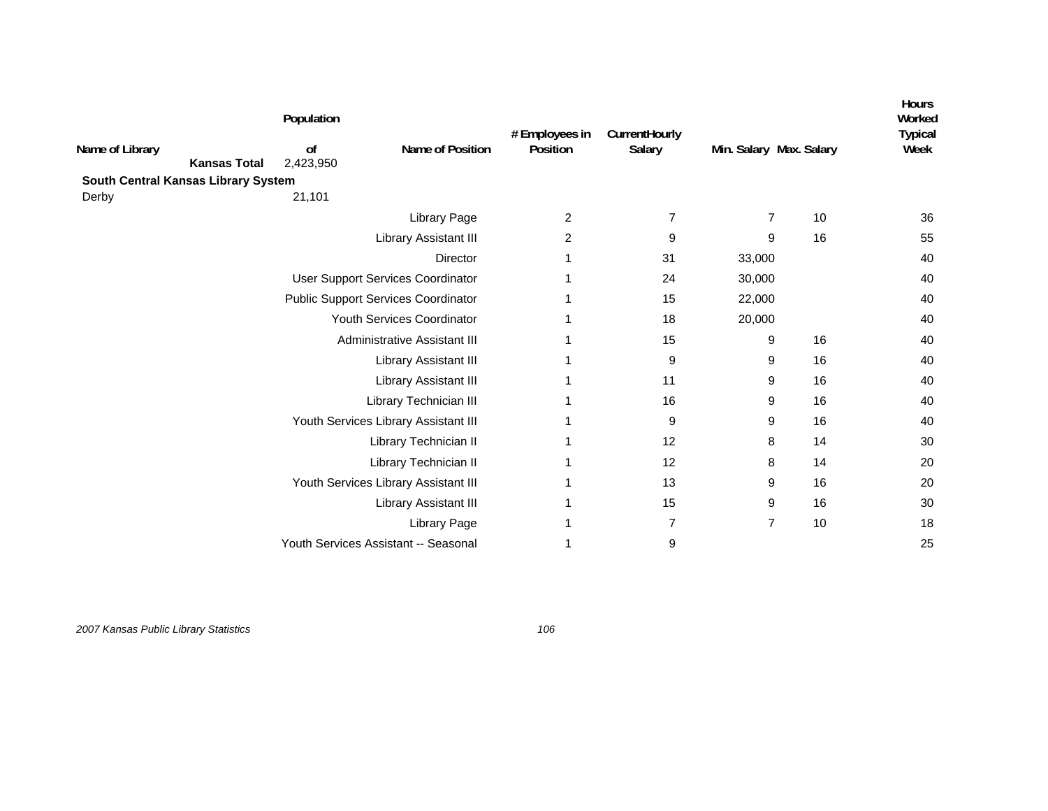|                                        | Population      |                                            | # Employees in | CurrentHourly  |                         |    | Hours<br>Worked<br><b>Typical</b> |
|----------------------------------------|-----------------|--------------------------------------------|----------------|----------------|-------------------------|----|-----------------------------------|
| Name of Library<br><b>Kansas Total</b> | of<br>2,423,950 | Name of Position                           | Position       | Salary         | Min. Salary Max. Salary |    | Week                              |
| South Central Kansas Library System    |                 |                                            |                |                |                         |    |                                   |
| Derby                                  | 21,101          |                                            |                |                |                         |    |                                   |
|                                        |                 | <b>Library Page</b>                        | $\overline{2}$ | 7              | $\overline{7}$          | 10 | 36                                |
|                                        |                 | Library Assistant III                      | 2              | 9              | 9                       | 16 | 55                                |
|                                        |                 | Director                                   | 1              | 31             | 33,000                  |    | 40                                |
|                                        |                 | User Support Services Coordinator          |                | 24             | 30,000                  |    | 40                                |
|                                        |                 | <b>Public Support Services Coordinator</b> | 1              | 15             | 22,000                  |    | 40                                |
|                                        |                 | Youth Services Coordinator                 |                | 18             | 20,000                  |    | 40                                |
|                                        |                 | Administrative Assistant III               |                | 15             | 9                       | 16 | 40                                |
|                                        |                 | Library Assistant III                      | 1              | 9              | 9                       | 16 | 40                                |
|                                        |                 | Library Assistant III                      |                | 11             | 9                       | 16 | 40                                |
|                                        |                 | Library Technician III                     |                | 16             | 9                       | 16 | 40                                |
|                                        |                 | Youth Services Library Assistant III       | 1              | 9              | 9                       | 16 | 40                                |
|                                        |                 | Library Technician II                      |                | 12             | 8                       | 14 | 30                                |
|                                        |                 | Library Technician II                      | 1              | 12             | 8                       | 14 | 20                                |
|                                        |                 | Youth Services Library Assistant III       | 1              | 13             | 9                       | 16 | 20                                |
|                                        |                 | Library Assistant III                      | 1              | 15             | 9                       | 16 | 30                                |
|                                        |                 | <b>Library Page</b>                        |                | $\overline{7}$ | $\overline{7}$          | 10 | 18                                |
|                                        |                 | Youth Services Assistant -- Seasonal       |                | 9              |                         |    | 25                                |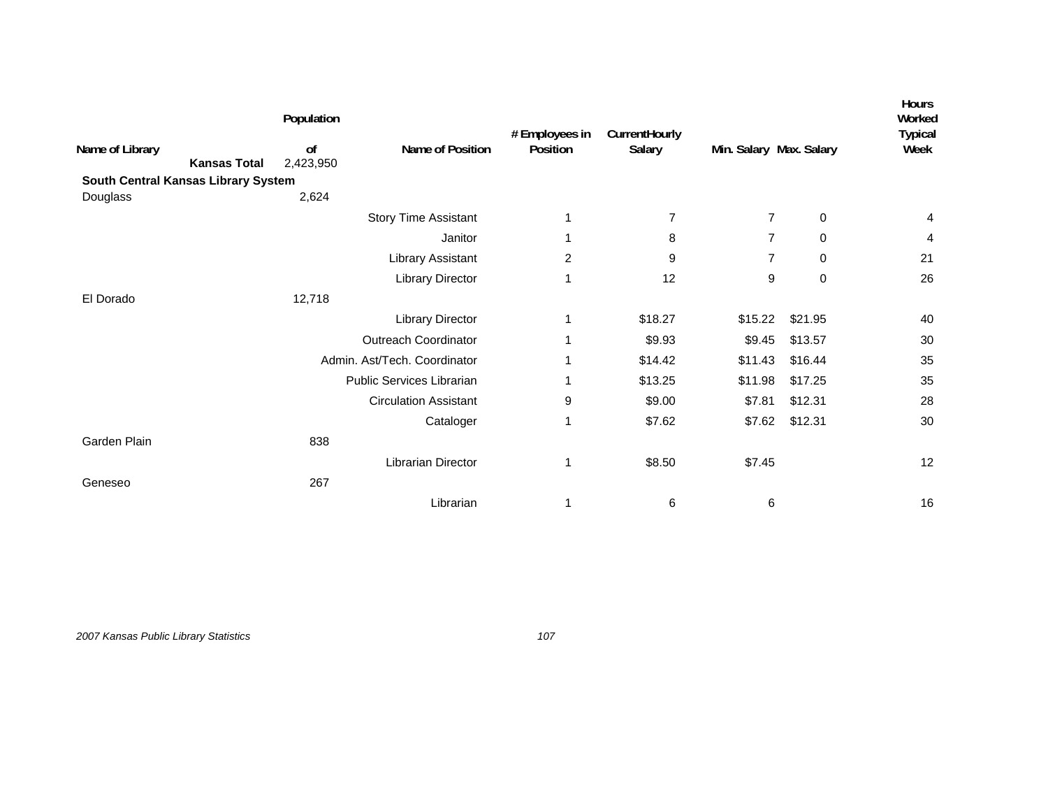|                                        | Population      |                              | # Employees in | CurrentHourly |                         |             | Hours<br>Worked<br>Typical |
|----------------------------------------|-----------------|------------------------------|----------------|---------------|-------------------------|-------------|----------------------------|
| Name of Library<br><b>Kansas Total</b> | of<br>2,423,950 | Name of Position             | Position       | Salary        | Min. Salary Max. Salary |             | Week                       |
| South Central Kansas Library System    |                 |                              |                |               |                         |             |                            |
| Douglass                               | 2,624           |                              |                |               |                         |             |                            |
|                                        |                 | <b>Story Time Assistant</b>  | 1              | 7             | 7                       | 0           | 4                          |
|                                        |                 | Janitor                      | 1              | 8             | 7                       | 0           | 4                          |
|                                        |                 | Library Assistant            | 2              | 9             | 7                       | 0           | 21                         |
|                                        |                 | <b>Library Director</b>      | 1              | 12            | 9                       | $\mathbf 0$ | 26                         |
| El Dorado                              | 12,718          |                              |                |               |                         |             |                            |
|                                        |                 | Library Director             | 1              | \$18.27       | \$15.22                 | \$21.95     | 40                         |
|                                        |                 | <b>Outreach Coordinator</b>  | 1              | \$9.93        | \$9.45                  | \$13.57     | 30                         |
|                                        |                 | Admin. Ast/Tech. Coordinator | 1              | \$14.42       | \$11.43                 | \$16.44     | 35                         |
|                                        |                 | Public Services Librarian    | 1              | \$13.25       | \$11.98                 | \$17.25     | 35                         |
|                                        |                 | <b>Circulation Assistant</b> | 9              | \$9.00        | \$7.81                  | \$12.31     | 28                         |
|                                        |                 | Cataloger                    | 1              | \$7.62        | \$7.62                  | \$12.31     | 30                         |
| Garden Plain                           | 838             |                              |                |               |                         |             |                            |
|                                        |                 | Librarian Director           | 1              | \$8.50        | \$7.45                  |             | 12                         |
| Geneseo                                | 267             |                              |                |               |                         |             |                            |
|                                        |                 | Librarian                    | 1              | 6             | 6                       |             | 16                         |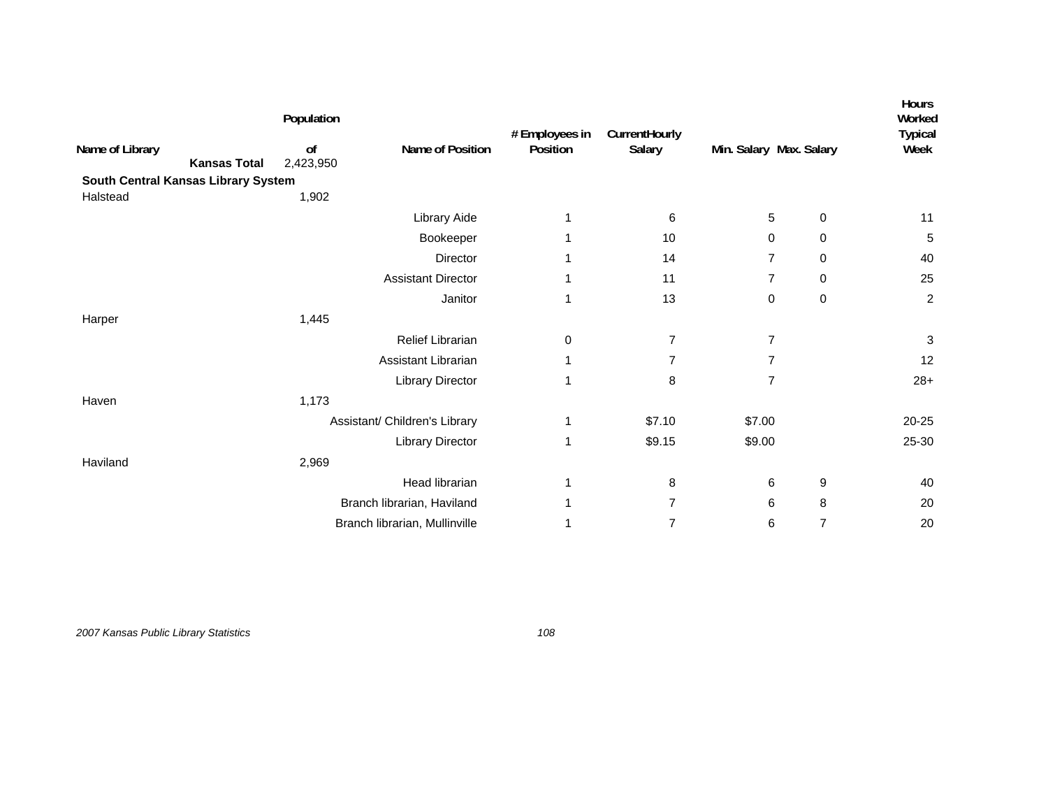|                                     |                     | Population      |                               | # Employees in | CurrentHourly  |                         | Hours<br>Worked<br><b>Typical</b> |                |
|-------------------------------------|---------------------|-----------------|-------------------------------|----------------|----------------|-------------------------|-----------------------------------|----------------|
| Name of Library                     | <b>Kansas Total</b> | of<br>2,423,950 | Name of Position              | Position       | Salary         | Min. Salary Max. Salary |                                   | Week           |
| South Central Kansas Library System |                     |                 |                               |                |                |                         |                                   |                |
| Halstead                            |                     | 1,902           |                               |                |                |                         |                                   |                |
|                                     |                     |                 | Library Aide                  |                | 6              | 5                       | $\mathbf 0$                       | 11             |
|                                     |                     |                 | Bookeeper                     |                | 10             | 0                       | 0                                 | 5              |
|                                     |                     |                 | Director                      | 1              | 14             | $\overline{7}$          | 0                                 | 40             |
|                                     |                     |                 | <b>Assistant Director</b>     |                | 11             | $\overline{7}$          | 0                                 | 25             |
|                                     |                     |                 | Janitor                       | 1              | 13             | 0                       | $\mathbf 0$                       | $\overline{c}$ |
| Harper                              |                     | 1,445           |                               |                |                |                         |                                   |                |
|                                     |                     |                 | Relief Librarian              | 0              | $\overline{7}$ | $\overline{7}$          |                                   | 3              |
|                                     |                     |                 | Assistant Librarian           | 1              | 7              | 7                       |                                   | 12             |
|                                     |                     |                 | <b>Library Director</b>       | 1              | 8              | $\overline{7}$          |                                   | $28+$          |
| Haven                               |                     | 1,173           |                               |                |                |                         |                                   |                |
|                                     |                     |                 | Assistant/ Children's Library | 1              | \$7.10         | \$7.00                  |                                   | 20-25          |
|                                     |                     |                 | <b>Library Director</b>       | 1              | \$9.15         | \$9.00                  |                                   | 25-30          |
| Haviland                            |                     | 2,969           |                               |                |                |                         |                                   |                |
|                                     |                     |                 | Head librarian                | 1              | 8              | 6                       | 9                                 | 40             |
|                                     |                     |                 | Branch librarian, Haviland    |                | 7              | 6                       | 8                                 | 20             |
|                                     |                     |                 | Branch librarian, Mullinville |                | 7              | 6                       | $\overline{7}$                    | 20             |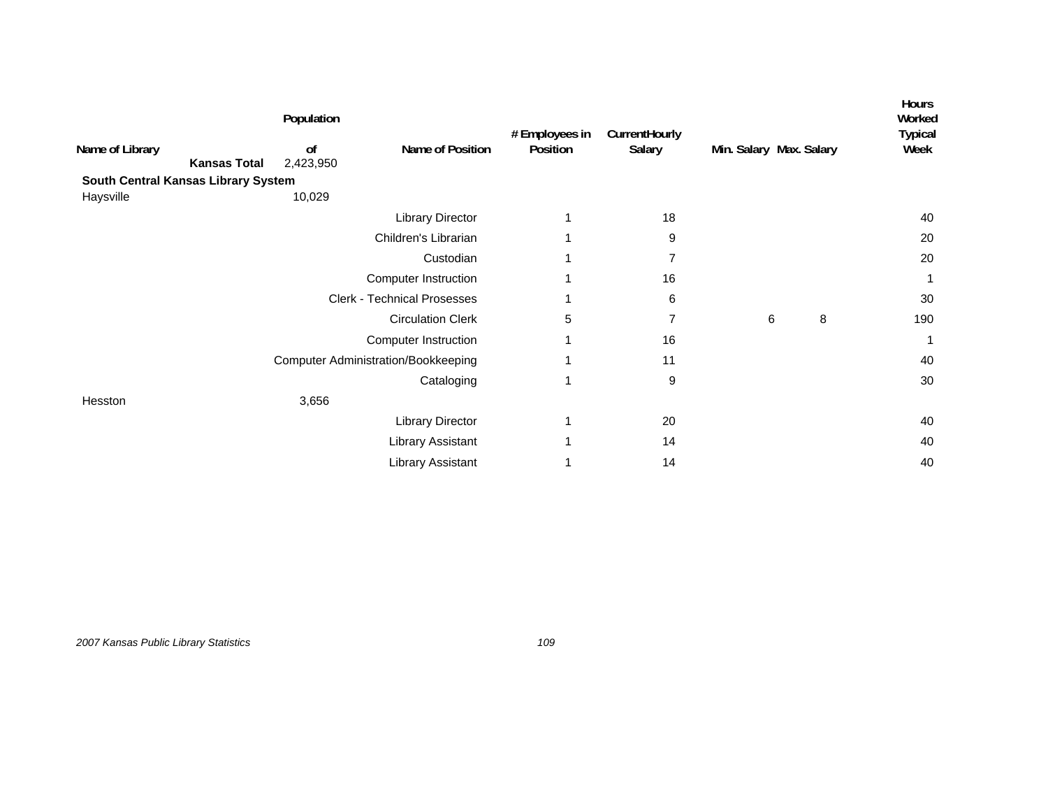|                                     |                     | Population                 |                                            | # Employees in | CurrentHourly  |                         |   |   | <b>Hours</b><br>Worked |
|-------------------------------------|---------------------|----------------------------|--------------------------------------------|----------------|----------------|-------------------------|---|---|------------------------|
| Name of Library                     | <b>Kansas Total</b> | <sub>of</sub><br>2,423,950 | Name of Position                           | Position       | Salary         | Min. Salary Max. Salary |   |   | <b>Typical</b><br>Week |
| South Central Kansas Library System |                     |                            |                                            |                |                |                         |   |   |                        |
| Haysville                           |                     | 10,029                     |                                            |                |                |                         |   |   |                        |
|                                     |                     |                            | <b>Library Director</b>                    |                | 18             |                         |   |   | 40                     |
|                                     |                     |                            | Children's Librarian                       |                | 9              |                         |   |   | 20                     |
|                                     |                     |                            | Custodian                                  |                | $\overline{7}$ |                         |   |   | 20                     |
|                                     |                     |                            | <b>Computer Instruction</b>                |                | 16             |                         |   |   |                        |
|                                     |                     |                            | <b>Clerk - Technical Prosesses</b>         |                | 6              |                         |   |   | 30                     |
|                                     |                     |                            | <b>Circulation Clerk</b>                   | 5              | 7              |                         | 6 | 8 | 190                    |
|                                     |                     |                            | <b>Computer Instruction</b>                |                | 16             |                         |   |   |                        |
|                                     |                     |                            | <b>Computer Administration/Bookkeeping</b> |                | 11             |                         |   |   | 40                     |
|                                     |                     |                            | Cataloging                                 | 1              | 9              |                         |   |   | 30                     |
| Hesston                             |                     | 3,656                      |                                            |                |                |                         |   |   |                        |
|                                     |                     |                            | <b>Library Director</b>                    | 1              | 20             |                         |   |   | 40                     |
|                                     |                     |                            | Library Assistant                          |                | 14             |                         |   |   | 40                     |
|                                     |                     |                            | Library Assistant                          |                | 14             |                         |   |   | 40                     |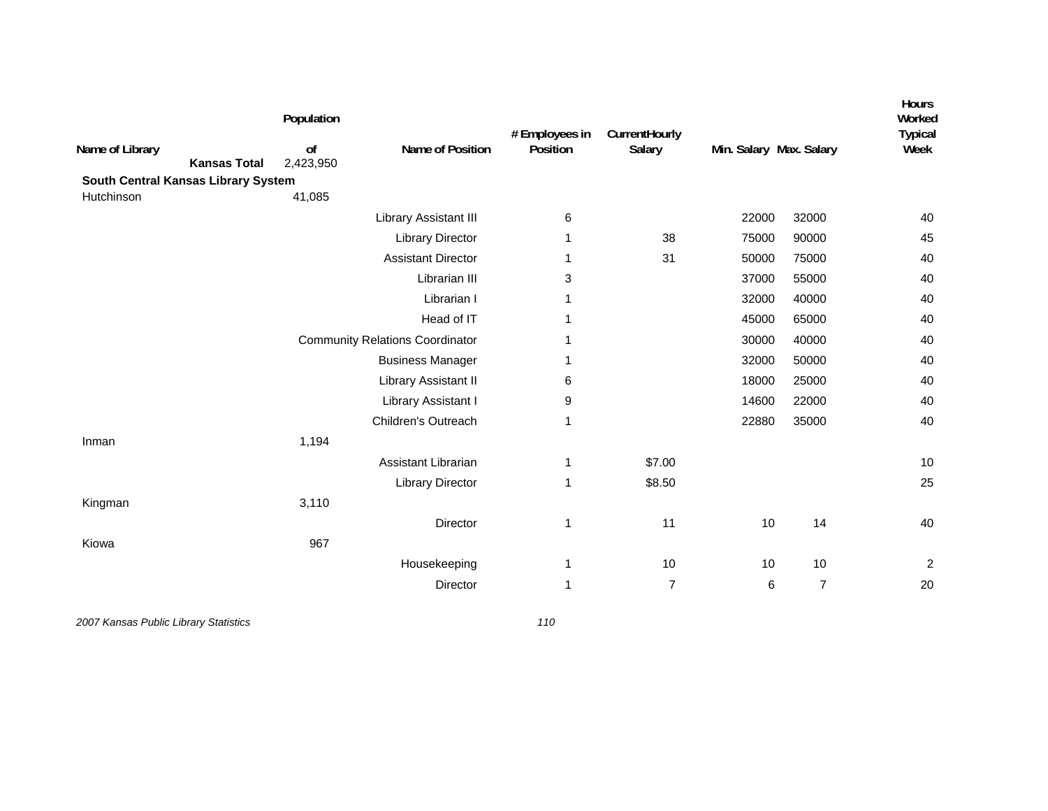| Name of Library<br><b>Kansas Total</b> | Population<br>of<br>2,423,950 | Name of Position                       | # Employees in<br>Position | CurrentHourly<br>Salary | Min. Salary Max. Salary |                | Hours<br>Worked<br><b>Typical</b><br>Week |
|----------------------------------------|-------------------------------|----------------------------------------|----------------------------|-------------------------|-------------------------|----------------|-------------------------------------------|
| South Central Kansas Library System    |                               |                                        |                            |                         |                         |                |                                           |
| Hutchinson                             | 41,085                        |                                        |                            |                         |                         |                |                                           |
|                                        |                               | Library Assistant III                  | 6                          |                         | 22000                   | 32000          | 40                                        |
|                                        |                               | <b>Library Director</b>                | 1                          | 38                      | 75000                   | 90000          | 45                                        |
|                                        |                               | <b>Assistant Director</b>              | 1                          | 31                      | 50000                   | 75000          | 40                                        |
|                                        |                               | Librarian III                          | 3                          |                         | 37000                   | 55000          | 40                                        |
|                                        |                               | Librarian I                            | 1                          |                         | 32000                   | 40000          | 40                                        |
|                                        |                               | Head of IT                             | 1                          |                         | 45000                   | 65000          | 40                                        |
|                                        |                               | <b>Community Relations Coordinator</b> | 1                          |                         | 30000                   | 40000          | 40                                        |
|                                        |                               | <b>Business Manager</b>                | 1                          |                         | 32000                   | 50000          | 40                                        |
|                                        |                               | Library Assistant II                   | 6                          |                         | 18000                   | 25000          | 40                                        |
|                                        |                               | Library Assistant I                    | 9                          |                         | 14600                   | 22000          | 40                                        |
|                                        |                               | Children's Outreach                    | 1                          |                         | 22880                   | 35000          | 40                                        |
| Inman                                  | 1,194                         |                                        |                            |                         |                         |                |                                           |
|                                        |                               | Assistant Librarian                    | 1                          | \$7.00                  |                         |                | 10                                        |
|                                        |                               | <b>Library Director</b>                | 1                          | \$8.50                  |                         |                | 25                                        |
| Kingman                                | 3,110                         |                                        |                            |                         |                         |                |                                           |
|                                        |                               | <b>Director</b>                        | 1                          | 11                      | 10                      | 14             | 40                                        |
| Kiowa                                  | 967                           |                                        |                            |                         |                         |                |                                           |
|                                        |                               | Housekeeping                           | 1                          | 10                      | 10                      | 10             | $\overline{c}$                            |
|                                        |                               | Director                               | 1                          | $\overline{7}$          | 6                       | $\overline{7}$ | 20                                        |
|                                        |                               |                                        |                            |                         |                         |                |                                           |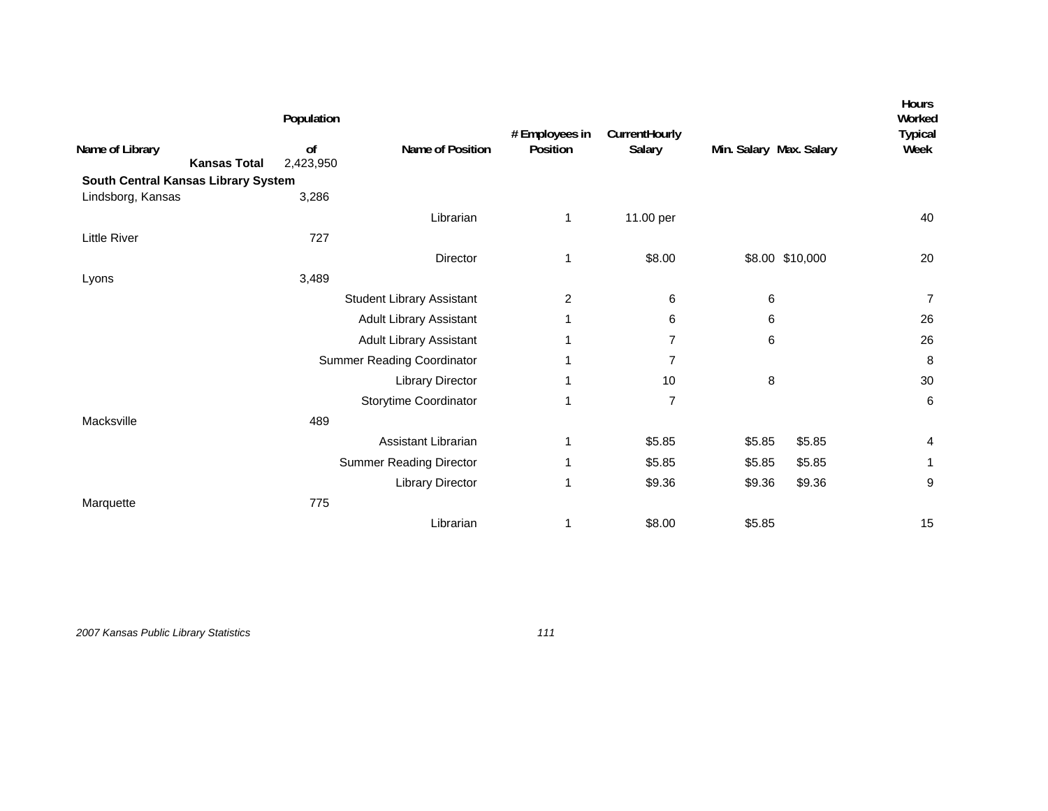|                                        | Population      |                                   | # Employees in | CurrentHourly  |                         |                 | Hours<br>Worked<br><b>Typical</b> |
|----------------------------------------|-----------------|-----------------------------------|----------------|----------------|-------------------------|-----------------|-----------------------------------|
| Name of Library<br><b>Kansas Total</b> | of<br>2,423,950 | Name of Position                  | Position       | Salary         | Min. Salary Max. Salary |                 | Week                              |
| South Central Kansas Library System    |                 |                                   |                |                |                         |                 |                                   |
| Lindsborg, Kansas                      | 3,286           |                                   |                |                |                         |                 |                                   |
|                                        |                 | Librarian                         | 1              | 11.00 per      |                         |                 | 40                                |
| Little River                           | 727             |                                   |                |                |                         |                 |                                   |
|                                        |                 | Director                          | 1              | \$8.00         |                         | \$8.00 \$10,000 | 20                                |
| Lyons                                  | 3,489           |                                   |                |                |                         |                 |                                   |
|                                        |                 | <b>Student Library Assistant</b>  | 2              | 6              | 6                       |                 | $\overline{7}$                    |
|                                        |                 | Adult Library Assistant           |                | 6              | 6                       |                 | 26                                |
|                                        |                 | <b>Adult Library Assistant</b>    |                | 7              | 6                       |                 | 26                                |
|                                        |                 | <b>Summer Reading Coordinator</b> |                | $\overline{7}$ |                         |                 | 8                                 |
|                                        |                 | <b>Library Director</b>           | 1              | 10             | 8                       |                 | 30                                |
|                                        |                 | Storytime Coordinator             | 1              | 7              |                         |                 | 6                                 |
| Macksville                             | 489             |                                   |                |                |                         |                 |                                   |
|                                        |                 | Assistant Librarian               | 1              | \$5.85         | \$5.85                  | \$5.85          | 4                                 |
|                                        |                 | <b>Summer Reading Director</b>    | 1              | \$5.85         | \$5.85                  | \$5.85          |                                   |
|                                        |                 | <b>Library Director</b>           | 1              | \$9.36         | \$9.36                  | \$9.36          | 9                                 |
| Marquette                              | 775             |                                   |                |                |                         |                 |                                   |
|                                        |                 | Librarian                         | 1              | \$8.00         | \$5.85                  |                 | 15                                |
|                                        |                 |                                   |                |                |                         |                 |                                   |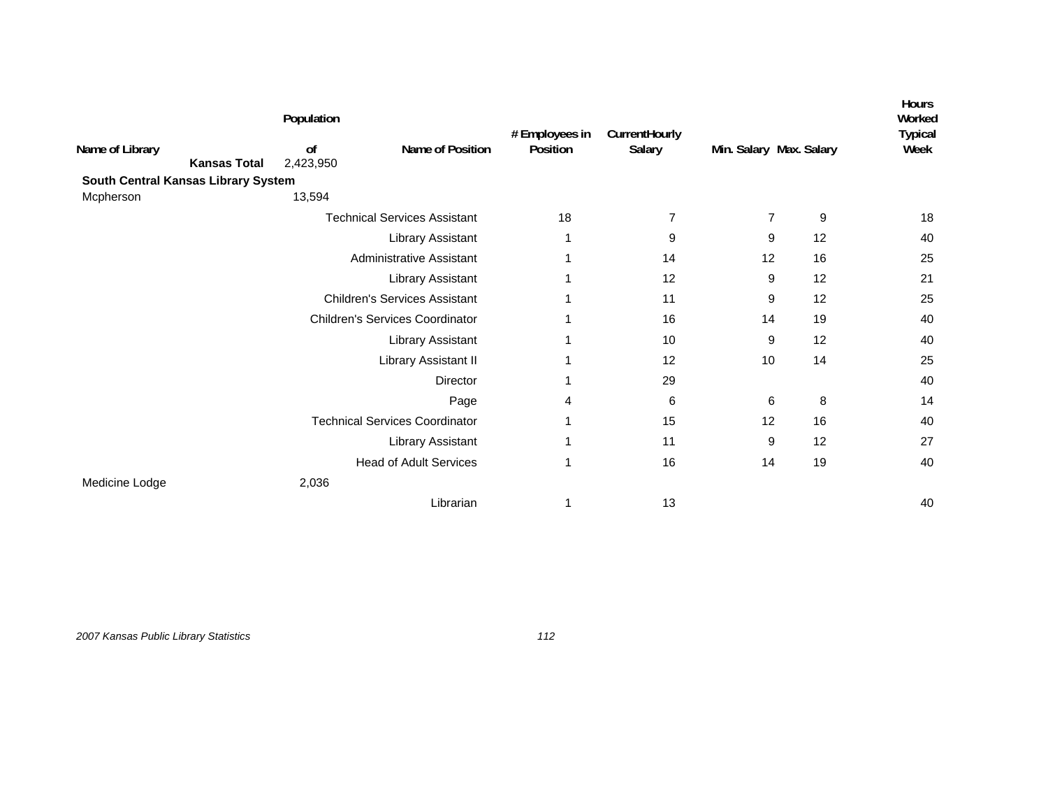| Name of Library<br><b>Kansas Total</b> | Population<br>of<br>2,423,950 | Name of Position                       | # Employees in<br>Position | CurrentHourly<br>Salary | Min. Salary Max. Salary |    | <b>Hours</b><br>Worked<br><b>Typical</b><br>Week |
|----------------------------------------|-------------------------------|----------------------------------------|----------------------------|-------------------------|-------------------------|----|--------------------------------------------------|
| South Central Kansas Library System    | 13,594                        |                                        |                            |                         |                         |    |                                                  |
| Mcpherson                              |                               |                                        |                            |                         |                         |    |                                                  |
|                                        |                               | <b>Technical Services Assistant</b>    | 18                         | $\overline{7}$          | $\overline{7}$          | 9  | 18                                               |
|                                        |                               | Library Assistant                      |                            | 9                       | 9                       | 12 | 40                                               |
|                                        |                               | Administrative Assistant               | 1                          | 14                      | 12                      | 16 | 25                                               |
|                                        |                               | <b>Library Assistant</b>               |                            | 12                      | 9                       | 12 | 21                                               |
|                                        |                               | <b>Children's Services Assistant</b>   |                            | 11                      | 9                       | 12 | 25                                               |
|                                        |                               | <b>Children's Services Coordinator</b> |                            | 16                      | 14                      | 19 | 40                                               |
|                                        |                               | Library Assistant                      | 1                          | 10                      | 9                       | 12 | 40                                               |
|                                        |                               | Library Assistant II                   | 1                          | 12                      | 10                      | 14 | 25                                               |
|                                        |                               | Director                               | 1                          | 29                      |                         |    | 40                                               |
|                                        |                               | Page                                   | 4                          | 6                       | 6                       | 8  | 14                                               |
|                                        |                               | <b>Technical Services Coordinator</b>  | 1                          | 15                      | 12                      | 16 | 40                                               |
|                                        |                               | Library Assistant                      | 1                          | 11                      | 9                       | 12 | 27                                               |
|                                        |                               | <b>Head of Adult Services</b>          | 1                          | 16                      | 14                      | 19 | 40                                               |
| Medicine Lodge                         | 2,036                         |                                        |                            |                         |                         |    |                                                  |
|                                        |                               | Librarian                              |                            | 13                      |                         |    | 40                                               |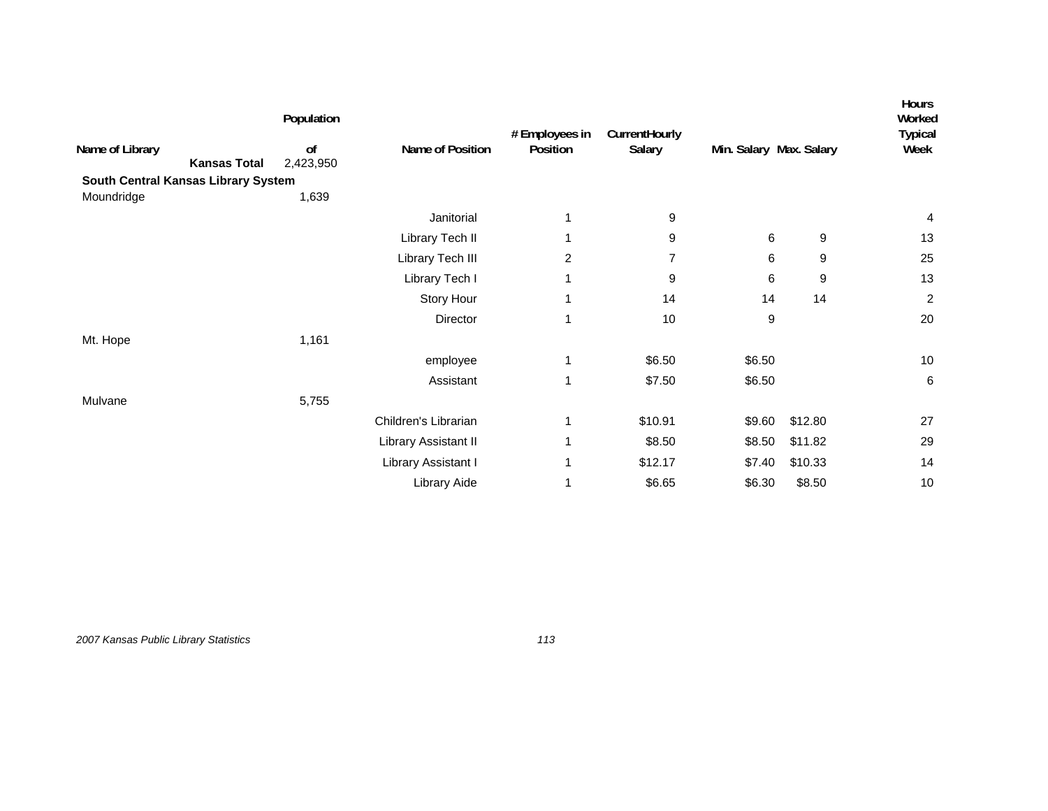|                                        | Population                 |                      | # Employees in<br>Position | CurrentHourly<br>Salary |                         | Hours<br>Worked<br><b>Typical</b><br>Week |                |
|----------------------------------------|----------------------------|----------------------|----------------------------|-------------------------|-------------------------|-------------------------------------------|----------------|
| Name of Library<br><b>Kansas Total</b> | <sub>of</sub><br>2,423,950 | Name of Position     |                            |                         | Min. Salary Max. Salary |                                           |                |
| South Central Kansas Library System    |                            |                      |                            |                         |                         |                                           |                |
| Moundridge                             | 1,639                      |                      |                            |                         |                         |                                           |                |
|                                        |                            | Janitorial           | 1                          | 9                       |                         |                                           | 4              |
|                                        |                            | Library Tech II      | 1                          | 9                       | 6                       | 9                                         | 13             |
|                                        |                            | Library Tech III     | $\overline{2}$             | $\overline{7}$          | 6                       | 9                                         | 25             |
|                                        |                            | Library Tech I       | 1                          | 9                       | 6                       | 9                                         | 13             |
|                                        |                            | Story Hour           | 1                          | 14                      | 14                      | 14                                        | $\overline{c}$ |
|                                        |                            | Director             | 1                          | 10                      | 9                       |                                           | 20             |
| Mt. Hope                               | 1,161                      |                      |                            |                         |                         |                                           |                |
|                                        |                            | employee             | 1                          | \$6.50                  | \$6.50                  |                                           | 10             |
|                                        |                            | Assistant            | 1                          | \$7.50                  | \$6.50                  |                                           | 6              |
| Mulvane                                | 5,755                      |                      |                            |                         |                         |                                           |                |
|                                        |                            | Children's Librarian | 1                          | \$10.91                 | \$9.60                  | \$12.80                                   | 27             |
|                                        |                            | Library Assistant II | 1                          | \$8.50                  | \$8.50                  | \$11.82                                   | 29             |
|                                        |                            | Library Assistant I  | 1                          | \$12.17                 | \$7.40                  | \$10.33                                   | 14             |
|                                        |                            | Library Aide         |                            | \$6.65                  | \$6.30                  | \$8.50                                    | 10             |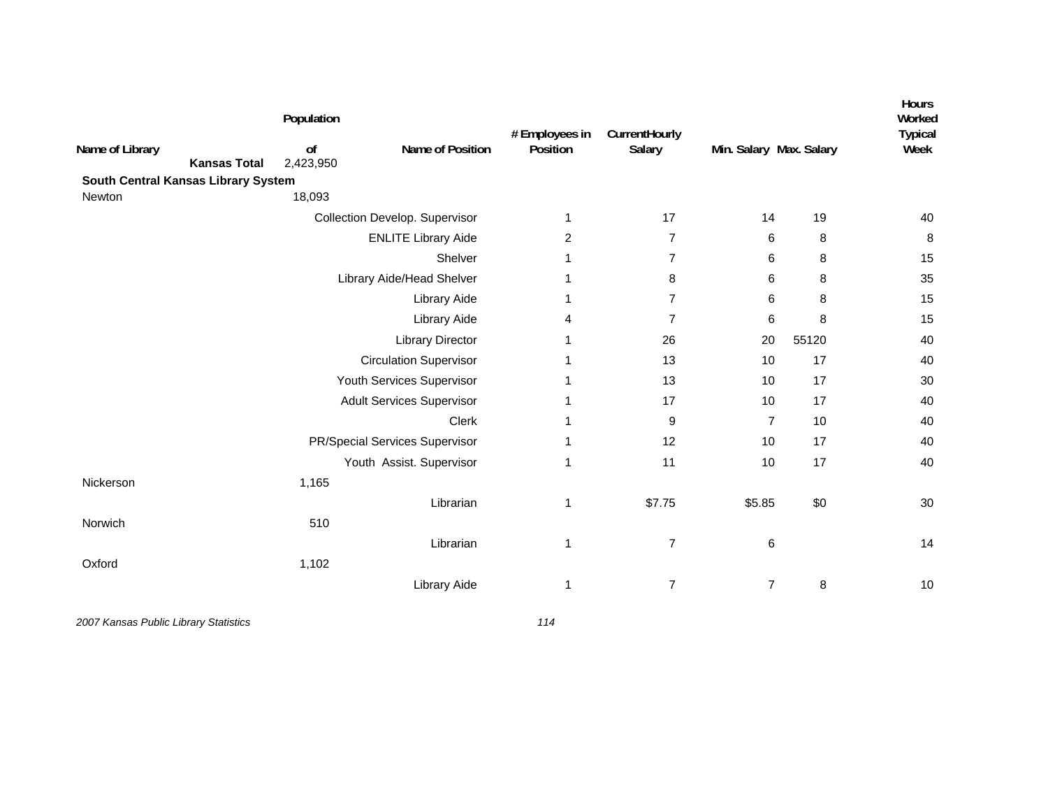| Name of Library<br><b>Kansas Total</b> | Population<br>of<br>2,423,950 | Name of Position                 | # Employees in<br>Position | CurrentHourly<br>Salary | Min. Salary Max. Salary |       | Hours<br>Worked<br><b>Typical</b><br>Week |
|----------------------------------------|-------------------------------|----------------------------------|----------------------------|-------------------------|-------------------------|-------|-------------------------------------------|
| South Central Kansas Library System    |                               |                                  |                            |                         |                         |       |                                           |
| Newton                                 | 18,093                        |                                  |                            |                         |                         |       |                                           |
|                                        |                               | Collection Develop. Supervisor   | 1                          | 17                      | 14                      | 19    | 40                                        |
|                                        |                               | <b>ENLITE Library Aide</b>       | 2                          | $\overline{7}$          | 6                       | 8     | 8                                         |
|                                        |                               | Shelver                          | 1                          | $\overline{7}$          | 6                       | 8     | 15                                        |
|                                        |                               | Library Aide/Head Shelver        | 1                          | 8                       | 6                       | 8     | 35                                        |
|                                        |                               | <b>Library Aide</b>              | 1                          | $\overline{7}$          | 6                       | 8     | 15                                        |
|                                        |                               | Library Aide                     | 4                          | $\overline{7}$          | 6                       | 8     | 15                                        |
|                                        |                               | <b>Library Director</b>          | 1                          | 26                      | 20                      | 55120 | 40                                        |
|                                        |                               | <b>Circulation Supervisor</b>    | 1                          | 13                      | 10                      | 17    | 40                                        |
|                                        |                               | Youth Services Supervisor        | 1                          | 13                      | 10                      | 17    | 30                                        |
|                                        |                               | <b>Adult Services Supervisor</b> | 1                          | 17                      | 10                      | 17    | 40                                        |
|                                        |                               | <b>Clerk</b>                     | 1                          | 9                       | $\overline{7}$          | 10    | 40                                        |
|                                        |                               | PR/Special Services Supervisor   | 1                          | 12                      | 10                      | 17    | 40                                        |
|                                        |                               | Youth Assist. Supervisor         | 1                          | 11                      | 10                      | 17    | 40                                        |
| Nickerson                              | 1,165                         |                                  |                            |                         |                         |       |                                           |
|                                        |                               | Librarian                        | 1                          | \$7.75                  | \$5.85                  | \$0   | 30                                        |
| Norwich                                | 510                           |                                  |                            |                         |                         |       |                                           |
|                                        |                               | Librarian                        | 1                          | $\overline{7}$          | 6                       |       | 14                                        |
| Oxford                                 | 1,102                         |                                  |                            |                         |                         |       |                                           |
|                                        |                               | Library Aide                     | 1                          | $\overline{7}$          | $\overline{7}$          | 8     | 10                                        |
|                                        |                               |                                  |                            |                         |                         |       |                                           |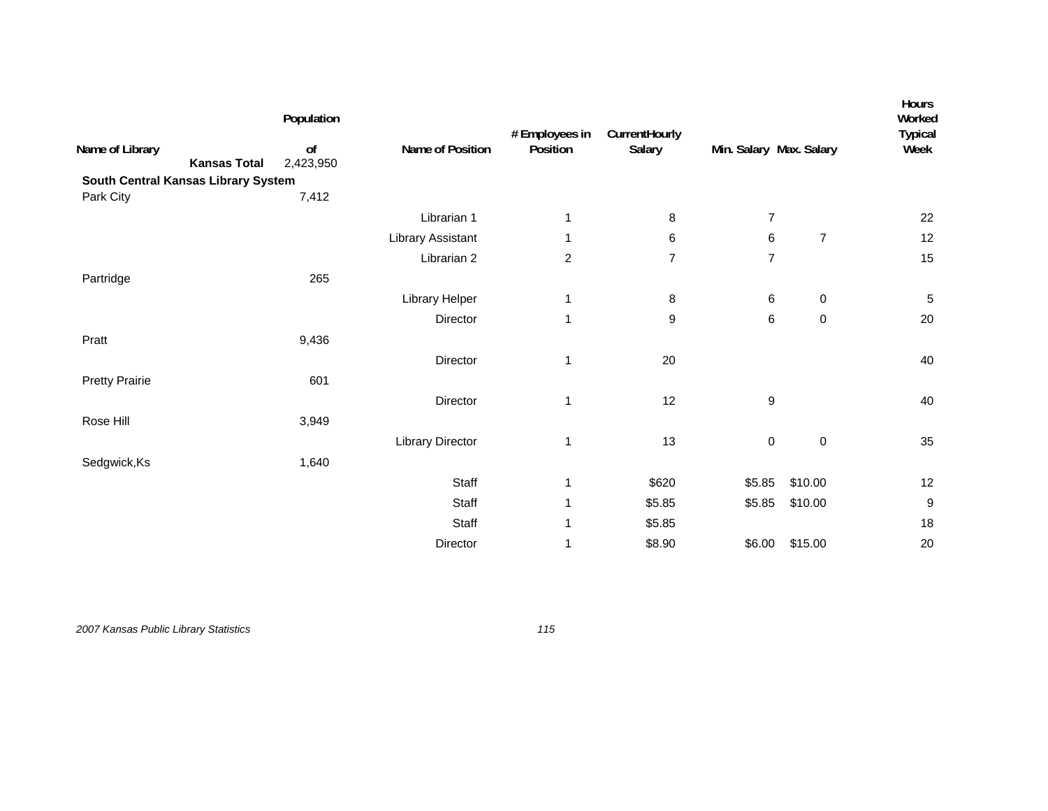|                                        | Population      |                          | # Employees in | CurrentHourly  |                         |                | Hours<br>Worked<br><b>Typical</b> |
|----------------------------------------|-----------------|--------------------------|----------------|----------------|-------------------------|----------------|-----------------------------------|
| Name of Library<br><b>Kansas Total</b> | of<br>2,423,950 | Name of Position         | Position       | Salary         | Min. Salary Max. Salary |                | Week                              |
| South Central Kansas Library System    |                 |                          |                |                |                         |                |                                   |
| Park City                              | 7,412           |                          |                |                |                         |                |                                   |
|                                        |                 | Librarian 1              | 1              | 8              | $\overline{7}$          |                | 22                                |
|                                        |                 | <b>Library Assistant</b> | 1              | 6              | 6                       | $\overline{7}$ | 12                                |
|                                        |                 | Librarian 2              | $\overline{c}$ | $\overline{7}$ | $\overline{7}$          |                | 15                                |
| Partridge                              | 265             |                          |                |                |                         |                |                                   |
|                                        |                 | Library Helper           | 1              | 8              | 6                       | $\pmb{0}$      | $\sqrt{5}$                        |
|                                        |                 | Director                 | 1              | 9              | 6                       | $\pmb{0}$      | 20                                |
| Pratt                                  | 9,436           |                          |                |                |                         |                |                                   |
|                                        |                 | Director                 | $\mathbf{1}$   | 20             |                         |                | 40                                |
| <b>Pretty Prairie</b>                  | 601             |                          |                |                |                         |                |                                   |
|                                        |                 | Director                 | 1              | 12             | 9                       |                | 40                                |
| Rose Hill                              | 3,949           |                          |                |                |                         |                |                                   |
|                                        |                 | <b>Library Director</b>  | 1              | 13             | $\pmb{0}$               | $\mathsf 0$    | 35                                |
| Sedgwick, Ks                           | 1,640           |                          |                |                |                         |                |                                   |
|                                        |                 | Staff                    | 1              | \$620          | \$5.85                  | \$10.00        | 12                                |
|                                        |                 | Staff                    | 1              | \$5.85         | \$5.85                  | \$10.00        | $\boldsymbol{9}$                  |
|                                        |                 | Staff                    | 1              | \$5.85         |                         |                | 18                                |
|                                        |                 | Director                 | 1              | \$8.90         | \$6.00                  | \$15.00        | 20                                |
|                                        |                 |                          |                |                |                         |                |                                   |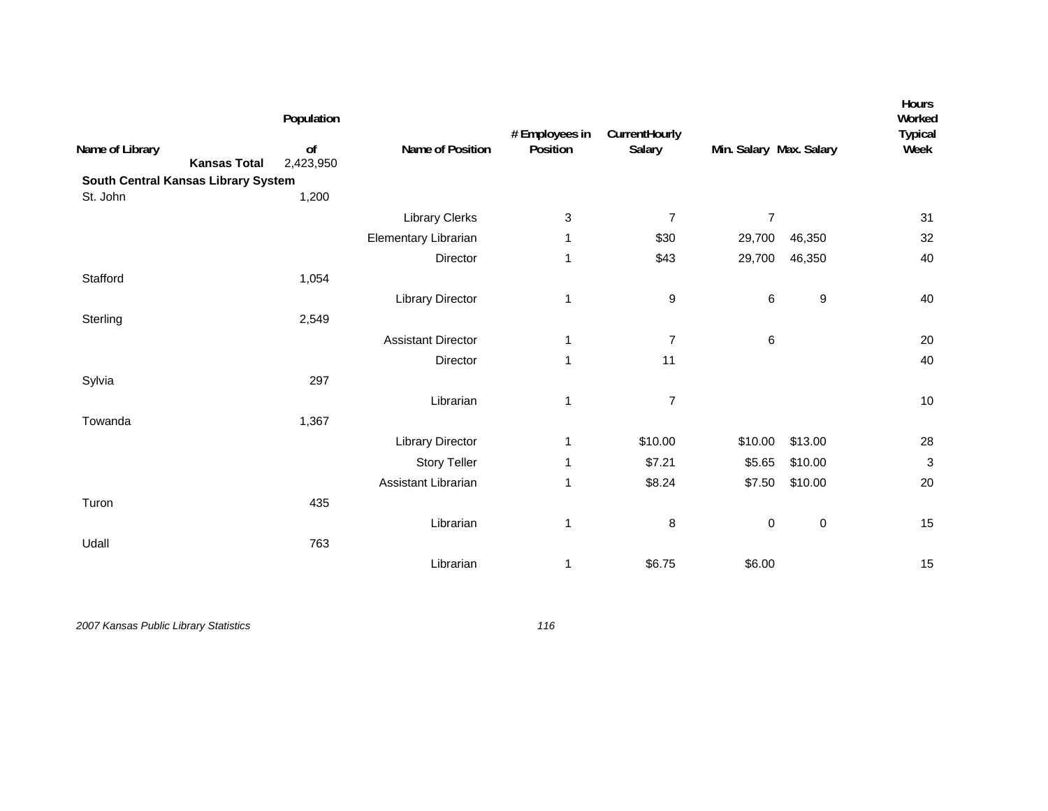| Name of Library<br><b>Kansas Total</b><br>South Central Kansas Library System | Population<br>of<br>2,423,950 | Name of Position          | # Employees in<br>Position | CurrentHourly<br>Salary | Min. Salary Max. Salary |           | Hours<br>Worked<br><b>Typical</b><br>Week |
|-------------------------------------------------------------------------------|-------------------------------|---------------------------|----------------------------|-------------------------|-------------------------|-----------|-------------------------------------------|
| St. John                                                                      | 1,200                         |                           |                            |                         |                         |           |                                           |
|                                                                               |                               | <b>Library Clerks</b>     | 3                          | $\overline{7}$          | $\boldsymbol{7}$        |           | 31                                        |
|                                                                               |                               | Elementary Librarian      | 1                          | \$30                    | 29,700                  | 46,350    | 32                                        |
|                                                                               |                               | Director                  | 1                          | \$43                    | 29,700                  | 46,350    | 40                                        |
| Stafford                                                                      | 1,054                         |                           |                            |                         |                         |           |                                           |
|                                                                               |                               | <b>Library Director</b>   | 1                          | 9                       | 6                       | 9         | 40                                        |
| Sterling                                                                      | 2,549                         |                           |                            |                         |                         |           |                                           |
|                                                                               |                               | <b>Assistant Director</b> | 1                          | $\overline{7}$          | $\,6$                   |           | 20                                        |
|                                                                               |                               | Director                  | 1                          | 11                      |                         |           | 40                                        |
| Sylvia                                                                        | 297                           |                           |                            |                         |                         |           |                                           |
|                                                                               |                               | Librarian                 | 1                          | $\overline{7}$          |                         |           | 10                                        |
| Towanda                                                                       | 1,367                         |                           |                            |                         |                         |           |                                           |
|                                                                               |                               | <b>Library Director</b>   | 1                          | \$10.00                 | \$10.00                 | \$13.00   | 28                                        |
|                                                                               |                               | <b>Story Teller</b>       | 1                          | \$7.21                  | \$5.65                  | \$10.00   | 3                                         |
|                                                                               |                               | Assistant Librarian       | 1                          | \$8.24                  | \$7.50                  | \$10.00   | 20                                        |
| Turon                                                                         | 435                           |                           |                            |                         |                         |           |                                           |
|                                                                               |                               | Librarian                 | 1                          | 8                       | $\pmb{0}$               | $\pmb{0}$ | 15                                        |
| Udall                                                                         | 763                           |                           |                            |                         |                         |           |                                           |
|                                                                               |                               | Librarian                 | 1                          | \$6.75                  | \$6.00                  |           | 15                                        |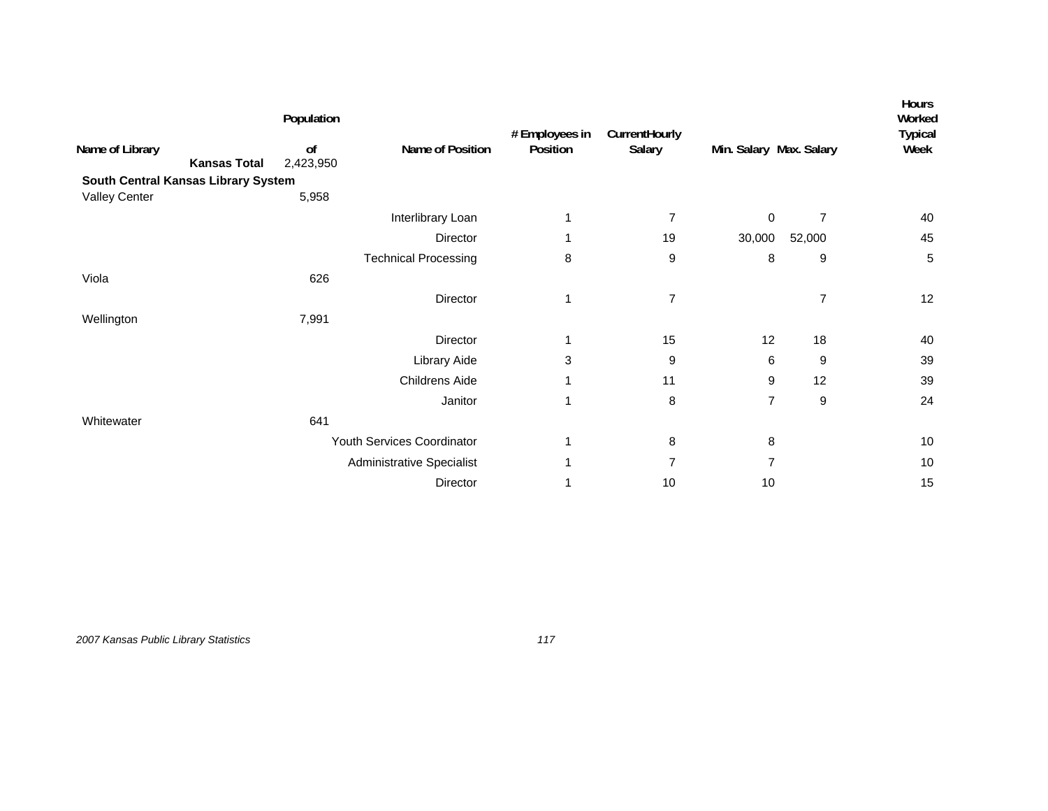|                                        | Population      |                                  | # Employees in | CurrentHourly  |                         |                | <b>Hours</b><br>Worked<br><b>Typical</b> |
|----------------------------------------|-----------------|----------------------------------|----------------|----------------|-------------------------|----------------|------------------------------------------|
| Name of Library<br><b>Kansas Total</b> | of<br>2,423,950 | Name of Position                 | Position       | Salary         | Min. Salary Max. Salary |                | Week                                     |
| South Central Kansas Library System    |                 |                                  |                |                |                         |                |                                          |
| <b>Valley Center</b>                   | 5,958           |                                  |                |                |                         |                |                                          |
|                                        |                 | Interlibrary Loan                | 1              | 7              | 0                       | $\overline{7}$ | 40                                       |
|                                        |                 | Director                         | 1              | 19             | 30,000                  | 52,000         | 45                                       |
|                                        |                 | <b>Technical Processing</b>      | 8              | 9              | 8                       | 9              | $\overline{5}$                           |
| Viola                                  | 626             |                                  |                |                |                         |                |                                          |
|                                        |                 | Director                         | 1              | $\overline{7}$ |                         | $\overline{7}$ | 12                                       |
| Wellington                             | 7,991           |                                  |                |                |                         |                |                                          |
|                                        |                 | Director                         | 1              | 15             | 12                      | 18             | 40                                       |
|                                        |                 | Library Aide                     | 3              | 9              | 6                       | 9              | 39                                       |
|                                        |                 | Childrens Aide                   | 1              | 11             | 9                       | 12             | 39                                       |
|                                        |                 | Janitor                          | 1              | 8              | $\overline{7}$          | 9              | 24                                       |
| Whitewater                             | 641             |                                  |                |                |                         |                |                                          |
|                                        |                 | Youth Services Coordinator       | 1              | 8              | 8                       |                | 10                                       |
|                                        |                 | <b>Administrative Specialist</b> | 1              | $\overline{7}$ | $\overline{7}$          |                | 10                                       |
|                                        |                 | Director                         | 1              | 10             | 10                      |                | 15                                       |

*2007 Kansas Public Library Statistics 117*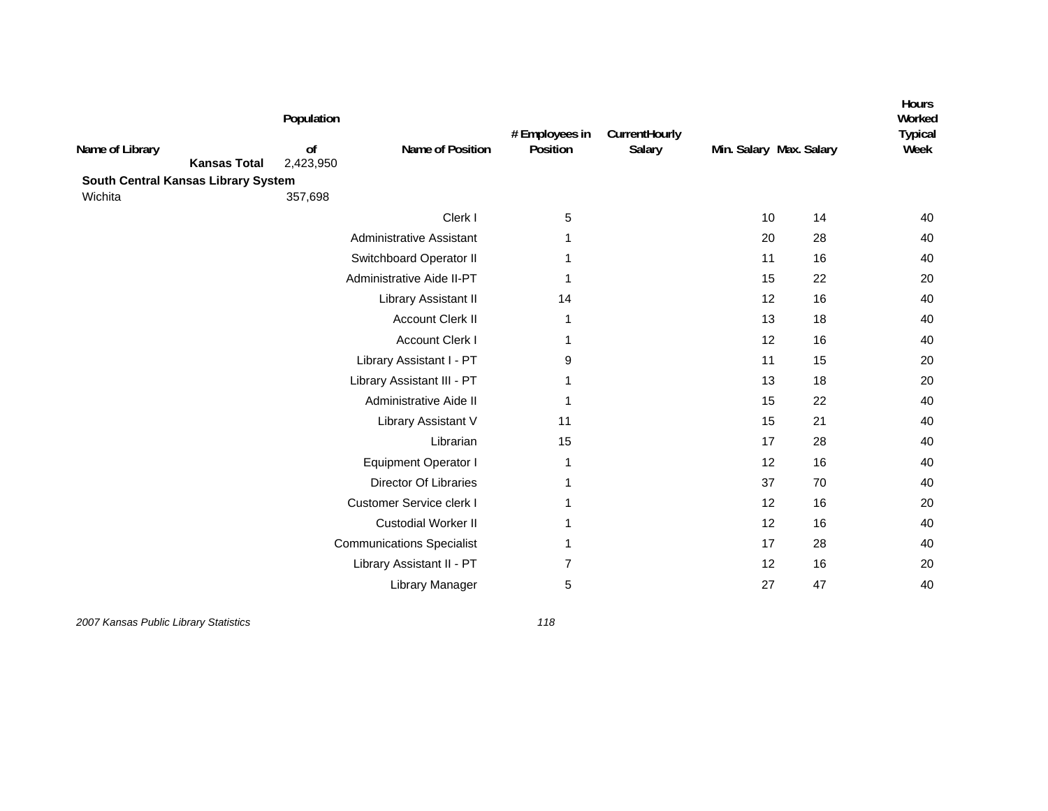| Name of Library<br><b>Kansas Total</b><br>South Central Kansas Library System | Population<br>of<br>2,423,950 | Name of Position                 | # Employees in<br>Position | CurrentHourly<br>Salary |    | Min. Salary Max. Salary | Hours<br>Worked<br><b>Typical</b><br>Week |
|-------------------------------------------------------------------------------|-------------------------------|----------------------------------|----------------------------|-------------------------|----|-------------------------|-------------------------------------------|
| Wichita                                                                       | 357,698                       |                                  |                            |                         |    |                         |                                           |
|                                                                               |                               | Clerk I                          | 5                          |                         | 10 | 14                      | 40                                        |
|                                                                               |                               | Administrative Assistant         | 1                          |                         | 20 | 28                      | 40                                        |
|                                                                               |                               | Switchboard Operator II          |                            |                         | 11 | 16                      | 40                                        |
|                                                                               |                               | Administrative Aide II-PT        | 1                          |                         | 15 | 22                      | 20                                        |
|                                                                               |                               | Library Assistant II             | 14                         |                         | 12 | 16                      | 40                                        |
|                                                                               |                               | <b>Account Clerk II</b>          | 1                          |                         | 13 | 18                      | 40                                        |
|                                                                               |                               | <b>Account Clerk I</b>           | 1                          |                         | 12 | 16                      | 40                                        |
|                                                                               |                               | Library Assistant I - PT         | 9                          |                         | 11 | 15                      | 20                                        |
|                                                                               |                               | Library Assistant III - PT       | -1                         |                         | 13 | 18                      | 20                                        |
|                                                                               |                               | Administrative Aide II           | 1                          |                         | 15 | 22                      | 40                                        |
|                                                                               |                               | Library Assistant V              | 11                         |                         | 15 | 21                      | 40                                        |
|                                                                               |                               | Librarian                        | 15                         |                         | 17 | 28                      | 40                                        |
|                                                                               |                               | <b>Equipment Operator I</b>      | 1                          |                         | 12 | 16                      | 40                                        |
|                                                                               |                               | <b>Director Of Libraries</b>     | 1                          |                         | 37 | 70                      | 40                                        |
|                                                                               |                               | Customer Service clerk I         | 1                          |                         | 12 | 16                      | 20                                        |
|                                                                               |                               | <b>Custodial Worker II</b>       | 1                          |                         | 12 | 16                      | 40                                        |
|                                                                               |                               | <b>Communications Specialist</b> | 1                          |                         | 17 | 28                      | 40                                        |
|                                                                               |                               | Library Assistant II - PT        | 7                          |                         | 12 | 16                      | 20                                        |
|                                                                               |                               | Library Manager                  | 5                          |                         | 27 | 47                      | 40                                        |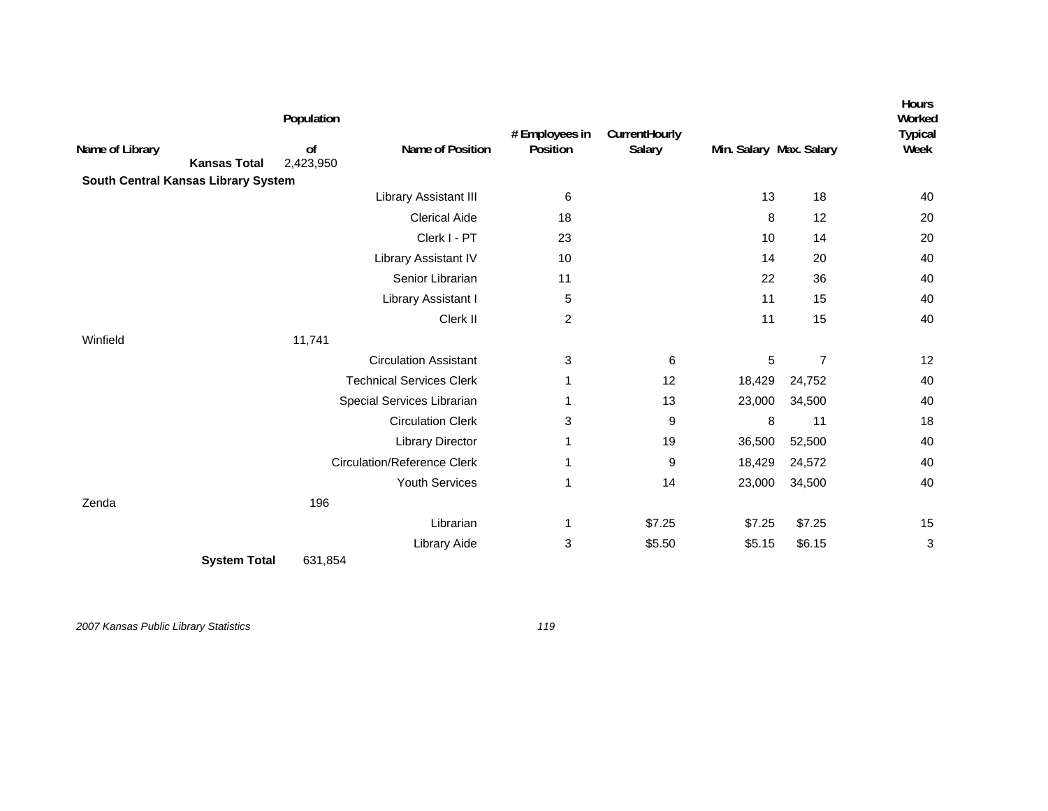| Name of Library                     | <b>Kansas Total</b> | Population<br>of<br>2,423,950 | Name of Position                   | # Employees in<br>Position | CurrentHourly<br>Salary | Min. Salary Max. Salary |                | Hours<br>Worked<br><b>Typical</b><br>Week |
|-------------------------------------|---------------------|-------------------------------|------------------------------------|----------------------------|-------------------------|-------------------------|----------------|-------------------------------------------|
| South Central Kansas Library System |                     |                               |                                    |                            |                         |                         |                |                                           |
|                                     |                     |                               | Library Assistant III              | 6                          |                         | 13                      | 18             | 40                                        |
|                                     |                     |                               | <b>Clerical Aide</b>               | 18                         |                         | 8                       | 12             | 20                                        |
|                                     |                     |                               | Clerk I - PT                       | 23                         |                         | 10                      | 14             | 20                                        |
|                                     |                     |                               | Library Assistant IV               | 10                         |                         | 14                      | 20             | 40                                        |
|                                     |                     |                               | Senior Librarian                   | 11                         |                         | 22                      | 36             | 40                                        |
|                                     |                     |                               | Library Assistant I                | 5                          |                         | 11                      | 15             | 40                                        |
|                                     |                     |                               | Clerk II                           | $\overline{c}$             |                         | 11                      | 15             | 40                                        |
| Winfield                            |                     | 11,741                        |                                    |                            |                         |                         |                |                                           |
|                                     |                     |                               | <b>Circulation Assistant</b>       | 3                          | 6                       | 5                       | $\overline{7}$ | 12                                        |
|                                     |                     |                               | <b>Technical Services Clerk</b>    | 1                          | 12                      | 18,429                  | 24,752         | 40                                        |
|                                     |                     |                               | Special Services Librarian         | 1                          | 13                      | 23,000                  | 34,500         | 40                                        |
|                                     |                     |                               | <b>Circulation Clerk</b>           | 3                          | 9                       | 8                       | 11             | 18                                        |
|                                     |                     |                               | <b>Library Director</b>            | 1                          | 19                      | 36,500                  | 52,500         | 40                                        |
|                                     |                     |                               | <b>Circulation/Reference Clerk</b> | 1                          | 9                       | 18,429                  | 24,572         | 40                                        |
|                                     |                     |                               | Youth Services                     | 1                          | 14                      | 23,000                  | 34,500         | 40                                        |
| Zenda                               |                     | 196                           |                                    |                            |                         |                         |                |                                           |
|                                     |                     |                               | Librarian                          | 1                          | \$7.25                  | \$7.25                  | \$7.25         | 15                                        |
|                                     |                     |                               | Library Aide                       | 3                          | \$5.50                  | \$5.15                  | \$6.15         | 3                                         |
|                                     | <b>System Total</b> | 631,854                       |                                    |                            |                         |                         |                |                                           |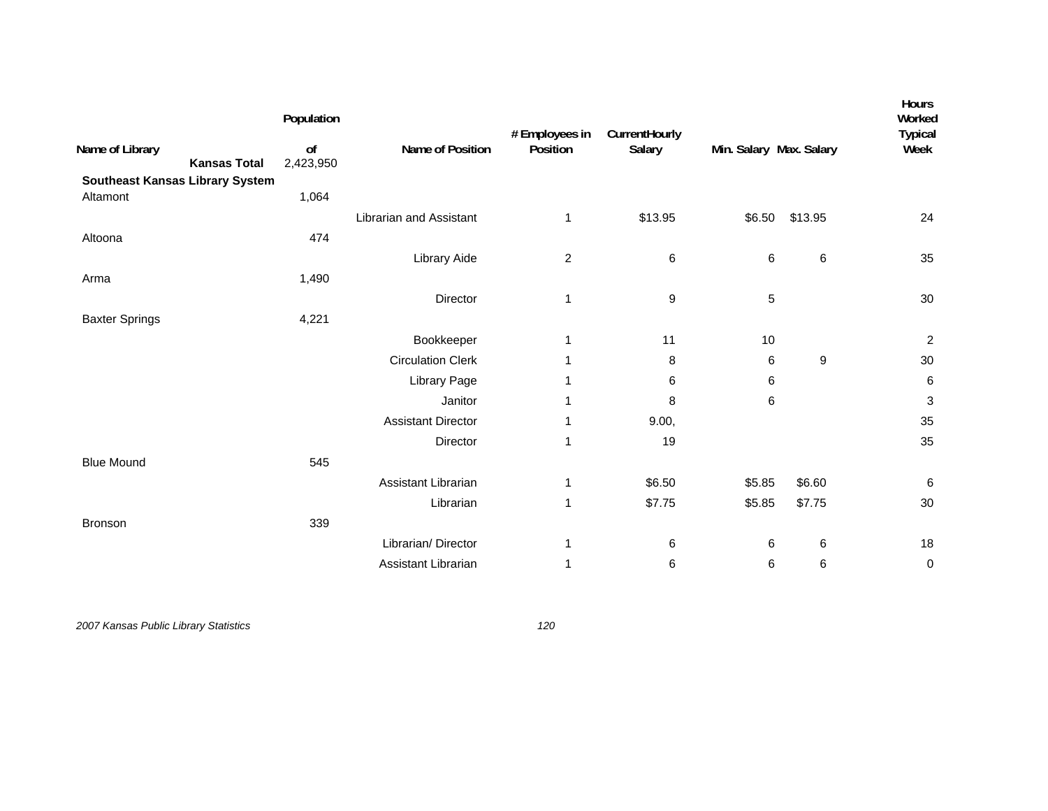|                                        | Population      |                           | # Employees in | CurrentHourly    |                         |         | Hours<br>Worked<br><b>Typical</b> |
|----------------------------------------|-----------------|---------------------------|----------------|------------------|-------------------------|---------|-----------------------------------|
| Name of Library<br><b>Kansas Total</b> | of<br>2,423,950 | Name of Position          | Position       | Salary           | Min. Salary Max. Salary |         | Week                              |
| <b>Southeast Kansas Library System</b> |                 |                           |                |                  |                         |         |                                   |
| Altamont                               | 1,064           |                           |                |                  |                         |         |                                   |
|                                        |                 | Librarian and Assistant   | 1              | \$13.95          | \$6.50                  | \$13.95 | 24                                |
| Altoona                                | 474             |                           |                |                  |                         |         |                                   |
|                                        |                 | Library Aide              | $\overline{c}$ | 6                | $\,6$                   | $\,6$   | 35                                |
| Arma                                   | 1,490           |                           |                |                  |                         |         |                                   |
|                                        |                 | Director                  | 1              | $\boldsymbol{9}$ | 5                       |         | 30                                |
| <b>Baxter Springs</b>                  | 4,221           |                           |                |                  |                         |         |                                   |
|                                        |                 | Bookkeeper                | 1              | 11               | 10                      |         | $\overline{c}$                    |
|                                        |                 | <b>Circulation Clerk</b>  | 1              | 8                | 6                       | 9       | 30                                |
|                                        |                 | Library Page              | 1              | 6                | 6                       |         | 6                                 |
|                                        |                 | Janitor                   | 1              | 8                | 6                       |         | $\ensuremath{\mathsf{3}}$         |
|                                        |                 | <b>Assistant Director</b> | 1              | 9.00,            |                         |         | 35                                |
|                                        |                 | Director                  | 1              | 19               |                         |         | 35                                |
| <b>Blue Mound</b>                      | 545             |                           |                |                  |                         |         |                                   |
|                                        |                 | Assistant Librarian       | 1              | \$6.50           | \$5.85                  | \$6.60  | $\,6$                             |
|                                        |                 | Librarian                 | 1              | \$7.75           | \$5.85                  | \$7.75  | 30                                |
| Bronson                                | 339             |                           |                |                  |                         |         |                                   |
|                                        |                 | Librarian/Director        | 1              | 6                | 6                       | 6       | 18                                |
|                                        |                 | Assistant Librarian       | 1              | 6                | 6                       | $\,6\,$ | $\pmb{0}$                         |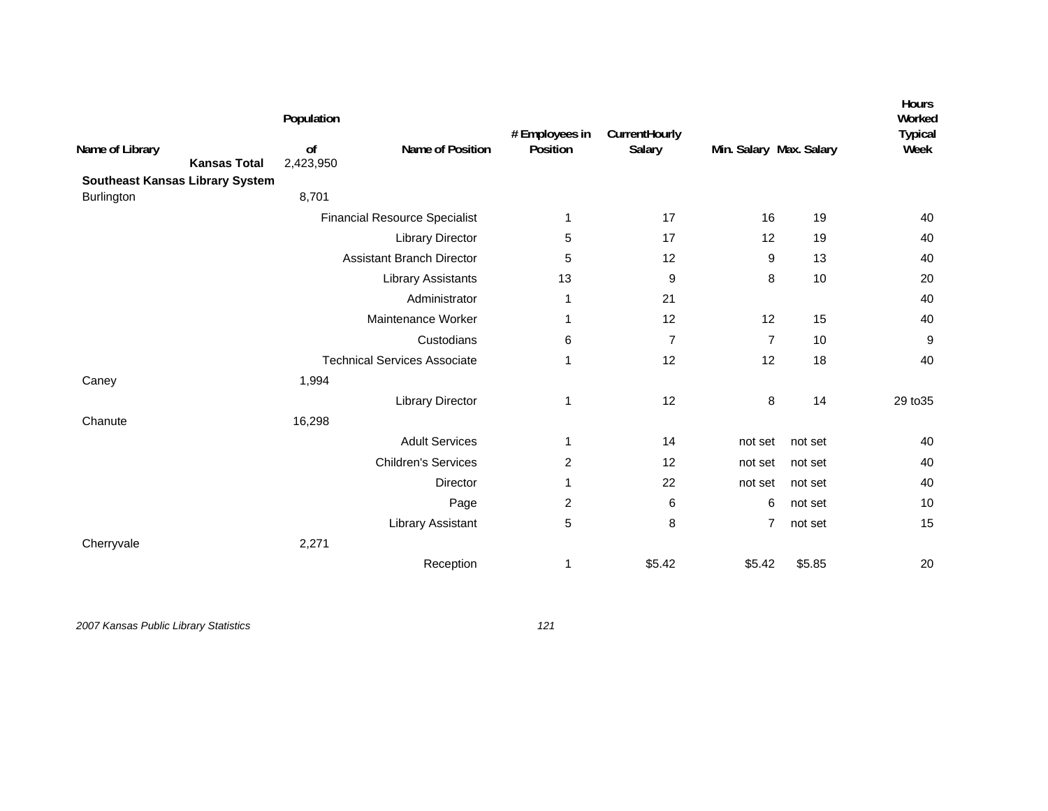|                                        | Population      |                                      | # Employees in | CurrentHourly  |                |                         | Hours<br>Worked<br><b>Typical</b> |
|----------------------------------------|-----------------|--------------------------------------|----------------|----------------|----------------|-------------------------|-----------------------------------|
| Name of Library<br><b>Kansas Total</b> | of<br>2,423,950 | Name of Position                     | Position       | Salary         |                | Min. Salary Max. Salary |                                   |
| Southeast Kansas Library System        |                 |                                      |                |                |                |                         |                                   |
| Burlington                             | 8,701           |                                      |                |                |                |                         |                                   |
|                                        |                 | <b>Financial Resource Specialist</b> | 1              | 17             | 16             | 19                      | 40                                |
|                                        |                 | <b>Library Director</b>              | 5              | 17             | 12             | 19                      | 40                                |
|                                        |                 | <b>Assistant Branch Director</b>     | 5              | 12             | 9              | 13                      | 40                                |
|                                        |                 | <b>Library Assistants</b>            | 13             | 9              | 8              | 10                      | 20                                |
|                                        |                 | Administrator                        | 1              | 21             |                |                         | 40                                |
|                                        |                 | Maintenance Worker                   | 1              | 12             | 12             | 15                      | 40                                |
|                                        |                 | Custodians                           | 6              | $\overline{7}$ | $\overline{7}$ | 10                      | $\boldsymbol{9}$                  |
|                                        |                 | <b>Technical Services Associate</b>  | $\mathbf{1}$   | 12             | 12             | 18                      | 40                                |
| Caney                                  | 1,994           |                                      |                |                |                |                         |                                   |
|                                        |                 | <b>Library Director</b>              | 1              | 12             | 8              | 14                      | 29 to 35                          |
| Chanute                                | 16,298          |                                      |                |                |                |                         |                                   |
|                                        |                 | <b>Adult Services</b>                | 1              | 14             | not set        | not set                 | 40                                |
|                                        |                 | <b>Children's Services</b>           | 2              | 12             | not set        | not set                 | 40                                |
|                                        |                 | Director                             | 1              | 22             | not set        | not set                 | 40                                |
|                                        |                 | Page                                 | 2              | 6              | 6              | not set                 | 10                                |
|                                        |                 | Library Assistant                    | 5              | 8              | $\overline{7}$ | not set                 | 15                                |
| Cherryvale                             | 2,271           |                                      |                |                |                |                         |                                   |
|                                        |                 | Reception                            | 1              | \$5.42         | \$5.42         | \$5.85                  | 20                                |
|                                        |                 |                                      |                |                |                |                         |                                   |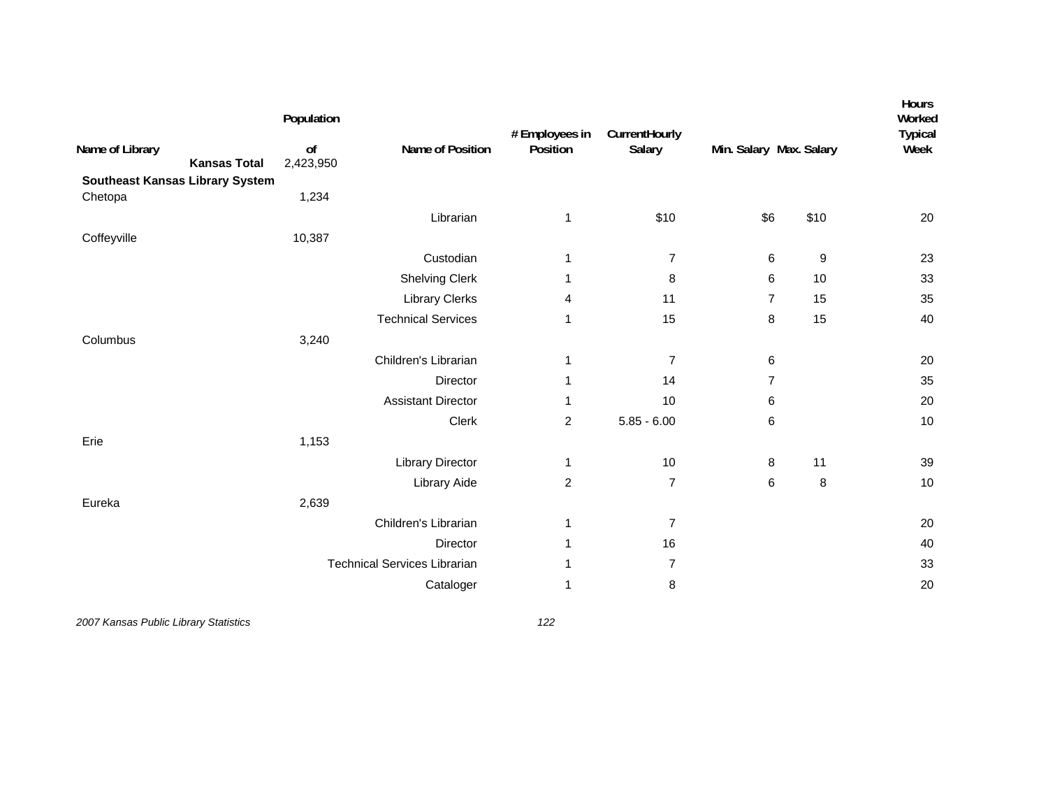| Name of Library<br><b>Kansas Total</b>            | Population<br>of<br>2,423,950 | Name of Position                    | # Employees in<br>Position | CurrentHourly<br>Salary | Min. Salary Max. Salary |      | Hours<br>Worked<br><b>Typical</b><br>Week |
|---------------------------------------------------|-------------------------------|-------------------------------------|----------------------------|-------------------------|-------------------------|------|-------------------------------------------|
| <b>Southeast Kansas Library System</b><br>Chetopa | 1,234                         |                                     |                            |                         |                         |      |                                           |
|                                                   |                               | Librarian                           | 1                          | \$10                    | \$6                     | \$10 | 20                                        |
| Coffeyville                                       | 10,387                        |                                     |                            |                         |                         |      |                                           |
|                                                   |                               | Custodian                           | 1                          | $\boldsymbol{7}$        | 6                       | 9    | 23                                        |
|                                                   |                               | <b>Shelving Clerk</b>               | 1                          | 8                       | 6                       | 10   | 33                                        |
|                                                   |                               | <b>Library Clerks</b>               | 4                          | 11                      | $\overline{7}$          | 15   | 35                                        |
|                                                   |                               | <b>Technical Services</b>           | 1                          | 15                      | $\bf 8$                 | 15   | 40                                        |
| Columbus                                          | 3,240                         |                                     |                            |                         |                         |      |                                           |
|                                                   |                               | Children's Librarian                | 1                          | $\overline{7}$          | 6                       |      | 20                                        |
|                                                   |                               | Director                            | 1                          | 14                      | $\overline{7}$          |      | 35                                        |
|                                                   |                               | <b>Assistant Director</b>           | 1                          | 10                      | 6                       |      | 20                                        |
|                                                   |                               | Clerk                               | $\overline{c}$             | $5.85 - 6.00$           | 6                       |      | 10                                        |
| Erie                                              | 1,153                         |                                     |                            |                         |                         |      |                                           |
|                                                   |                               | <b>Library Director</b>             | 1                          | 10                      | 8                       | 11   | 39                                        |
|                                                   |                               | Library Aide                        | $\overline{c}$             | $\overline{7}$          | 6                       | 8    | 10                                        |
| Eureka                                            | 2,639                         |                                     |                            |                         |                         |      |                                           |
|                                                   |                               | Children's Librarian                | 1                          | $\overline{7}$          |                         |      | 20                                        |
|                                                   |                               | <b>Director</b>                     | 1                          | 16                      |                         |      | 40                                        |
|                                                   |                               | <b>Technical Services Librarian</b> | 1                          | 7                       |                         |      | 33                                        |
|                                                   |                               | Cataloger                           | 1                          | 8                       |                         |      | 20                                        |
|                                                   |                               |                                     |                            |                         |                         |      |                                           |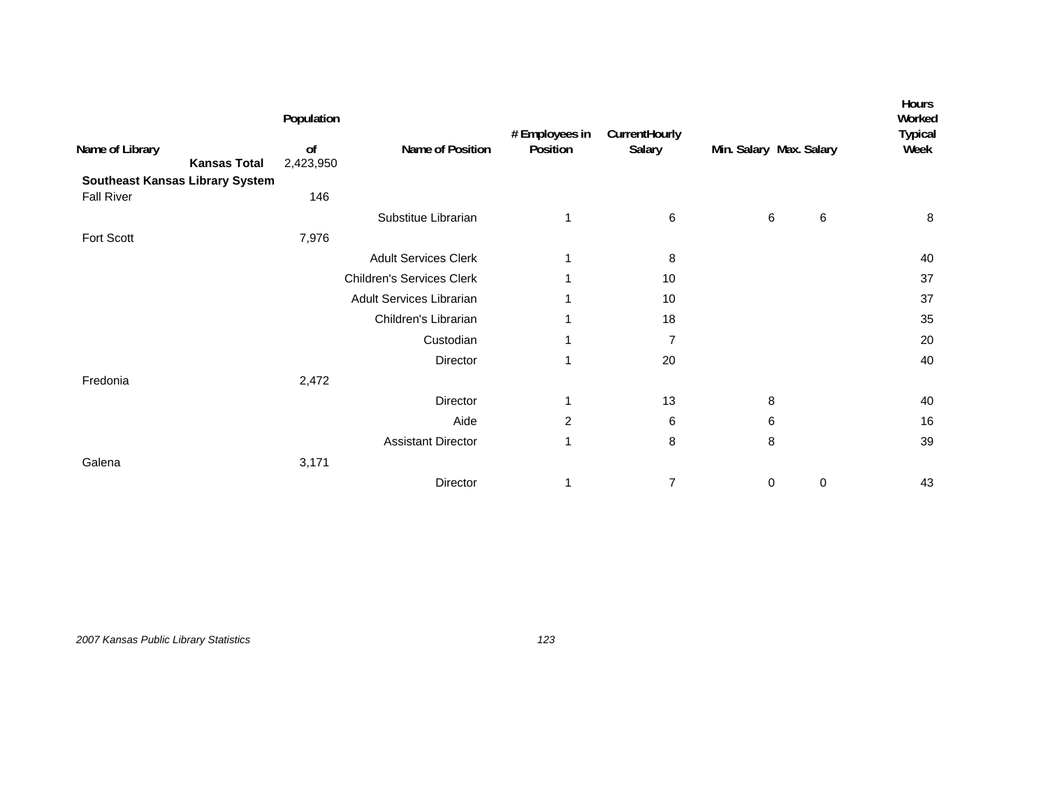|                                        | Population      |                                  | # Employees in | CurrentHourly  |                         |   | <b>Hours</b><br>Worked<br><b>Typical</b> |
|----------------------------------------|-----------------|----------------------------------|----------------|----------------|-------------------------|---|------------------------------------------|
| Name of Library<br><b>Kansas Total</b> | 0f<br>2,423,950 | Name of Position                 | Position       | Salary         | Min. Salary Max. Salary |   | Week                                     |
| <b>Southeast Kansas Library System</b> |                 |                                  |                |                |                         |   |                                          |
| <b>Fall River</b>                      | 146             |                                  |                |                |                         |   |                                          |
|                                        |                 | Substitue Librarian              | 1              | 6              | 6                       | 6 | 8                                        |
| Fort Scott                             | 7,976           |                                  |                |                |                         |   |                                          |
|                                        |                 | <b>Adult Services Clerk</b>      | 1              | 8              |                         |   | 40                                       |
|                                        |                 | <b>Children's Services Clerk</b> | 1              | 10             |                         |   | 37                                       |
|                                        |                 | <b>Adult Services Librarian</b>  | 1              | 10             |                         |   | 37                                       |
|                                        |                 | Children's Librarian             | 1              | 18             |                         |   | 35                                       |
|                                        |                 | Custodian                        | 1              | $\overline{7}$ |                         |   | 20                                       |
|                                        |                 | Director                         | 1              | 20             |                         |   | 40                                       |
| Fredonia                               | 2,472           |                                  |                |                |                         |   |                                          |
|                                        |                 | Director                         | $\mathbf{1}$   | 13             | 8                       |   | 40                                       |
|                                        |                 | Aide                             | 2              | 6              | 6                       |   | 16                                       |
|                                        |                 | <b>Assistant Director</b>        | 1              | 8              | 8                       |   | 39                                       |
| Galena                                 | 3,171           |                                  |                |                |                         |   |                                          |
|                                        |                 | Director                         | 1              | 7              | 0                       | 0 | 43                                       |

*2007 Kansas Public Library Statistics 123*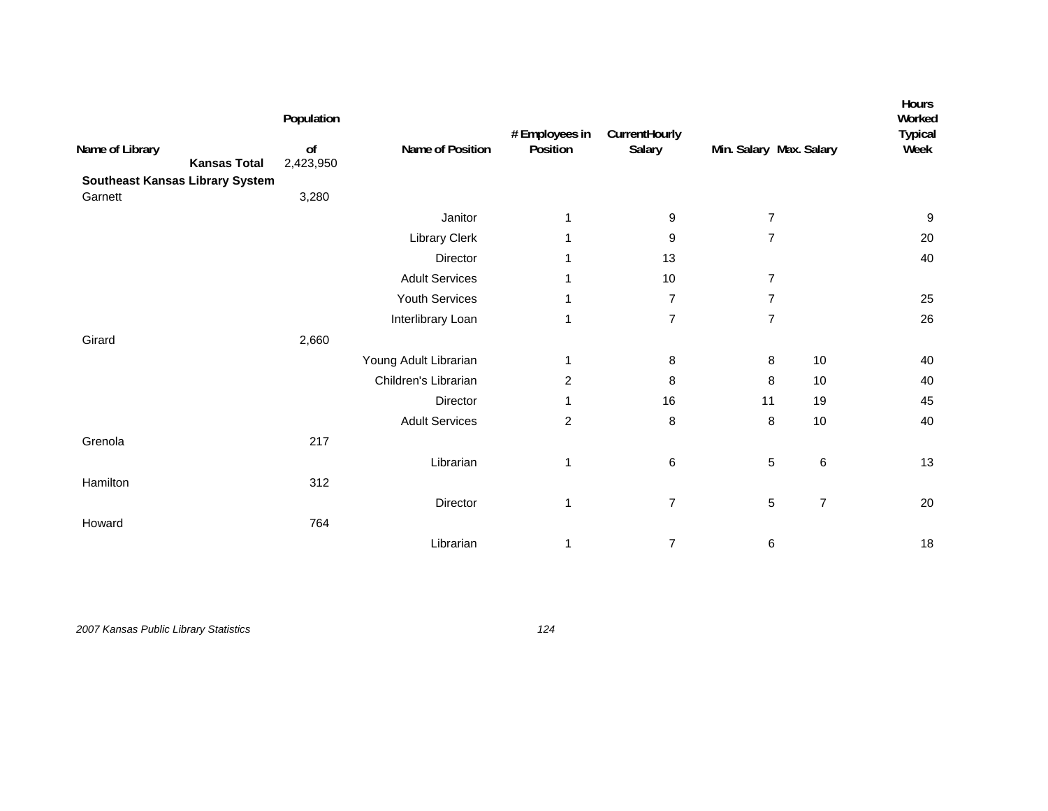| Name of Library<br><b>Kansas Total</b> | Population<br>o <sub>f</sub> | Name of Position      | # Employees in<br>Position | CurrentHourly<br>Salary | Min. Salary Max. Salary |                | Hours<br>Worked<br><b>Typical</b><br>Week |
|----------------------------------------|------------------------------|-----------------------|----------------------------|-------------------------|-------------------------|----------------|-------------------------------------------|
| <b>Southeast Kansas Library System</b> | 2,423,950                    |                       |                            |                         |                         |                |                                           |
| Garnett                                | 3,280                        |                       |                            |                         |                         |                |                                           |
|                                        |                              | Janitor               | 1                          | 9                       | 7                       |                | 9                                         |
|                                        |                              | Library Clerk         | 1                          | 9                       | $\overline{7}$          |                | 20                                        |
|                                        |                              | Director              | 1                          | 13                      |                         |                | 40                                        |
|                                        |                              | <b>Adult Services</b> | 1                          | 10                      | 7                       |                |                                           |
|                                        |                              | Youth Services        | 1                          | $\overline{7}$          | $\overline{7}$          |                | 25                                        |
|                                        |                              | Interlibrary Loan     | 1                          | $\overline{7}$          | $\overline{7}$          |                | 26                                        |
| Girard                                 | 2,660                        |                       |                            |                         |                         |                |                                           |
|                                        |                              | Young Adult Librarian | 1                          | 8                       | 8                       | 10             | 40                                        |
|                                        |                              | Children's Librarian  | 2                          | 8                       | 8                       | 10             | 40                                        |
|                                        |                              | Director              | 1                          | 16                      | 11                      | 19             | 45                                        |
|                                        |                              | <b>Adult Services</b> | $\overline{c}$             | 8                       | $\bf 8$                 | 10             | 40                                        |
| Grenola                                | 217                          |                       |                            |                         |                         |                |                                           |
|                                        |                              | Librarian             | 1                          | 6                       | $\,$ 5 $\,$             | $\,6$          | 13                                        |
| Hamilton                               | 312                          |                       |                            |                         |                         |                |                                           |
|                                        |                              | Director              | 1                          | $\overline{7}$          | 5                       | $\overline{7}$ | 20                                        |
| Howard                                 | 764                          |                       |                            |                         |                         |                |                                           |
|                                        |                              | Librarian             | 1                          | $\overline{7}$          | 6                       |                | 18                                        |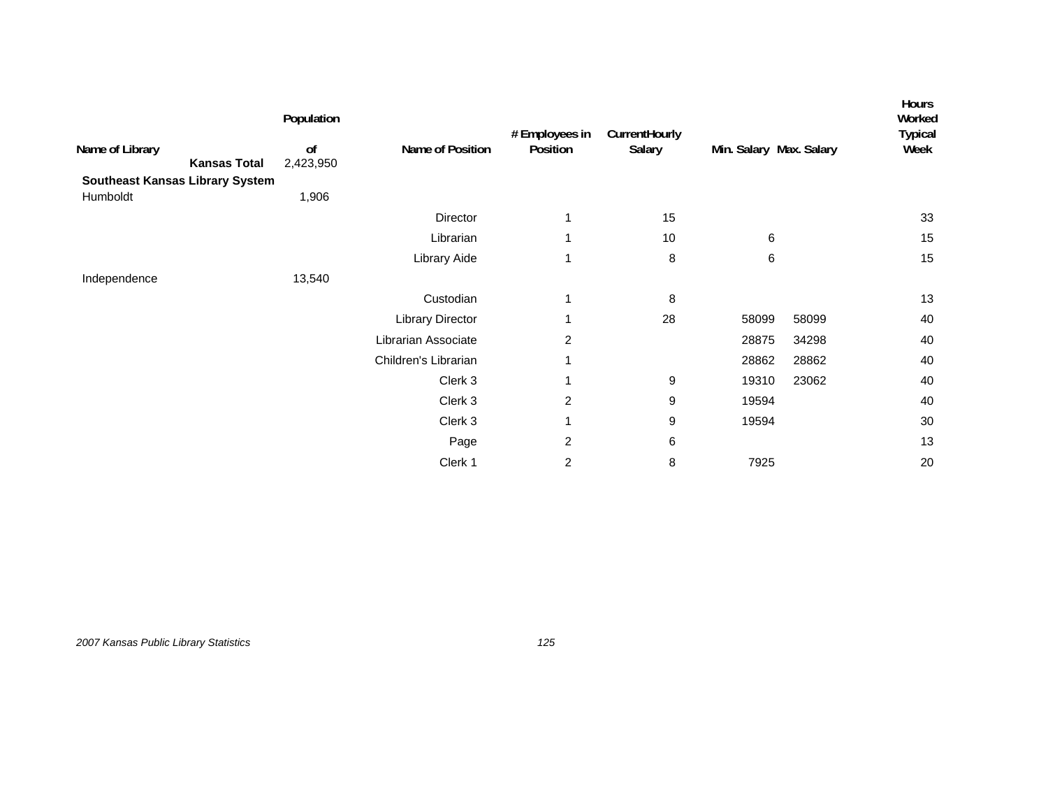|                                        | Population      |                         | # Employees in | CurrentHourly |                         |       | <b>Hours</b><br>Worked<br><b>Typical</b> |
|----------------------------------------|-----------------|-------------------------|----------------|---------------|-------------------------|-------|------------------------------------------|
| Name of Library<br><b>Kansas Total</b> | of<br>2,423,950 | Name of Position        | Position       | Salary        | Min. Salary Max. Salary | Week  |                                          |
| <b>Southeast Kansas Library System</b> |                 |                         |                |               |                         |       |                                          |
| Humboldt                               | 1,906           |                         |                |               |                         |       |                                          |
|                                        |                 | Director                |                | 15            |                         |       | 33                                       |
|                                        |                 | Librarian               |                | 10            | 6                       |       | 15                                       |
|                                        |                 | Library Aide            | 1              | 8             | 6                       |       | 15                                       |
| Independence                           | 13,540          |                         |                |               |                         |       |                                          |
|                                        |                 | Custodian               | 1              | 8             |                         |       | 13                                       |
|                                        |                 | <b>Library Director</b> |                | 28            | 58099                   | 58099 | 40                                       |
|                                        |                 | Librarian Associate     | 2              |               | 28875                   | 34298 | 40                                       |
|                                        |                 | Children's Librarian    | 1              |               | 28862                   | 28862 | 40                                       |
|                                        |                 | Clerk 3                 | 1              | 9             | 19310                   | 23062 | 40                                       |
|                                        |                 | Clerk 3                 | $\overline{2}$ | 9             | 19594                   |       | 40                                       |
|                                        |                 | Clerk 3                 |                | 9             | 19594                   |       | 30                                       |
|                                        |                 | Page                    | $\overline{c}$ | 6             |                         |       | 13                                       |
|                                        |                 | Clerk 1                 | 2              | 8             | 7925                    |       | 20                                       |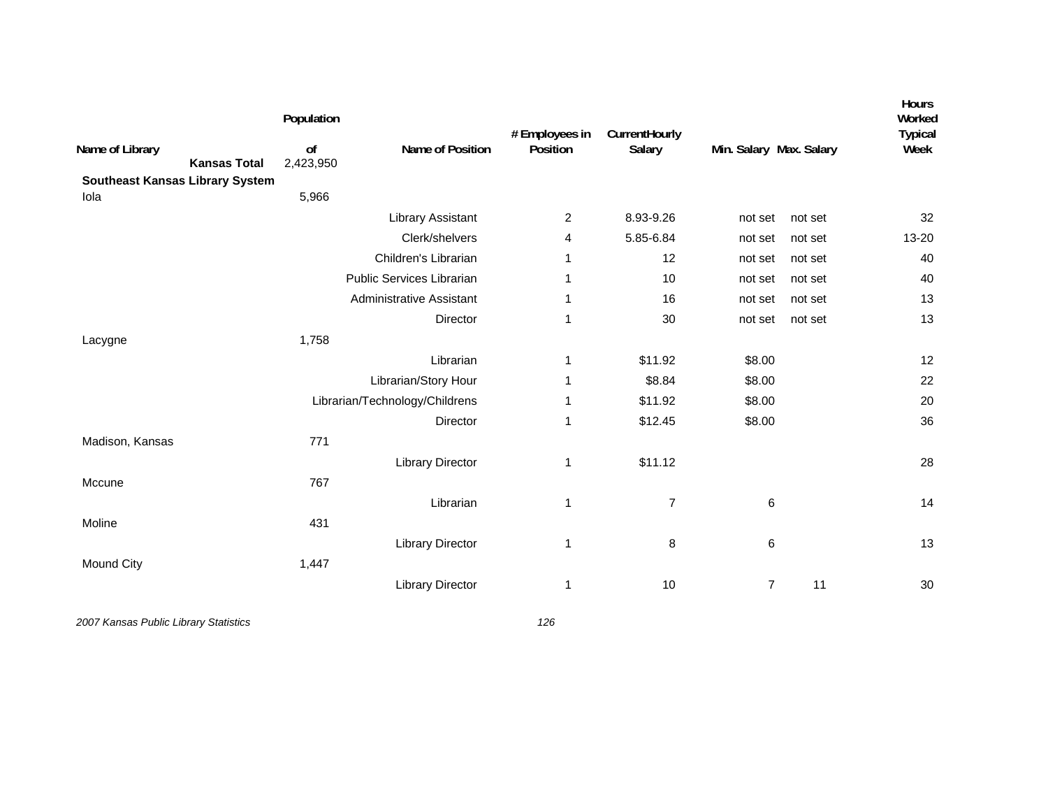| Name of Library<br><b>Southeast Kansas Library System</b> | <b>Kansas Total</b> | Population<br>of<br>2,423,950 | Name of Position               | # Employees in<br>Position | CurrentHourly<br>Salary | Min. Salary Max. Salary |         | Hours<br>Worked<br><b>Typical</b><br>Week |
|-----------------------------------------------------------|---------------------|-------------------------------|--------------------------------|----------------------------|-------------------------|-------------------------|---------|-------------------------------------------|
| Iola                                                      |                     | 5,966                         |                                |                            |                         |                         |         |                                           |
|                                                           |                     |                               | <b>Library Assistant</b>       | $\overline{2}$             | 8.93-9.26               | not set                 | not set | 32                                        |
|                                                           |                     |                               | Clerk/shelvers                 | 4                          | 5.85-6.84               | not set                 | not set | 13-20                                     |
|                                                           |                     |                               | Children's Librarian           | 1                          | 12                      | not set                 | not set | 40                                        |
|                                                           |                     |                               | Public Services Librarian      |                            | 10                      | not set                 | not set | 40                                        |
|                                                           |                     |                               | Administrative Assistant       | 1                          | 16                      | not set                 | not set | 13                                        |
|                                                           |                     |                               | Director                       | 1                          | 30                      | not set                 | not set | 13                                        |
| Lacygne                                                   |                     | 1,758                         |                                |                            |                         |                         |         |                                           |
|                                                           |                     |                               | Librarian                      | 1                          | \$11.92                 | \$8.00                  |         | 12                                        |
|                                                           |                     |                               | Librarian/Story Hour           | 1                          | \$8.84                  | \$8.00                  |         | 22                                        |
|                                                           |                     |                               | Librarian/Technology/Childrens |                            | \$11.92                 | \$8.00                  |         | 20                                        |
|                                                           |                     |                               | Director                       | 1                          | \$12.45                 | \$8.00                  |         | 36                                        |
| Madison, Kansas                                           |                     | 771                           |                                |                            |                         |                         |         |                                           |
|                                                           |                     |                               | <b>Library Director</b>        | 1                          | \$11.12                 |                         |         | 28                                        |
| Mccune                                                    |                     | 767                           |                                |                            |                         |                         |         |                                           |
|                                                           |                     |                               | Librarian                      | 1                          | $\overline{7}$          | 6                       |         | 14                                        |
| Moline                                                    |                     | 431                           |                                |                            |                         |                         |         |                                           |
|                                                           |                     |                               | <b>Library Director</b>        | 1                          | 8                       | 6                       |         | 13                                        |
| Mound City                                                |                     | 1,447                         |                                |                            |                         |                         |         |                                           |
|                                                           |                     |                               | <b>Library Director</b>        | 1                          | 10                      | $\overline{7}$          | 11      | 30                                        |
|                                                           |                     |                               |                                |                            |                         |                         |         |                                           |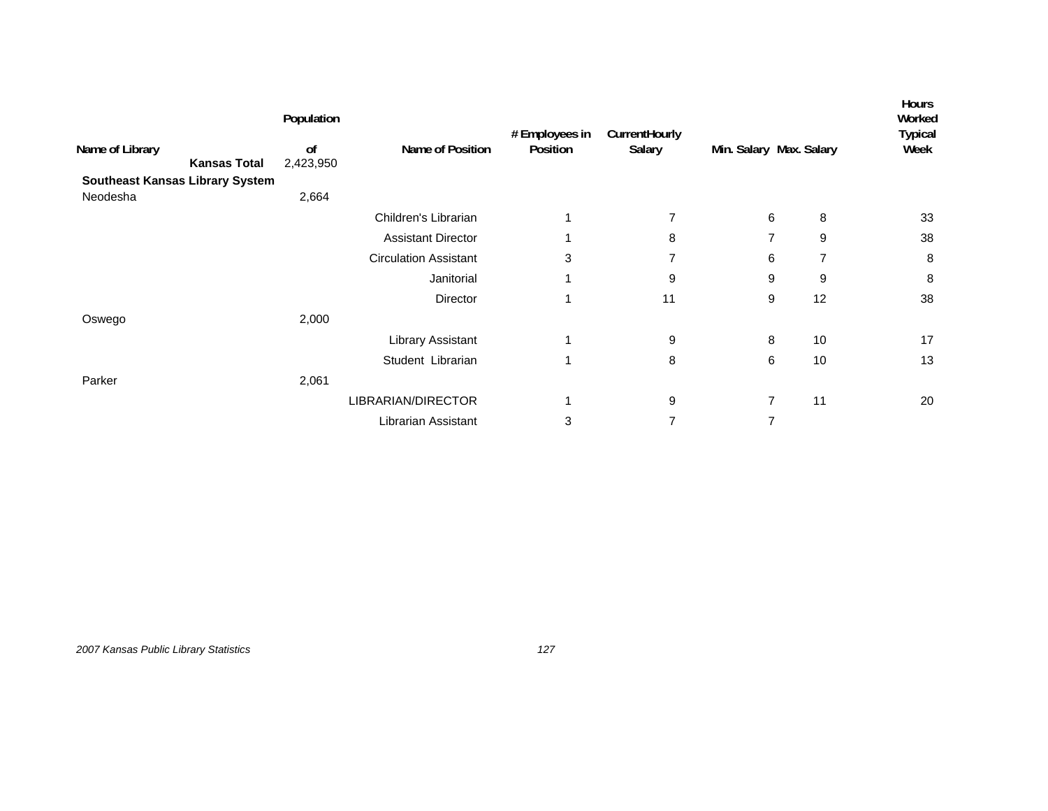|                 |                                        | Population    |                              | # Employees in | CurrentHourly  |                         |    | <b>Hours</b><br>Worked<br><b>Typical</b> |
|-----------------|----------------------------------------|---------------|------------------------------|----------------|----------------|-------------------------|----|------------------------------------------|
| Name of Library |                                        | <sub>of</sub> | Name of Position             | Position       | Salary         | Min. Salary Max. Salary |    | Week                                     |
|                 | <b>Kansas Total</b>                    | 2,423,950     |                              |                |                |                         |    |                                          |
|                 | <b>Southeast Kansas Library System</b> |               |                              |                |                |                         |    |                                          |
| Neodesha        |                                        | 2,664         |                              |                |                |                         |    |                                          |
|                 |                                        |               | Children's Librarian         | 1              | $\overline{7}$ | 6                       | 8  | 33                                       |
|                 |                                        |               | <b>Assistant Director</b>    | 1              | 8              | 7                       | 9  | 38                                       |
|                 |                                        |               | <b>Circulation Assistant</b> | 3              | 7              | 6                       | 7  | 8                                        |
|                 |                                        |               | Janitorial                   | 1              | 9              | 9                       | 9  | 8                                        |
|                 |                                        |               | Director                     | 1              | 11             | 9                       | 12 | 38                                       |
| Oswego          |                                        | 2,000         |                              |                |                |                         |    |                                          |
|                 |                                        |               | <b>Library Assistant</b>     | 1              | 9              | 8                       | 10 | 17                                       |
|                 |                                        |               | Student Librarian            | 1              | 8              | 6                       | 10 | 13                                       |
| Parker          |                                        | 2,061         |                              |                |                |                         |    |                                          |
|                 |                                        |               | LIBRARIAN/DIRECTOR           | 1              | 9              | $\overline{7}$          | 11 | 20                                       |
|                 |                                        |               | Librarian Assistant          | 3              | 7              | 7                       |    |                                          |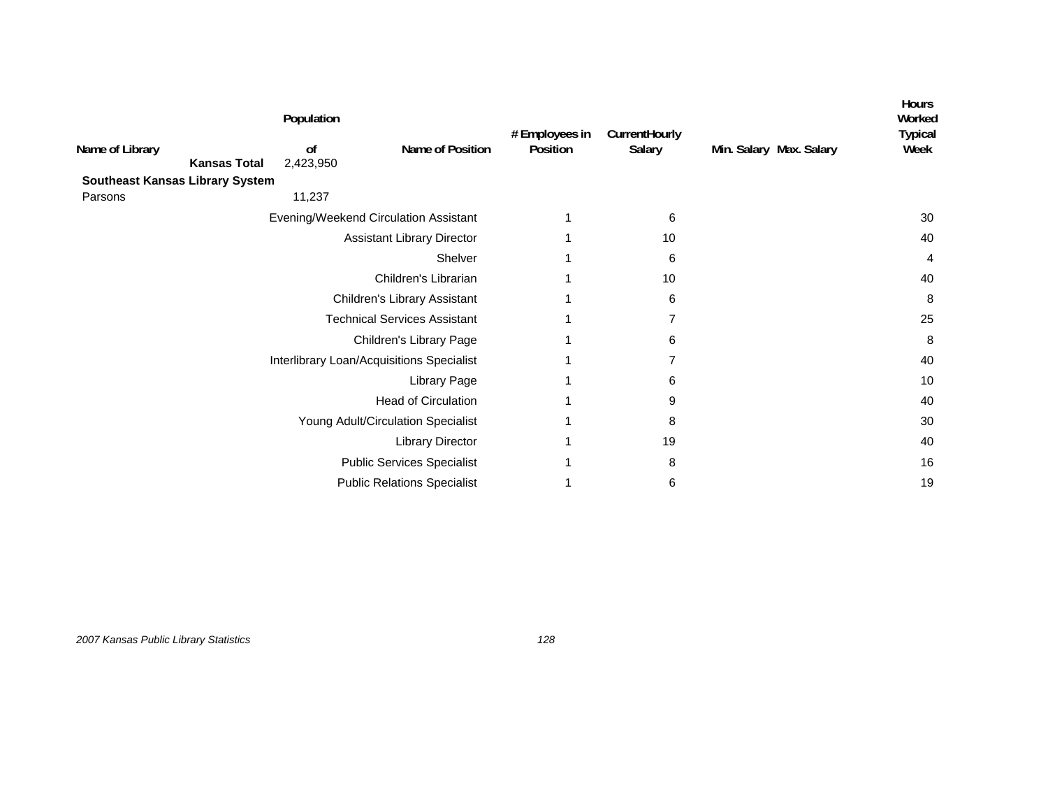|                 |                                        | Population      |                                           |                            |                         |                         | Hours<br>Worked<br><b>Typical</b> |
|-----------------|----------------------------------------|-----------------|-------------------------------------------|----------------------------|-------------------------|-------------------------|-----------------------------------|
| Name of Library | <b>Kansas Total</b>                    | of<br>2,423,950 | Name of Position                          | # Employees in<br>Position | CurrentHourly<br>Salary | Min. Salary Max. Salary | Week                              |
|                 | <b>Southeast Kansas Library System</b> |                 |                                           |                            |                         |                         |                                   |
| Parsons         |                                        | 11,237          |                                           |                            |                         |                         |                                   |
|                 |                                        |                 | Evening/Weekend Circulation Assistant     |                            | 6                       |                         | 30                                |
|                 |                                        |                 | <b>Assistant Library Director</b>         |                            | 10                      |                         | 40                                |
|                 |                                        |                 | Shelver                                   |                            | 6                       |                         | 4                                 |
|                 |                                        |                 | Children's Librarian                      |                            | 10                      |                         | 40                                |
|                 |                                        |                 | Children's Library Assistant              |                            | 6                       |                         | 8                                 |
|                 |                                        |                 | <b>Technical Services Assistant</b>       |                            | 7                       |                         | 25                                |
|                 |                                        |                 | Children's Library Page                   |                            | 6                       |                         | 8                                 |
|                 |                                        |                 | Interlibrary Loan/Acquisitions Specialist |                            | 7                       |                         | 40                                |
|                 |                                        |                 | Library Page                              |                            | 6                       |                         | 10                                |
|                 |                                        |                 | <b>Head of Circulation</b>                |                            | 9                       |                         | 40                                |
|                 |                                        |                 | Young Adult/Circulation Specialist        |                            | 8                       |                         | 30                                |
|                 |                                        |                 | <b>Library Director</b>                   |                            | 19                      |                         | 40                                |
|                 |                                        |                 | <b>Public Services Specialist</b>         |                            | 8                       |                         | 16                                |
|                 |                                        |                 | <b>Public Relations Specialist</b>        |                            | 6                       |                         | 19                                |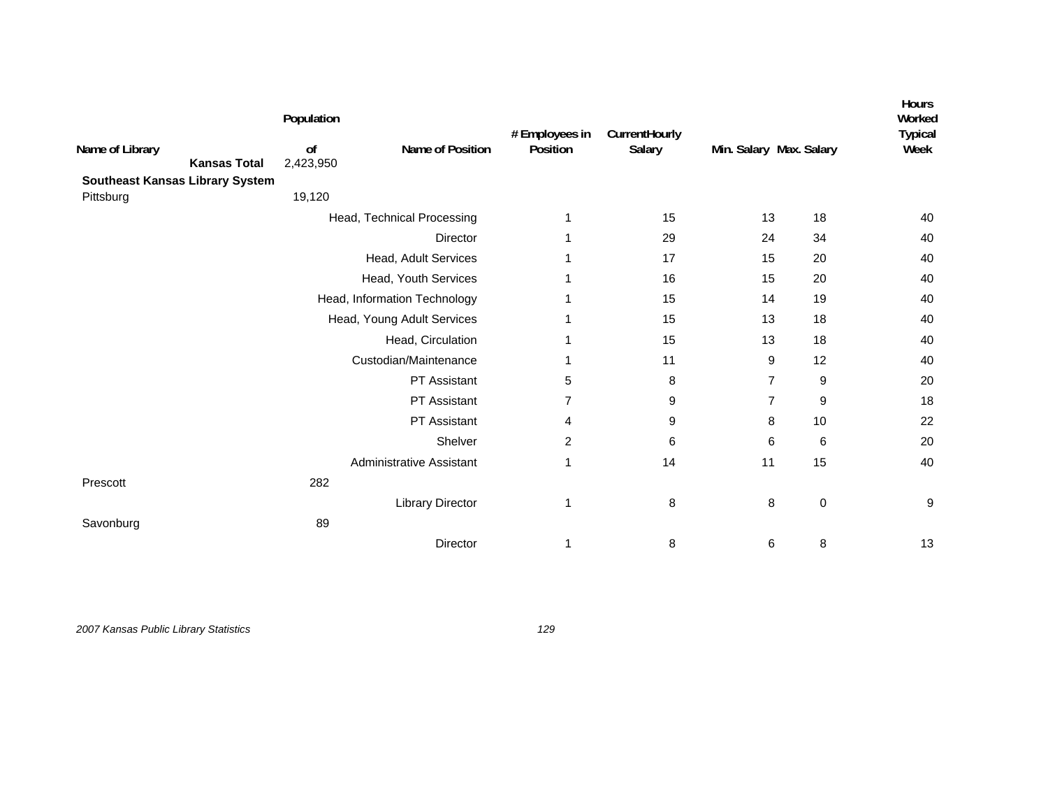|                 |                                        | Population      |                                 | # Employees in | CurrentHourly |                         |             | Hours<br>Worked<br><b>Typical</b> |
|-----------------|----------------------------------------|-----------------|---------------------------------|----------------|---------------|-------------------------|-------------|-----------------------------------|
| Name of Library | <b>Kansas Total</b>                    | of<br>2,423,950 | Name of Position                | Position       | Salary        | Min. Salary Max. Salary |             | Week                              |
|                 | <b>Southeast Kansas Library System</b> |                 |                                 |                |               |                         |             |                                   |
| Pittsburg       |                                        | 19,120          |                                 |                |               |                         |             |                                   |
|                 |                                        |                 | Head, Technical Processing      | 1              | 15            | 13                      | 18          | 40                                |
|                 |                                        |                 | <b>Director</b>                 | 1              | 29            | 24                      | 34          | 40                                |
|                 |                                        |                 | Head, Adult Services            | 1              | 17            | 15                      | 20          | 40                                |
|                 |                                        |                 | Head, Youth Services            | 1              | 16            | 15                      | 20          | 40                                |
|                 |                                        |                 | Head, Information Technology    | 1              | 15            | 14                      | 19          | 40                                |
|                 |                                        |                 | Head, Young Adult Services      | 1              | 15            | 13                      | 18          | 40                                |
|                 |                                        |                 | Head, Circulation               | 1              | 15            | 13                      | 18          | 40                                |
|                 |                                        |                 | Custodian/Maintenance           | 1              | 11            | 9                       | 12          | 40                                |
|                 |                                        |                 | PT Assistant                    | 5              | 8             | $\overline{7}$          | 9           | 20                                |
|                 |                                        |                 | PT Assistant                    | $\overline{7}$ | 9             | $\overline{7}$          | 9           | 18                                |
|                 |                                        |                 | PT Assistant                    | 4              | 9             | 8                       | 10          | 22                                |
|                 |                                        |                 | Shelver                         | $\overline{c}$ | 6             | 6                       | 6           | 20                                |
|                 |                                        |                 | <b>Administrative Assistant</b> | 1              | 14            | 11                      | 15          | 40                                |
| Prescott        |                                        | 282             |                                 |                |               |                         |             |                                   |
|                 |                                        |                 | <b>Library Director</b>         | 1              | 8             | 8                       | $\mathbf 0$ | 9                                 |
| Savonburg       |                                        | 89              |                                 |                |               |                         |             |                                   |
|                 |                                        |                 | Director                        | 1              | 8             | 6                       | 8           | 13                                |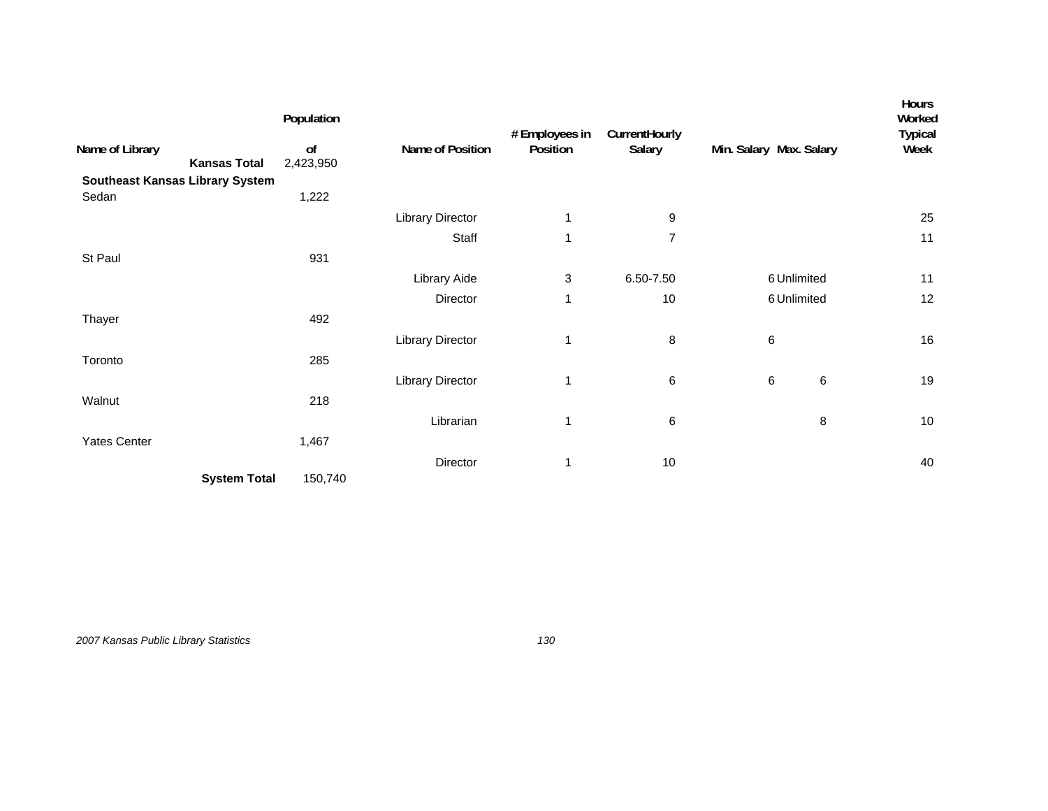|                                        | Population      |                         | # Employees in | CurrentHourly  |                         |             | Hours<br>Worked<br><b>Typical</b> |
|----------------------------------------|-----------------|-------------------------|----------------|----------------|-------------------------|-------------|-----------------------------------|
| Name of Library<br><b>Kansas Total</b> | of<br>2,423,950 | Name of Position        | Position       | Salary         | Min. Salary Max. Salary |             | Week                              |
| Southeast Kansas Library System        |                 |                         |                |                |                         |             |                                   |
| Sedan                                  | 1,222           |                         |                |                |                         |             |                                   |
|                                        |                 | <b>Library Director</b> | 1              | 9              |                         |             | 25                                |
|                                        |                 | Staff                   | 1              | $\overline{7}$ |                         |             | 11                                |
| St Paul                                | 931             |                         |                |                |                         |             |                                   |
|                                        |                 | Library Aide            | 3              | 6.50-7.50      |                         | 6 Unlimited | 11                                |
|                                        |                 | Director                | 1              | 10             |                         | 6 Unlimited | 12                                |
| Thayer                                 | 492             |                         |                |                |                         |             |                                   |
|                                        |                 | <b>Library Director</b> | 1              | 8              | 6                       |             | 16                                |
| Toronto                                | 285             |                         |                |                |                         |             |                                   |
|                                        |                 | <b>Library Director</b> | 1              | 6              | $\,6$                   | 6           | 19                                |
| Walnut                                 | 218             |                         |                |                |                         |             |                                   |
|                                        |                 | Librarian               | 1              | 6              |                         | 8           | 10                                |
| <b>Yates Center</b>                    | 1,467           |                         |                |                |                         |             |                                   |
|                                        |                 | Director                | 1              | 10             |                         |             | 40                                |
| <b>System Total</b>                    | 150,740         |                         |                |                |                         |             |                                   |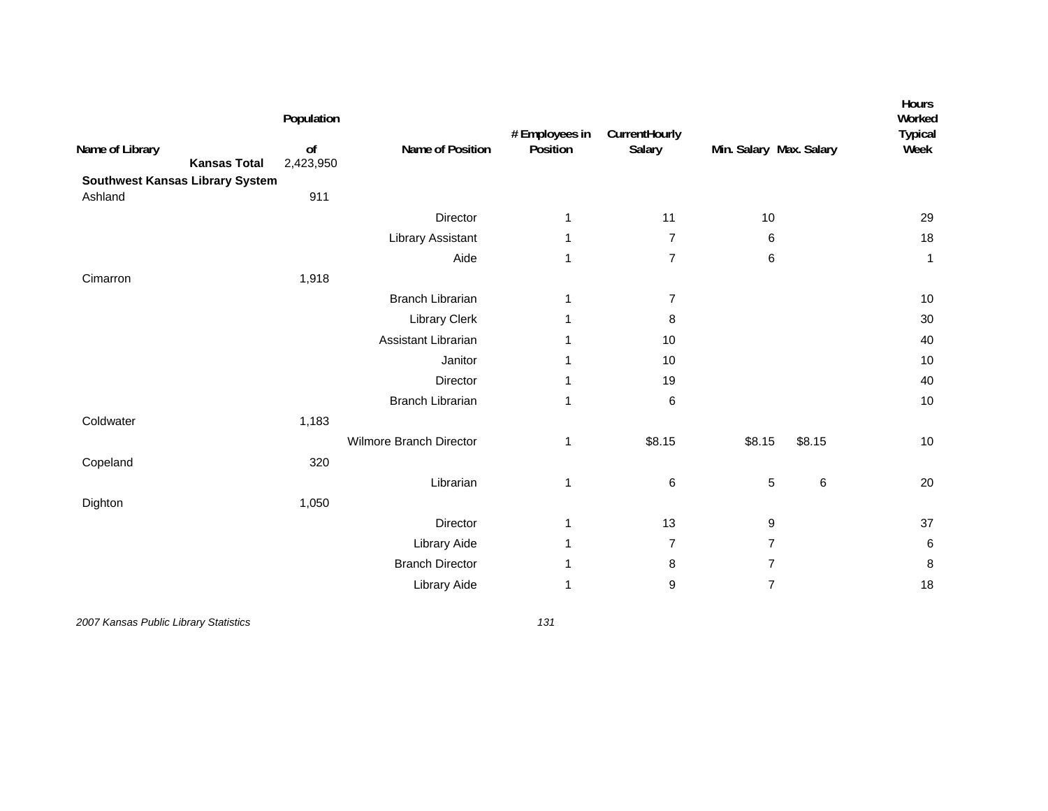| Name of Library<br><b>Kansas Total</b>     | Population<br>of<br>2,423,950 | Name of Position        | # Employees in<br>Position | CurrentHourly<br>Salary | Min. Salary Max. Salary |        | Hours<br>Worked<br>Typical<br>Week |
|--------------------------------------------|-------------------------------|-------------------------|----------------------------|-------------------------|-------------------------|--------|------------------------------------|
| Southwest Kansas Library System<br>Ashland | 911                           |                         |                            |                         |                         |        |                                    |
|                                            |                               | Director                | 1                          | 11                      | 10                      |        | 29                                 |
|                                            |                               | Library Assistant       | 1                          | $\overline{7}$          | 6                       |        | 18                                 |
|                                            |                               | Aide                    | 1                          | $\overline{7}$          | 6                       |        | $\mathbf{1}$                       |
| Cimarron                                   | 1,918                         |                         |                            |                         |                         |        |                                    |
|                                            |                               | <b>Branch Librarian</b> | 1                          | $\overline{7}$          |                         |        | $10$                               |
|                                            |                               | Library Clerk           | 1                          | 8                       |                         |        | 30                                 |
|                                            |                               | Assistant Librarian     | 1                          | 10                      |                         |        | 40                                 |
|                                            |                               | Janitor                 | 1                          | 10                      |                         |        | 10                                 |
|                                            |                               | Director                | 1                          | 19                      |                         |        | 40                                 |
|                                            |                               | <b>Branch Librarian</b> | 1                          | 6                       |                         |        | 10                                 |
| Coldwater                                  | 1,183                         |                         |                            |                         |                         |        |                                    |
|                                            |                               | Wilmore Branch Director | 1                          | \$8.15                  | \$8.15                  | \$8.15 | 10                                 |
| Copeland                                   | 320                           |                         |                            |                         |                         |        |                                    |
|                                            |                               | Librarian               | 1                          | 6                       | $\,$ 5 $\,$             | 6      | 20                                 |
| Dighton                                    | 1,050                         |                         |                            |                         |                         |        |                                    |
|                                            |                               | Director                | 1                          | 13                      | 9                       |        | 37                                 |
|                                            |                               | Library Aide            | 1                          | $\overline{7}$          | $\overline{7}$          |        | $\,6\,$                            |
|                                            |                               | <b>Branch Director</b>  | 1                          | 8                       | $\overline{7}$          |        | $\bf 8$                            |
|                                            |                               | Library Aide            | 1                          | 9                       | $\overline{7}$          |        | 18                                 |
|                                            |                               |                         |                            |                         |                         |        |                                    |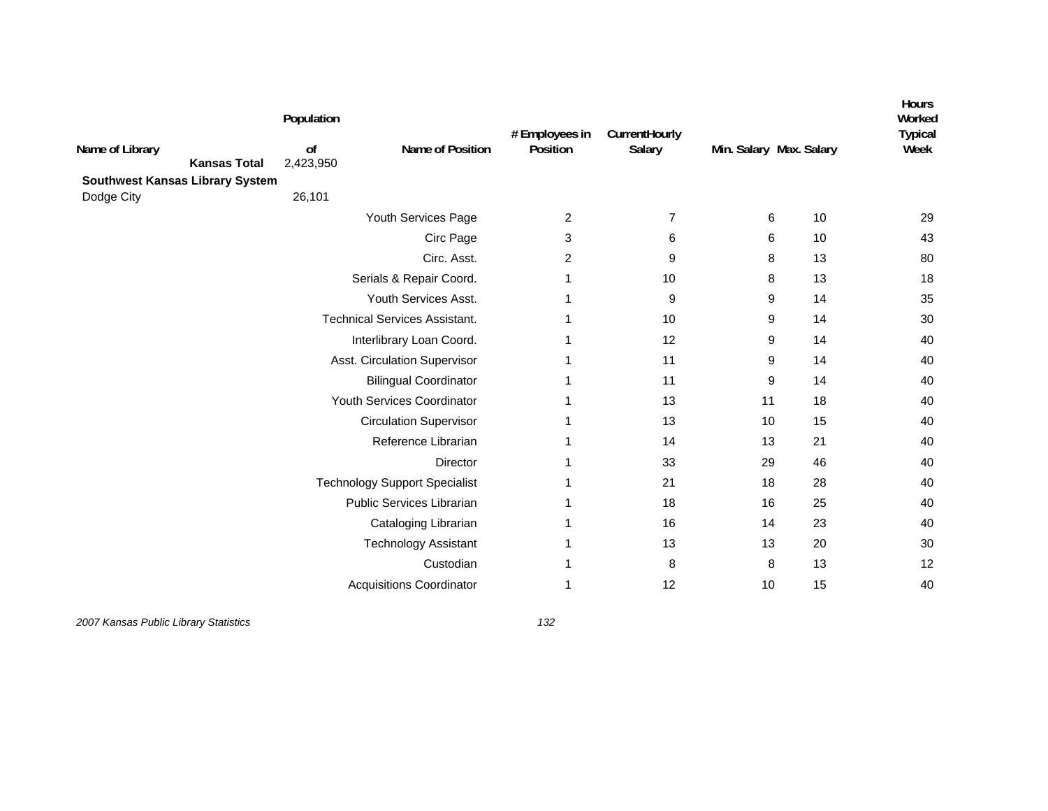| Name of Library<br><b>Southwest Kansas Library System</b><br>Dodge City | <b>Kansas Total</b> | Population<br>of<br>2,423,950<br>26,101 | Name of Position                     | # Employees in<br>Position | CurrentHourly<br>Salary | Min. Salary Max. Salary |    | <b>Hours</b><br>Worked<br><b>Typical</b><br>Week |
|-------------------------------------------------------------------------|---------------------|-----------------------------------------|--------------------------------------|----------------------------|-------------------------|-------------------------|----|--------------------------------------------------|
|                                                                         |                     |                                         | Youth Services Page                  | 2                          | $\overline{7}$          | 6                       | 10 | 29                                               |
|                                                                         |                     |                                         | Circ Page                            | 3                          | 6                       | 6                       | 10 | 43                                               |
|                                                                         |                     |                                         | Circ. Asst.                          | 2                          | 9                       | 8                       | 13 | 80                                               |
|                                                                         |                     |                                         | Serials & Repair Coord.              | 1                          | 10                      | 8                       | 13 | 18                                               |
|                                                                         |                     |                                         | Youth Services Asst.                 | 1                          | 9                       | 9                       | 14 | 35                                               |
|                                                                         |                     |                                         | <b>Technical Services Assistant.</b> | 1                          | 10                      | 9                       | 14 | 30                                               |
|                                                                         |                     |                                         | Interlibrary Loan Coord.             |                            | 12                      | 9                       | 14 | 40                                               |
|                                                                         |                     |                                         | Asst. Circulation Supervisor         | 1                          | 11                      | 9                       | 14 | 40                                               |
|                                                                         |                     |                                         | <b>Bilingual Coordinator</b>         |                            | 11                      | 9                       | 14 | 40                                               |
|                                                                         |                     |                                         | Youth Services Coordinator           |                            | 13                      | 11                      | 18 | 40                                               |
|                                                                         |                     |                                         | <b>Circulation Supervisor</b>        |                            | 13                      | 10                      | 15 | 40                                               |
|                                                                         |                     |                                         | Reference Librarian                  | 1                          | 14                      | 13                      | 21 | 40                                               |
|                                                                         |                     |                                         | Director                             | 1                          | 33                      | 29                      | 46 | 40                                               |
|                                                                         |                     |                                         | <b>Technology Support Specialist</b> | 1                          | 21                      | 18                      | 28 | 40                                               |
|                                                                         |                     |                                         | Public Services Librarian            | -1                         | 18                      | 16                      | 25 | 40                                               |
|                                                                         |                     |                                         | Cataloging Librarian                 | 1                          | 16                      | 14                      | 23 | 40                                               |
|                                                                         |                     |                                         | <b>Technology Assistant</b>          | 1                          | 13                      | 13                      | 20 | 30                                               |
|                                                                         |                     |                                         | Custodian                            |                            | 8                       | 8                       | 13 | 12                                               |
|                                                                         |                     |                                         | <b>Acquisitions Coordinator</b>      | -1                         | 12                      | 10                      | 15 | 40                                               |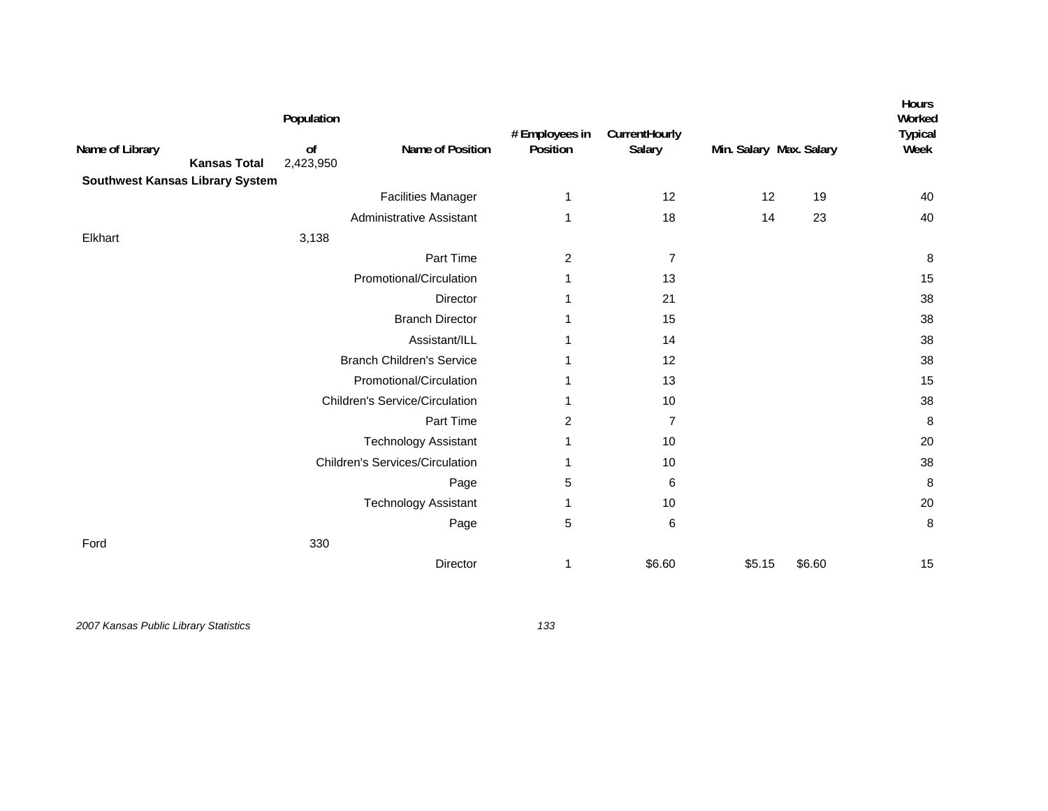| Name of Library                        |                     | Population<br>of | Name of Position                       | # Employees in<br>Position | CurrentHourly<br>Salary | Min. Salary Max. Salary |        | <b>Hours</b><br>Worked<br><b>Typical</b><br>Week |
|----------------------------------------|---------------------|------------------|----------------------------------------|----------------------------|-------------------------|-------------------------|--------|--------------------------------------------------|
|                                        | <b>Kansas Total</b> | 2,423,950        |                                        |                            |                         |                         |        |                                                  |
| <b>Southwest Kansas Library System</b> |                     |                  | <b>Facilities Manager</b>              | 1                          | 12                      | 12                      | 19     | 40                                               |
|                                        |                     |                  | <b>Administrative Assistant</b>        | 1                          | 18                      | 14                      | 23     | 40                                               |
| Elkhart                                |                     | 3,138            |                                        |                            |                         |                         |        |                                                  |
|                                        |                     |                  | Part Time                              | $\overline{c}$             | $\overline{7}$          |                         |        | 8                                                |
|                                        |                     |                  | Promotional/Circulation                | 1                          | 13                      |                         |        | 15                                               |
|                                        |                     |                  | Director                               |                            | 21                      |                         |        | 38                                               |
|                                        |                     |                  | <b>Branch Director</b>                 |                            | 15                      |                         |        | 38                                               |
|                                        |                     |                  | Assistant/ILL                          | 1                          | 14                      |                         |        | 38                                               |
|                                        |                     |                  | <b>Branch Children's Service</b>       |                            | 12                      |                         |        | 38                                               |
|                                        |                     |                  | Promotional/Circulation                |                            | 13                      |                         |        | 15                                               |
|                                        |                     |                  | <b>Children's Service/Circulation</b>  | 1                          | 10                      |                         |        | 38                                               |
|                                        |                     |                  | Part Time                              | 2                          | $\overline{7}$          |                         |        | 8                                                |
|                                        |                     |                  | <b>Technology Assistant</b>            | 1                          | 10                      |                         |        | 20                                               |
|                                        |                     |                  | <b>Children's Services/Circulation</b> |                            | 10                      |                         |        | 38                                               |
|                                        |                     |                  | Page                                   | 5                          | 6                       |                         |        | $\, 8$                                           |
|                                        |                     |                  | <b>Technology Assistant</b>            | 1                          | 10                      |                         |        | 20                                               |
|                                        |                     |                  | Page                                   | 5                          | 6                       |                         |        | 8                                                |
| Ford                                   |                     | 330              |                                        |                            |                         |                         |        |                                                  |
|                                        |                     |                  | Director                               | 1                          | \$6.60                  | \$5.15                  | \$6.60 | 15                                               |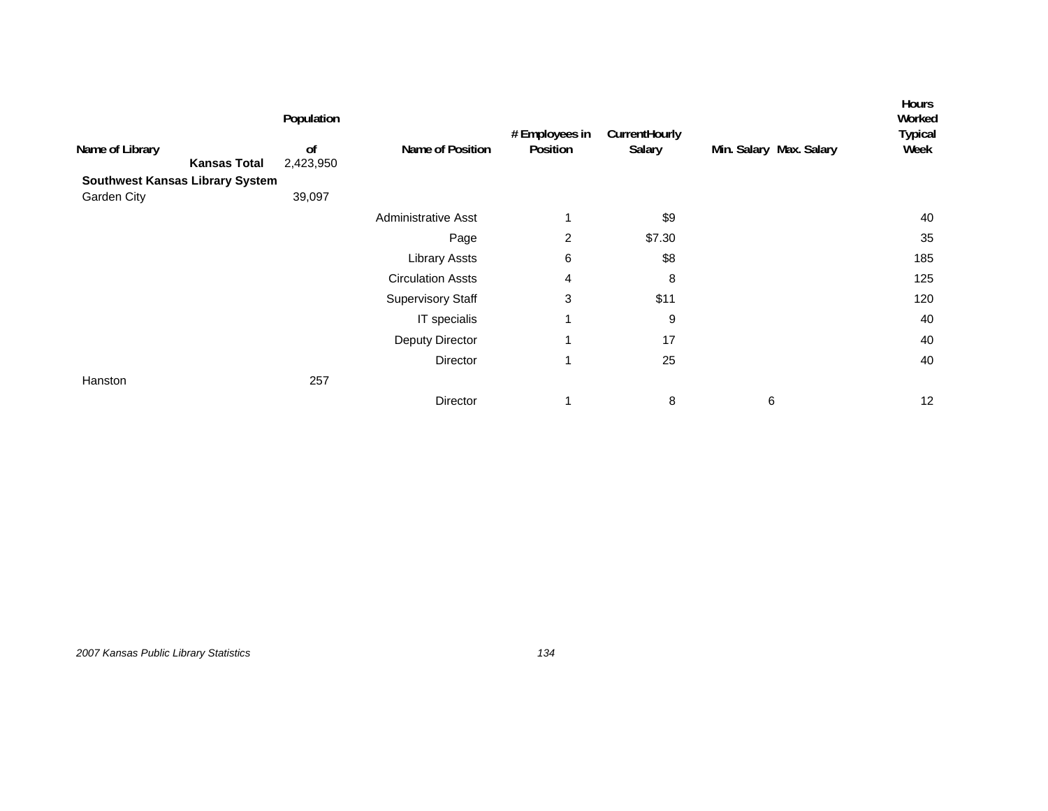| Population<br>0f    | Name of Position                                    | # Employees in<br>Position | CurrentHourly<br>Salary | Min. Salary Max. Salary | Hours<br>Worked<br><b>Typical</b><br>Week |
|---------------------|-----------------------------------------------------|----------------------------|-------------------------|-------------------------|-------------------------------------------|
|                     |                                                     |                            |                         |                         |                                           |
| 39,097              |                                                     |                            |                         |                         |                                           |
|                     | <b>Administrative Asst</b>                          |                            | \$9                     |                         | 40                                        |
|                     | Page                                                | $\overline{2}$             | \$7.30                  |                         | 35                                        |
|                     | <b>Library Assts</b>                                | 6                          | \$8                     |                         | 185                                       |
|                     | <b>Circulation Assts</b>                            | 4                          | 8                       |                         | 125                                       |
|                     | <b>Supervisory Staff</b>                            | 3                          | \$11                    |                         | 120                                       |
|                     | IT specialis                                        | 1                          | 9                       |                         | 40                                        |
|                     | Deputy Director                                     | 1                          | 17                      |                         | 40                                        |
|                     | Director                                            | 1                          | 25                      |                         | 40                                        |
| 257                 |                                                     |                            |                         |                         |                                           |
|                     | Director                                            | 1                          | 8                       | 6                       | 12                                        |
| <b>Kansas Total</b> | 2,423,950<br><b>Southwest Kansas Library System</b> |                            |                         |                         |                                           |

*2007 Kansas Public Library Statistics 134*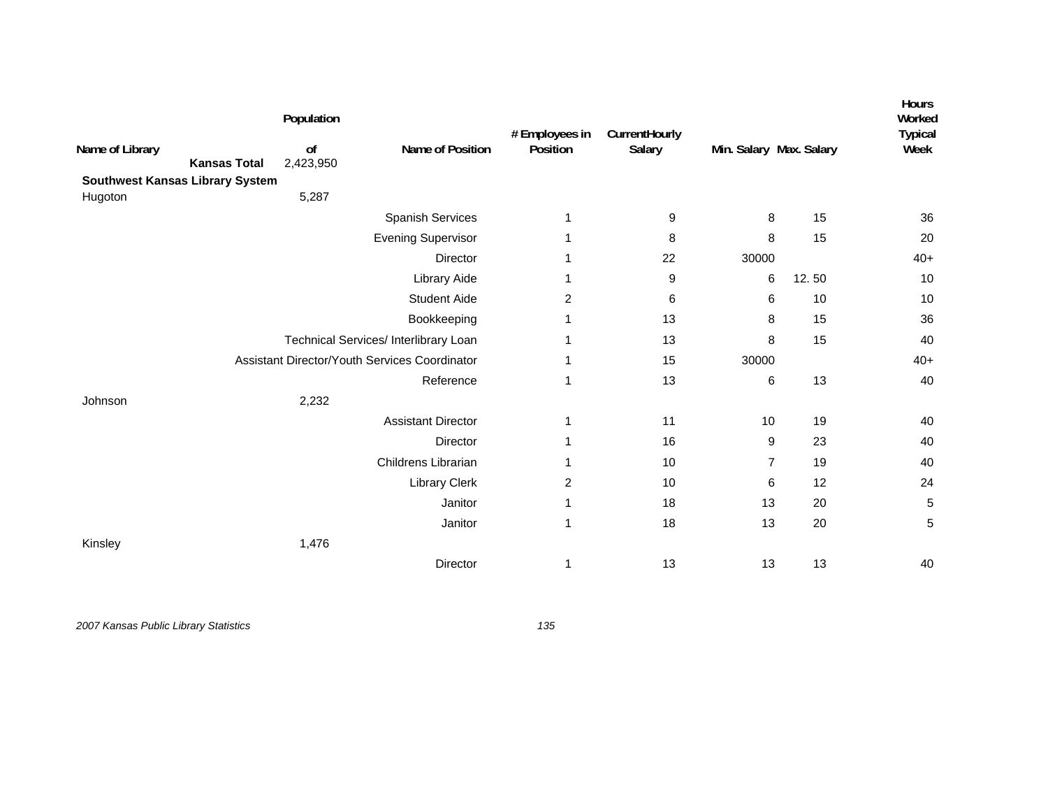| Name of Library | <b>Kansas Total</b>                    | Population<br>of<br>2,423,950 | Name of Position                              | # Employees in<br>Position | CurrentHourly<br>Salary | Min. Salary Max. Salary |       | <b>Hours</b><br>Worked<br><b>Typical</b><br>Week |
|-----------------|----------------------------------------|-------------------------------|-----------------------------------------------|----------------------------|-------------------------|-------------------------|-------|--------------------------------------------------|
|                 | <b>Southwest Kansas Library System</b> |                               |                                               |                            |                         |                         |       |                                                  |
| Hugoton         |                                        | 5,287                         |                                               |                            |                         |                         |       |                                                  |
|                 |                                        |                               | Spanish Services                              | 1                          | 9                       | 8                       | 15    | 36                                               |
|                 |                                        |                               | <b>Evening Supervisor</b>                     | 1                          | 8                       | 8                       | 15    | 20                                               |
|                 |                                        |                               | Director                                      | 1                          | 22                      | 30000                   |       | $40+$                                            |
|                 |                                        |                               | <b>Library Aide</b>                           | 1                          | 9                       | 6                       | 12.50 | 10                                               |
|                 |                                        |                               | <b>Student Aide</b>                           | $\overline{2}$             | 6                       | 6                       | 10    | 10                                               |
|                 |                                        |                               | Bookkeeping                                   | 1                          | 13                      | 8                       | 15    | 36                                               |
|                 |                                        |                               | Technical Services/ Interlibrary Loan         | 1                          | 13                      | 8                       | 15    | 40                                               |
|                 |                                        |                               | Assistant Director/Youth Services Coordinator | 1                          | 15                      | 30000                   |       | $40+$                                            |
|                 |                                        |                               | Reference                                     | $\mathbf{1}$               | 13                      | 6                       | 13    | 40                                               |
| Johnson         |                                        | 2,232                         |                                               |                            |                         |                         |       |                                                  |
|                 |                                        |                               | <b>Assistant Director</b>                     | 1                          | 11                      | 10                      | 19    | 40                                               |
|                 |                                        |                               | Director                                      | 1                          | 16                      | 9                       | 23    | 40                                               |
|                 |                                        |                               | Childrens Librarian                           | 1                          | 10                      | $\overline{7}$          | 19    | 40                                               |
|                 |                                        |                               | Library Clerk                                 | $\overline{2}$             | 10                      | 6                       | 12    | 24                                               |
|                 |                                        |                               | Janitor                                       | 1                          | 18                      | 13                      | 20    | 5                                                |
|                 |                                        |                               | Janitor                                       | $\mathbf{1}$               | 18                      | 13                      | 20    | 5                                                |
| Kinsley         |                                        | 1,476                         |                                               |                            |                         |                         |       |                                                  |
|                 |                                        |                               | Director                                      | 1                          | 13                      | 13                      | 13    | 40                                               |
|                 |                                        |                               |                                               |                            |                         |                         |       |                                                  |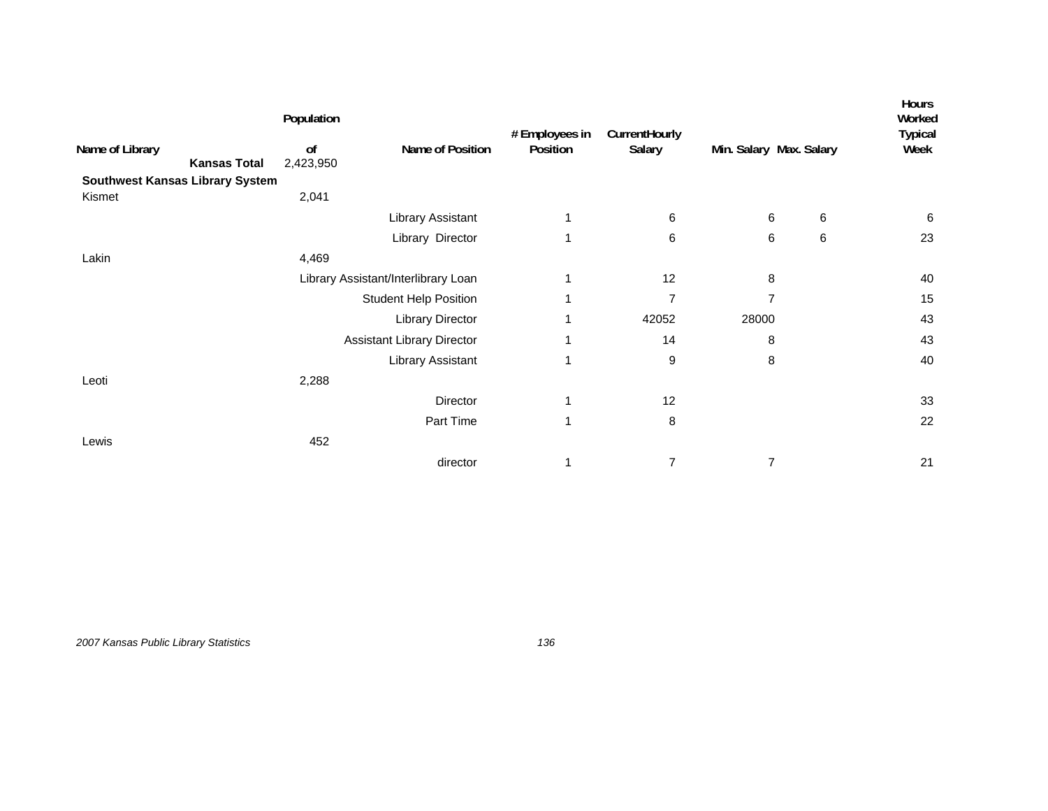| Population      |                                        |                                                                                                          |                |               |   | Hours<br>Worked<br><b>Typical</b> |
|-----------------|----------------------------------------|----------------------------------------------------------------------------------------------------------|----------------|---------------|---|-----------------------------------|
| 0f<br>2,423,950 | Name of Position                       | Position                                                                                                 | Salary         |               |   | Week                              |
|                 |                                        |                                                                                                          |                |               |   |                                   |
| 2,041           |                                        |                                                                                                          |                |               |   |                                   |
|                 | Library Assistant                      | 1                                                                                                        | 6              | 6             | 6 | 6                                 |
|                 | Library Director                       | 1                                                                                                        | 6              | 6             | 6 | 23                                |
| 4,469           |                                        |                                                                                                          |                |               |   |                                   |
|                 |                                        | 1                                                                                                        | 12             | 8             |   | 40                                |
|                 |                                        | 1                                                                                                        | $\overline{7}$ | 7             |   | 15                                |
|                 | <b>Library Director</b>                | 1                                                                                                        | 42052          | 28000         |   | 43                                |
|                 |                                        | 1                                                                                                        | 14             | 8             |   | 43                                |
|                 | Library Assistant                      | 1                                                                                                        | 9              | 8             |   | 40                                |
| 2,288           |                                        |                                                                                                          |                |               |   |                                   |
|                 | Director                               | 1                                                                                                        | 12             |               |   | 33                                |
|                 | Part Time                              | 1                                                                                                        | 8              |               |   | 22                                |
| 452             |                                        |                                                                                                          |                |               |   |                                   |
|                 | director                               | 1                                                                                                        | $\overline{7}$ | 7             |   | 21                                |
|                 | <b>Southwest Kansas Library System</b> | Library Assistant/Interlibrary Loan<br><b>Student Help Position</b><br><b>Assistant Library Director</b> | # Employees in | CurrentHourly |   | Min. Salary Max. Salary           |

*2007 Kansas Public Library Statistics 136*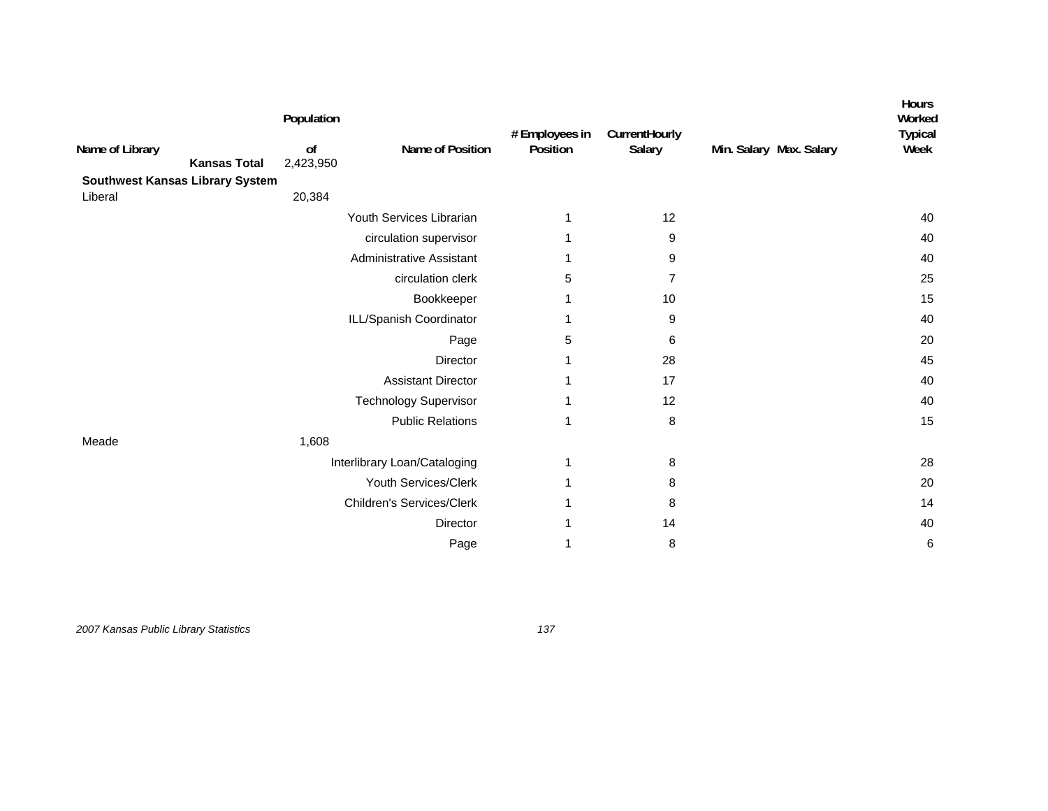| Name of Library                        | <b>Kansas Total</b> | Population<br>of<br>2,423,950 | Name of Position                 | # Employees in<br>Position | CurrentHourly<br>Salary | Min. Salary Max. Salary | Hours<br>Worked<br><b>Typical</b><br>Week |
|----------------------------------------|---------------------|-------------------------------|----------------------------------|----------------------------|-------------------------|-------------------------|-------------------------------------------|
| <b>Southwest Kansas Library System</b> |                     |                               |                                  |                            |                         |                         |                                           |
| Liberal                                |                     | 20,384                        |                                  |                            |                         |                         |                                           |
|                                        |                     |                               | Youth Services Librarian         | 1                          | 12                      |                         | 40                                        |
|                                        |                     |                               | circulation supervisor           | 1                          | 9                       |                         | 40                                        |
|                                        |                     |                               | <b>Administrative Assistant</b>  | 1                          | 9                       |                         | 40                                        |
|                                        |                     |                               | circulation clerk                | 5                          | 7                       |                         | 25                                        |
|                                        |                     |                               | Bookkeeper                       | 1                          | 10                      |                         | 15                                        |
|                                        |                     |                               | ILL/Spanish Coordinator          | 1                          | 9                       |                         | 40                                        |
|                                        |                     |                               | Page                             | 5                          | 6                       |                         | 20                                        |
|                                        |                     |                               | <b>Director</b>                  | 1                          | 28                      |                         | 45                                        |
|                                        |                     |                               | <b>Assistant Director</b>        | 1                          | 17                      |                         | 40                                        |
|                                        |                     |                               | <b>Technology Supervisor</b>     | 1                          | 12                      |                         | 40                                        |
|                                        |                     |                               | <b>Public Relations</b>          | 1                          | 8                       |                         | 15                                        |
| Meade                                  |                     | 1,608                         |                                  |                            |                         |                         |                                           |
|                                        |                     |                               | Interlibrary Loan/Cataloging     | 1                          | 8                       |                         | 28                                        |
|                                        |                     |                               | Youth Services/Clerk             | 1                          | 8                       |                         | 20                                        |
|                                        |                     |                               | <b>Children's Services/Clerk</b> |                            | 8                       |                         | 14                                        |
|                                        |                     |                               | Director                         | 1                          | 14                      |                         | 40                                        |
|                                        |                     |                               | Page                             | 1                          | 8                       |                         | 6                                         |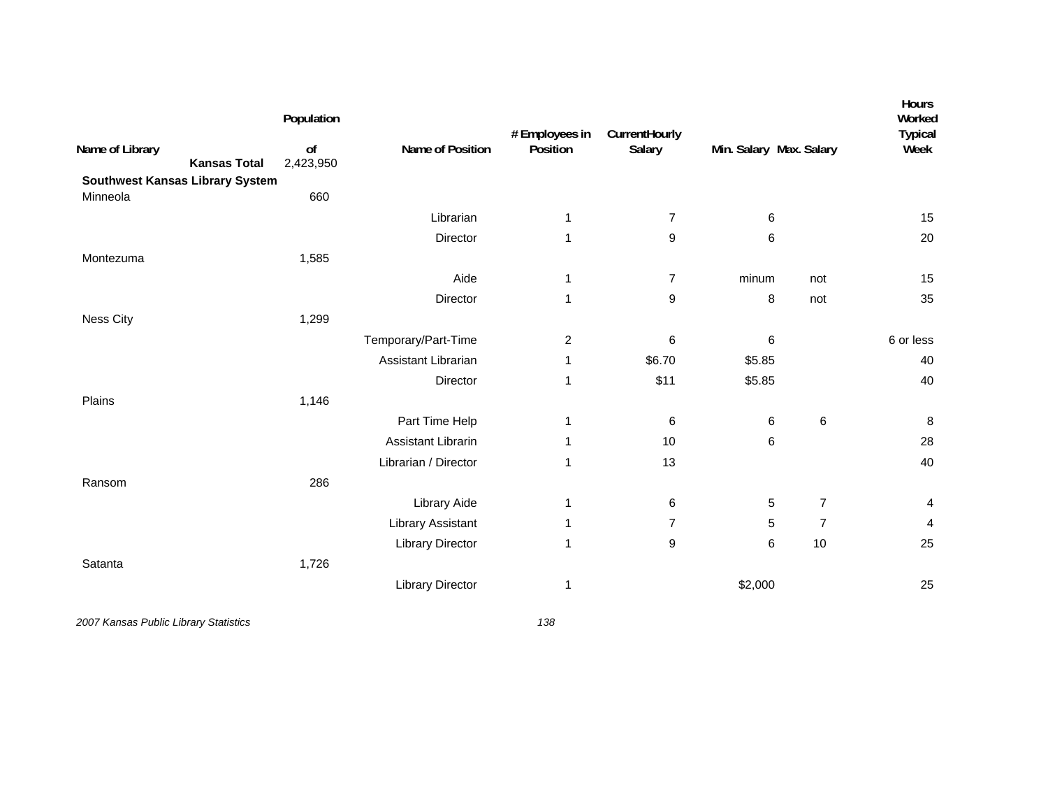| Name of Library<br><b>Kansas Total</b><br><b>Southwest Kansas Library System</b> | Population<br>of<br>2,423,950 | Name of Position         | # Employees in<br>Position | CurrentHourly<br>Salary | Min. Salary Max. Salary |                | Hours<br>Worked<br><b>Typical</b><br>Week |
|----------------------------------------------------------------------------------|-------------------------------|--------------------------|----------------------------|-------------------------|-------------------------|----------------|-------------------------------------------|
| Minneola                                                                         | 660                           |                          |                            |                         |                         |                |                                           |
|                                                                                  |                               | Librarian                | 1                          | $\overline{7}$          | 6                       |                | 15                                        |
|                                                                                  |                               | Director                 | $\mathbf{1}$               | 9                       | 6                       |                | 20                                        |
| Montezuma                                                                        | 1,585                         |                          |                            |                         |                         |                |                                           |
|                                                                                  |                               | Aide                     | 1                          | $\overline{7}$          | minum                   | not            | 15                                        |
|                                                                                  |                               | Director                 | 1                          | 9                       | 8                       | not            | 35                                        |
| <b>Ness City</b>                                                                 | 1,299                         |                          |                            |                         |                         |                |                                           |
|                                                                                  |                               | Temporary/Part-Time      | $\overline{c}$             | 6                       | 6                       |                | 6 or less                                 |
|                                                                                  |                               | Assistant Librarian      | 1                          | \$6.70                  | \$5.85                  |                | 40                                        |
|                                                                                  |                               | Director                 | 1                          | \$11                    | \$5.85                  |                | 40                                        |
| Plains                                                                           | 1,146                         |                          |                            |                         |                         |                |                                           |
|                                                                                  |                               | Part Time Help           | 1                          | 6                       | 6                       | $\,6\,$        | 8                                         |
|                                                                                  |                               | Assistant Librarin       | 1                          | 10                      | 6                       |                | 28                                        |
|                                                                                  |                               | Librarian / Director     | 1                          | 13                      |                         |                | 40                                        |
| Ransom                                                                           | 286                           |                          |                            |                         |                         |                |                                           |
|                                                                                  |                               | <b>Library Aide</b>      | 1                          | 6                       | 5                       | $\overline{7}$ | 4                                         |
|                                                                                  |                               | <b>Library Assistant</b> | 1                          | $\overline{7}$          | 5                       | $\overline{7}$ | 4                                         |
|                                                                                  |                               | <b>Library Director</b>  | 1                          | 9                       | 6                       | 10             | 25                                        |
| Satanta                                                                          | 1,726                         |                          |                            |                         |                         |                |                                           |
|                                                                                  |                               | <b>Library Director</b>  | 1                          |                         | \$2,000                 |                | 25                                        |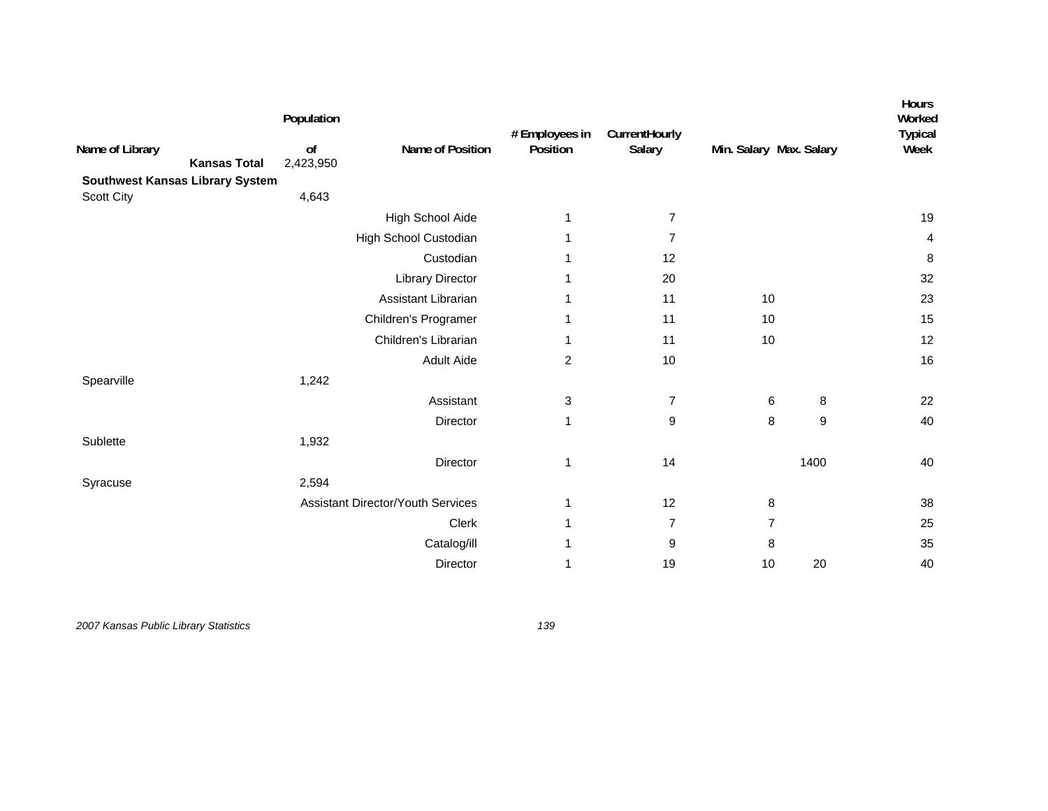| Name of Library<br><b>Kansas Total</b><br><b>Southwest Kansas Library System</b> | Population<br>of<br>2,423,950 | Name of Position                         | # Employees in<br>Position | CurrentHourly<br>Salary | Min. Salary Max. Salary |                  | Hours<br>Worked<br><b>Typical</b><br>Week |
|----------------------------------------------------------------------------------|-------------------------------|------------------------------------------|----------------------------|-------------------------|-------------------------|------------------|-------------------------------------------|
| Scott City                                                                       | 4,643                         |                                          |                            |                         |                         |                  |                                           |
|                                                                                  |                               | High School Aide                         | 1                          | $\overline{7}$          |                         |                  | 19                                        |
|                                                                                  |                               | High School Custodian                    | 1                          | $\overline{7}$          |                         |                  | 4                                         |
|                                                                                  |                               | Custodian                                | 1                          | 12                      |                         |                  | 8                                         |
|                                                                                  |                               | <b>Library Director</b>                  | 1                          | 20                      |                         |                  | 32                                        |
|                                                                                  |                               | Assistant Librarian                      | 1                          | 11                      | 10                      |                  | 23                                        |
|                                                                                  |                               | Children's Programer                     | 1                          | 11                      | 10                      |                  | 15                                        |
|                                                                                  |                               | Children's Librarian                     | 1                          | 11                      | 10                      |                  | 12                                        |
|                                                                                  |                               | <b>Adult Aide</b>                        | $\overline{c}$             | 10                      |                         |                  | 16                                        |
| Spearville                                                                       | 1,242                         |                                          |                            |                         |                         |                  |                                           |
|                                                                                  |                               | Assistant                                | 3                          | $\overline{7}$          | 6                       | 8                | 22                                        |
|                                                                                  |                               | Director                                 | $\mathbf{1}$               | 9                       | 8                       | $\boldsymbol{9}$ | 40                                        |
| Sublette                                                                         | 1,932                         |                                          |                            |                         |                         |                  |                                           |
|                                                                                  |                               | Director                                 | 1                          | 14                      |                         | 1400             | 40                                        |
| Syracuse                                                                         | 2,594                         |                                          |                            |                         |                         |                  |                                           |
|                                                                                  |                               | <b>Assistant Director/Youth Services</b> | 1                          | 12                      | 8                       |                  | 38                                        |
|                                                                                  |                               | Clerk                                    | 1                          | $\overline{7}$          | $\overline{7}$          |                  | 25                                        |
|                                                                                  |                               | Catalog/ill                              | 1                          | 9                       | 8                       |                  | 35                                        |
|                                                                                  |                               | Director                                 | 1                          | 19                      | $10$                    | 20               | 40                                        |
|                                                                                  |                               |                                          |                            |                         |                         |                  |                                           |